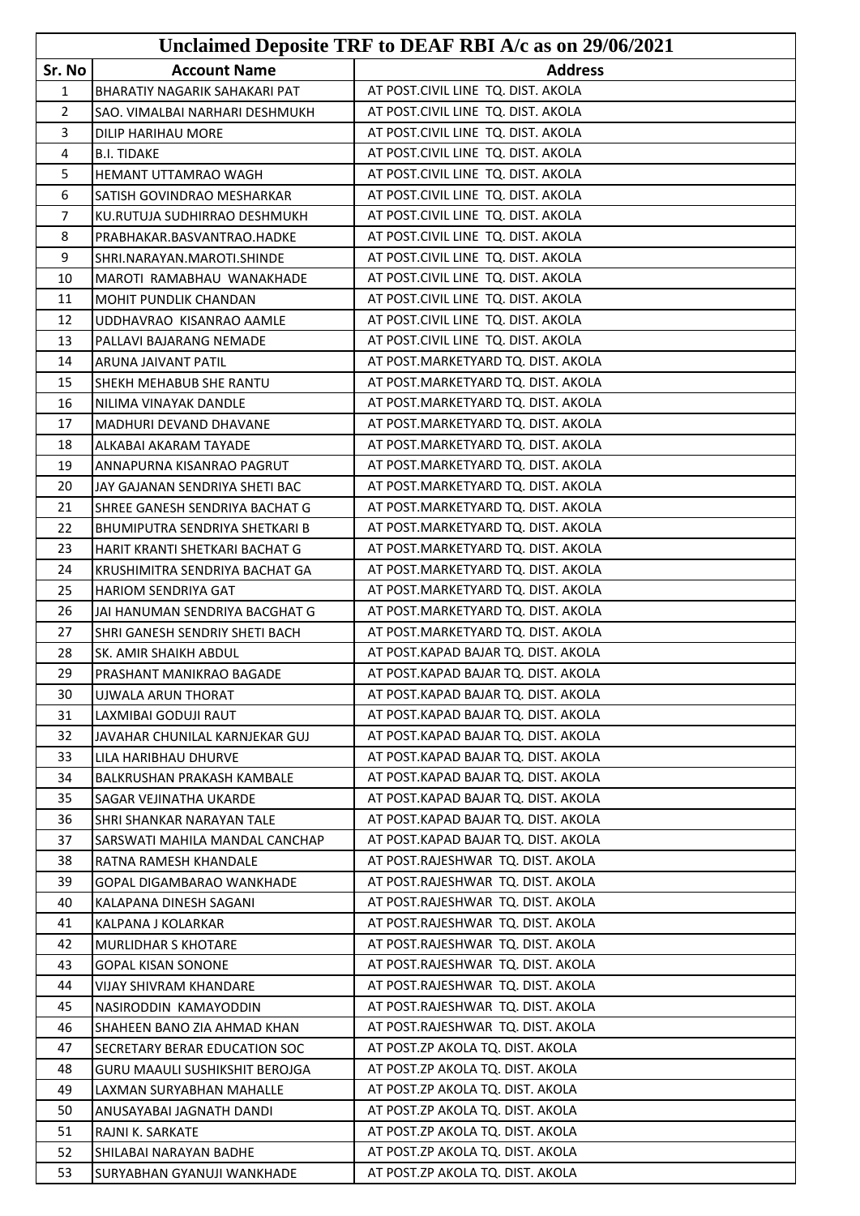|                |                                      | Unclaimed Deposite TRF to DEAF RBI A/c as on 29/06/2021 |
|----------------|--------------------------------------|---------------------------------------------------------|
| Sr. No         | <b>Account Name</b>                  | <b>Address</b>                                          |
| 1              | <b>BHARATIY NAGARIK SAHAKARI PAT</b> | AT POST.CIVIL LINE TQ. DIST. AKOLA                      |
| $\overline{2}$ | SAO. VIMALBAI NARHARI DESHMUKH       | AT POST.CIVIL LINE TQ. DIST. AKOLA                      |
| 3              | DILIP HARIHAU MORE                   | AT POST.CIVIL LINE TQ. DIST. AKOLA                      |
| 4              | <b>B.I. TIDAKE</b>                   | AT POST.CIVIL LINE TQ. DIST. AKOLA                      |
| 5              | HEMANT UTTAMRAO WAGH                 | AT POST.CIVIL LINE TQ. DIST. AKOLA                      |
| 6              | SATISH GOVINDRAO MESHARKAR           | AT POST.CIVIL LINE TQ. DIST. AKOLA                      |
| $\overline{7}$ | KU.RUTUJA SUDHIRRAO DESHMUKH         | AT POST.CIVIL LINE TQ. DIST. AKOLA                      |
| 8              | PRABHAKAR.BASVANTRAO.HADKE           | AT POST.CIVIL LINE TQ. DIST. AKOLA                      |
| 9              | SHRI.NARAYAN.MAROTI.SHINDE           | AT POST.CIVIL LINE TQ. DIST. AKOLA                      |
| 10             | MAROTI RAMABHAU WANAKHADE            | AT POST.CIVIL LINE TQ. DIST. AKOLA                      |
| 11             | <b>MOHIT PUNDLIK CHANDAN</b>         | AT POST.CIVIL LINE TQ. DIST. AKOLA                      |
| 12             | UDDHAVRAO KISANRAO AAMLE             | AT POST.CIVIL LINE TQ. DIST. AKOLA                      |
| 13             | PALLAVI BAJARANG NEMADE              | AT POST.CIVIL LINE TQ. DIST. AKOLA                      |
| 14             | ARUNA JAIVANT PATIL                  | AT POST.MARKETYARD TQ. DIST. AKOLA                      |
| 15             | SHEKH MEHABUB SHE RANTU              | AT POST.MARKETYARD TQ. DIST. AKOLA                      |
| 16             | NILIMA VINAYAK DANDLE                | AT POST.MARKETYARD TQ. DIST. AKOLA                      |
| 17             | MADHURI DEVAND DHAVANE               | AT POST.MARKETYARD TQ. DIST. AKOLA                      |
| 18             | ALKABAI AKARAM TAYADE                | AT POST.MARKETYARD TQ. DIST. AKOLA                      |
| 19             | ANNAPURNA KISANRAO PAGRUT            | AT POST.MARKETYARD TQ. DIST. AKOLA                      |
| 20             | JAY GAJANAN SENDRIYA SHETI BAC       | AT POST.MARKETYARD TQ. DIST. AKOLA                      |
| 21             | SHREE GANESH SENDRIYA BACHAT G       | AT POST.MARKETYARD TQ. DIST. AKOLA                      |
| 22             | BHUMIPUTRA SENDRIYA SHETKARI B       | AT POST.MARKETYARD TQ. DIST. AKOLA                      |
| 23             | HARIT KRANTI SHETKARI BACHAT G       | AT POST.MARKETYARD TQ. DIST. AKOLA                      |
| 24             | KRUSHIMITRA SENDRIYA BACHAT GA       | AT POST.MARKETYARD TQ. DIST. AKOLA                      |
| 25             | <b>HARIOM SENDRIYA GAT</b>           | AT POST.MARKETYARD TQ. DIST. AKOLA                      |
| 26             | JAI HANUMAN SENDRIYA BACGHAT G       | AT POST.MARKETYARD TQ. DIST. AKOLA                      |
| 27             | SHRI GANESH SENDRIY SHETI BACH       | AT POST.MARKETYARD TQ. DIST. AKOLA                      |
| 28             | SK. AMIR SHAIKH ABDUL                | AT POST.KAPAD BAJAR TQ. DIST. AKOLA                     |
| 29             | PRASHANT MANIKRAO BAGADE             | AT POST.KAPAD BAJAR TQ. DIST. AKOLA                     |
| 30             | UJWALA ARUN THORAT                   | AT POST.KAPAD BAJAR TQ. DIST. AKOLA                     |
| 31             | LAXMIBAI GODUJI RAUT                 | AT POST.KAPAD BAJAR TQ. DIST. AKOLA                     |
| 32             | JAVAHAR CHUNILAL KARNJEKAR GUJ       | AT POST.KAPAD BAJAR TQ. DIST. AKOLA                     |
| 33             | LILA HARIBHAU DHURVE                 | AT POST.KAPAD BAJAR TQ. DIST. AKOLA                     |
| 34             | BALKRUSHAN PRAKASH KAMBALE           | AT POST.KAPAD BAJAR TQ. DIST. AKOLA                     |
| 35             | <b>SAGAR VEJINATHA UKARDE</b>        | AT POST.KAPAD BAJAR TQ. DIST. AKOLA                     |
| 36             | SHRI SHANKAR NARAYAN TALE            | AT POST.KAPAD BAJAR TQ. DIST. AKOLA                     |
| 37             | SARSWATI MAHILA MANDAL CANCHAP       | AT POST.KAPAD BAJAR TQ. DIST. AKOLA                     |
| 38             | RATNA RAMESH KHANDALE                | AT POST.RAJESHWAR TQ. DIST. AKOLA                       |
| 39             | GOPAL DIGAMBARAO WANKHADE            | AT POST.RAJESHWAR TQ. DIST. AKOLA                       |
| 40             | KALAPANA DINESH SAGANI               | AT POST.RAJESHWAR TQ. DIST. AKOLA                       |
| 41             | KALPANA J KOLARKAR                   | AT POST.RAJESHWAR TQ. DIST. AKOLA                       |
| 42             | <b>MURLIDHAR S KHOTARE</b>           | AT POST.RAJESHWAR TQ. DIST. AKOLA                       |
| 43             | GOPAL KISAN SONONE                   | AT POST.RAJESHWAR TQ. DIST. AKOLA                       |
| 44             | VIJAY SHIVRAM KHANDARE               | AT POST.RAJESHWAR TQ. DIST. AKOLA                       |
| 45             | NASIRODDIN KAMAYODDIN                | AT POST.RAJESHWAR TQ. DIST. AKOLA                       |
| 46             | SHAHEEN BANO ZIA AHMAD KHAN          | AT POST.RAJESHWAR TQ. DIST. AKOLA                       |
| 47             | SECRETARY BERAR EDUCATION SOC        | AT POST.ZP AKOLA TQ. DIST. AKOLA                        |
| 48             | GURU MAAULI SUSHIKSHIT BEROJGA       | AT POST.ZP AKOLA TQ. DIST. AKOLA                        |
| 49             | LAXMAN SURYABHAN MAHALLE             | AT POST.ZP AKOLA TQ. DIST. AKOLA                        |
| 50             | ANUSAYABAI JAGNATH DANDI             | AT POST.ZP AKOLA TQ. DIST. AKOLA                        |
| 51             | RAJNI K. SARKATE                     | AT POST.ZP AKOLA TQ. DIST. AKOLA                        |
| 52             | SHILABAI NARAYAN BADHE               | AT POST.ZP AKOLA TQ. DIST. AKOLA                        |
| 53             | SURYABHAN GYANUJI WANKHADE           | AT POST.ZP AKOLA TQ. DIST. AKOLA                        |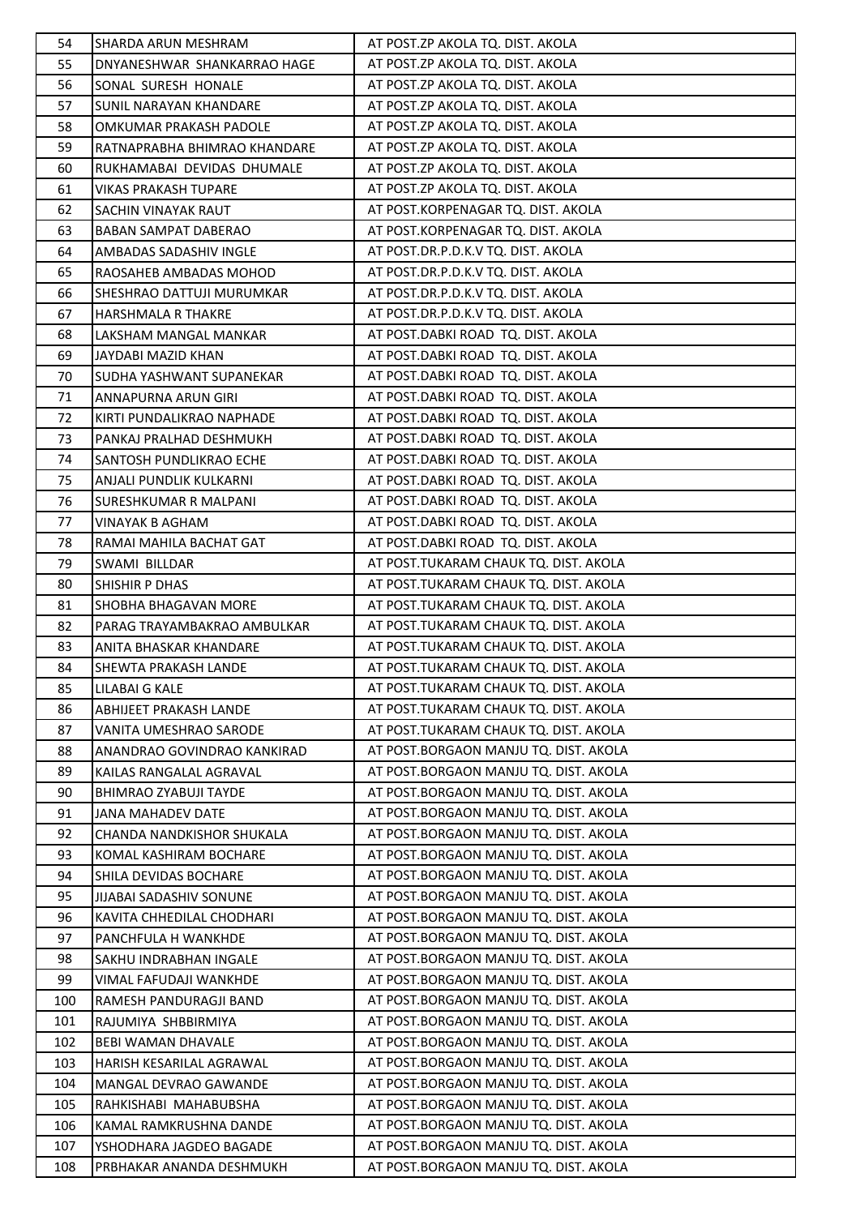| 54       | SHARDA ARUN MESHRAM                                   | AT POST.ZP AKOLA TQ. DIST. AKOLA                                               |
|----------|-------------------------------------------------------|--------------------------------------------------------------------------------|
| 55       | DNYANESHWAR SHANKARRAO HAGE                           | AT POST.ZP AKOLA TQ. DIST. AKOLA                                               |
| 56       | SONAL SURESH HONALE                                   | AT POST.ZP AKOLA TQ. DIST. AKOLA                                               |
| 57       | <b>SUNIL NARAYAN KHANDARE</b>                         | AT POST.ZP AKOLA TQ. DIST. AKOLA                                               |
| 58       | OMKUMAR PRAKASH PADOLE                                | AT POST.ZP AKOLA TQ. DIST. AKOLA                                               |
| 59       | RATNAPRABHA BHIMRAO KHANDARE                          | AT POST.ZP AKOLA TQ. DIST. AKOLA                                               |
| 60       | RUKHAMABAI DEVIDAS DHUMALE                            | AT POST.ZP AKOLA TQ. DIST. AKOLA                                               |
| 61       | <b>VIKAS PRAKASH TUPARE</b>                           | AT POST.ZP AKOLA TQ. DIST. AKOLA                                               |
| 62       | SACHIN VINAYAK RAUT                                   | AT POST.KORPENAGAR TQ. DIST. AKOLA                                             |
| 63       | BABAN SAMPAT DABERAO                                  | AT POST.KORPENAGAR TQ. DIST. AKOLA                                             |
| 64       | AMBADAS SADASHIV INGLE                                | AT POST.DR.P.D.K.V TQ. DIST. AKOLA                                             |
| 65       | RAOSAHEB AMBADAS MOHOD                                | AT POST.DR.P.D.K.V TQ. DIST. AKOLA                                             |
| 66       | SHESHRAO DATTUJI MURUMKAR                             | AT POST.DR.P.D.K.V TQ. DIST. AKOLA                                             |
| 67       | <b>HARSHMALA R THAKRE</b>                             | AT POST.DR.P.D.K.V TQ. DIST. AKOLA                                             |
| 68       | LAKSHAM MANGAL MANKAR                                 | AT POST.DABKI ROAD TQ. DIST. AKOLA                                             |
| 69       | JAYDABI MAZID KHAN                                    | AT POST.DABKI ROAD TQ. DIST. AKOLA                                             |
| 70       | SUDHA YASHWANT SUPANEKAR                              | AT POST.DABKI ROAD TQ. DIST. AKOLA                                             |
| 71       | ANNAPURNA ARUN GIRI                                   | AT POST.DABKI ROAD TQ. DIST. AKOLA                                             |
| 72       | KIRTI PUNDALIKRAO NAPHADE                             | AT POST.DABKI ROAD TQ. DIST. AKOLA                                             |
| 73       | PANKAJ PRALHAD DESHMUKH                               | AT POST.DABKI ROAD TQ. DIST. AKOLA                                             |
| 74       | SANTOSH PUNDLIKRAO ECHE                               | AT POST.DABKI ROAD TQ. DIST. AKOLA                                             |
| 75       | ANJALI PUNDLIK KULKARNI                               | AT POST.DABKI ROAD TQ. DIST. AKOLA                                             |
| 76       | <b>SURESHKUMAR R MALPANI</b>                          | AT POST.DABKI ROAD TQ. DIST. AKOLA                                             |
| 77       | VINAYAK B AGHAM                                       | AT POST.DABKI ROAD TQ. DIST. AKOLA                                             |
| 78       | RAMAI MAHILA BACHAT GAT                               | AT POST.DABKI ROAD TQ. DIST. AKOLA                                             |
| 79       |                                                       | AT POST.TUKARAM CHAUK TQ. DIST. AKOLA                                          |
| 80       | SWAMI BILLDAR<br><b>SHISHIR P DHAS</b>                | AT POST.TUKARAM CHAUK TQ. DIST. AKOLA                                          |
| 81       | SHOBHA BHAGAVAN MORE                                  | AT POST.TUKARAM CHAUK TQ. DIST. AKOLA                                          |
| 82       |                                                       | AT POST.TUKARAM CHAUK TQ. DIST. AKOLA                                          |
| 83       | PARAG TRAYAMBAKRAO AMBULKAR<br>ANITA BHASKAR KHANDARE | AT POST.TUKARAM CHAUK TQ. DIST. AKOLA                                          |
| 84       | <b>SHEWTA PRAKASH LANDE</b>                           | AT POST.TUKARAM CHAUK TQ. DIST. AKOLA                                          |
| 85       | LILABAI G KALE                                        | AT POST.TUKARAM CHAUK TQ. DIST. AKOLA                                          |
| 86       |                                                       | AT POST.TUKARAM CHAUK TQ. DIST. AKOLA                                          |
| 87       | ABHIJEET PRAKASH LANDE                                | AT POST.TUKARAM CHAUK TQ. DIST. AKOLA                                          |
| 88       | VANITA UMESHRAO SARODE                                | AT POST.BORGAON MANJU TQ. DIST. AKOLA                                          |
|          | ANANDRAO GOVINDRAO KANKIRAD                           | AT POST.BORGAON MANJU TQ. DIST. AKOLA                                          |
| 89       | KAILAS RANGALAL AGRAVAL                               | AT POST. BORGAON MANJU TO. DIST. AKOLA                                         |
| 90       | BHIMRAO ZYABUJI TAYDE                                 | AT POST. BORGAON MANJU TQ. DIST. AKOLA                                         |
| 91       | JANA MAHADEV DATE                                     |                                                                                |
| 92<br>93 | CHANDA NANDKISHOR SHUKALA<br>KOMAL KASHIRAM BOCHARE   | AT POST.BORGAON MANJU TQ. DIST. AKOLA                                          |
|          |                                                       | AT POST.BORGAON MANJU TQ. DIST. AKOLA                                          |
| 94       | SHILA DEVIDAS BOCHARE                                 | AT POST.BORGAON MANJU TQ. DIST. AKOLA<br>AT POST.BORGAON MANJU TQ. DIST. AKOLA |
| 95       | <b>JIJABAI SADASHIV SONUNE</b>                        |                                                                                |
| 96       | KAVITA CHHEDILAL CHODHARI                             | AT POST.BORGAON MANJU TQ. DIST. AKOLA                                          |
| 97       | PANCHFULA H WANKHDE                                   | AT POST.BORGAON MANJU TQ. DIST. AKOLA                                          |
| 98       | SAKHU INDRABHAN INGALE                                | AT POST.BORGAON MANJU TQ. DIST. AKOLA                                          |
| 99       | VIMAL FAFUDAJI WANKHDE                                | AT POST.BORGAON MANJU TQ. DIST. AKOLA                                          |
| 100      | RAMESH PANDURAGJI BAND                                | AT POST. BORGAON MANJU TQ. DIST. AKOLA                                         |
| 101      | RAJUMIYA SHBBIRMIYA                                   | AT POST.BORGAON MANJU TQ. DIST. AKOLA                                          |
| 102      | BEBI WAMAN DHAVALE                                    | AT POST.BORGAON MANJU TQ. DIST. AKOLA                                          |
| 103      | HARISH KESARILAL AGRAWAL                              | AT POST.BORGAON MANJU TQ. DIST. AKOLA                                          |
| 104      | MANGAL DEVRAO GAWANDE                                 | AT POST.BORGAON MANJU TQ. DIST. AKOLA                                          |
| 105      | RAHKISHABI MAHABUBSHA                                 | AT POST. BORGAON MANJU TQ. DIST. AKOLA                                         |
| 106      | KAMAL RAMKRUSHNA DANDE                                | AT POST.BORGAON MANJU TQ. DIST. AKOLA                                          |
| 107      | YSHODHARA JAGDEO BAGADE                               | AT POST.BORGAON MANJU TQ. DIST. AKOLA                                          |
| 108      | PRBHAKAR ANANDA DESHMUKH                              | AT POST.BORGAON MANJU TQ. DIST. AKOLA                                          |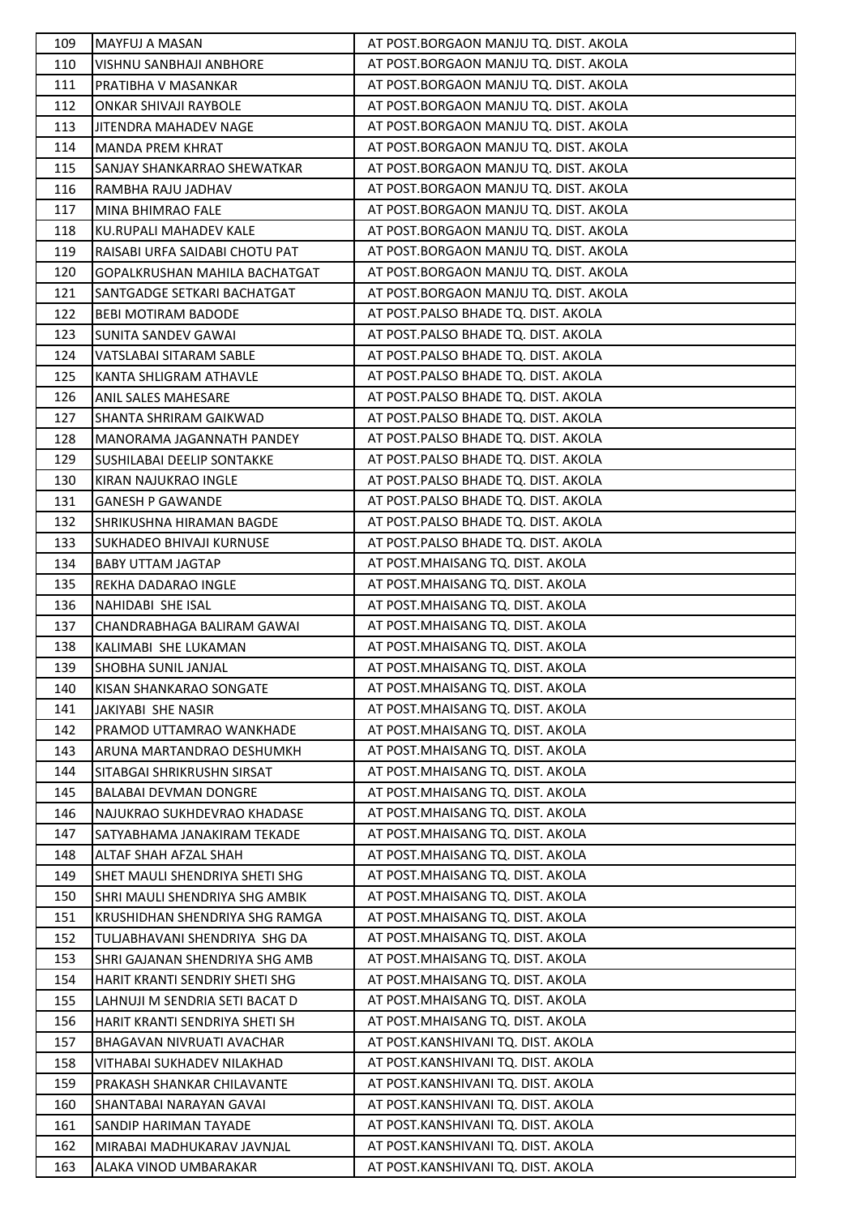| 109        | <b>MAYFUJ A MASAN</b>                                   | AT POST.BORGAON MANJU TQ. DIST. AKOLA |
|------------|---------------------------------------------------------|---------------------------------------|
| 110        | VISHNU SANBHAJI ANBHORE                                 | AT POST.BORGAON MANJU TQ. DIST. AKOLA |
| 111        | PRATIBHA V MASANKAR                                     | AT POST.BORGAON MANJU TQ. DIST. AKOLA |
| 112        | <b>ONKAR SHIVAJI RAYBOLE</b>                            | AT POST.BORGAON MANJU TQ. DIST. AKOLA |
| 113        | JITENDRA MAHADEV NAGE                                   | AT POST.BORGAON MANJU TQ. DIST. AKOLA |
| 114        | <b>MANDA PREM KHRAT</b>                                 | AT POST.BORGAON MANJU TQ. DIST. AKOLA |
| 115        | SANJAY SHANKARRAO SHEWATKAR                             | AT POST.BORGAON MANJU TQ. DIST. AKOLA |
| 116        | RAMBHA RAJU JADHAV                                      | AT POST.BORGAON MANJU TQ. DIST. AKOLA |
| 117        | MINA BHIMRAO FALE                                       | AT POST.BORGAON MANJU TQ. DIST. AKOLA |
| 118        | KU.RUPALI MAHADEV KALE                                  | AT POST.BORGAON MANJU TQ. DIST. AKOLA |
| 119        | RAISABI URFA SAIDABI CHOTU PAT                          | AT POST.BORGAON MANJU TQ. DIST. AKOLA |
| 120        | GOPALKRUSHAN MAHILA BACHATGAT                           | AT POST.BORGAON MANJU TQ. DIST. AKOLA |
| 121        | SANTGADGE SETKARI BACHATGAT                             | AT POST.BORGAON MANJU TQ. DIST. AKOLA |
| 122        | <b>BEBI MOTIRAM BADODE</b>                              | AT POST.PALSO BHADE TQ. DIST. AKOLA   |
| 123        | SUNITA SANDEV GAWAI                                     | AT POST.PALSO BHADE TQ. DIST. AKOLA   |
| 124        | VATSLABAI SITARAM SABLE                                 | AT POST.PALSO BHADE TQ. DIST. AKOLA   |
| 125        | KANTA SHLIGRAM ATHAVLE                                  | AT POST.PALSO BHADE TQ. DIST. AKOLA   |
| 126        | ANIL SALES MAHESARE                                     | AT POST.PALSO BHADE TQ. DIST. AKOLA   |
| 127        | SHANTA SHRIRAM GAIKWAD                                  | AT POST.PALSO BHADE TQ. DIST. AKOLA   |
| 128        | <b>MANORAMA JAGANNATH PANDEY</b>                        | AT POST.PALSO BHADE TQ. DIST. AKOLA   |
| 129        | SUSHILABAI DEELIP SONTAKKE                              | AT POST.PALSO BHADE TQ. DIST. AKOLA   |
| 130        | KIRAN NAJUKRAO INGLE                                    | AT POST.PALSO BHADE TQ. DIST. AKOLA   |
| 131        | <b>GANESH P GAWANDE</b>                                 | AT POST.PALSO BHADE TQ. DIST. AKOLA   |
| 132        | SHRIKUSHNA HIRAMAN BAGDE                                | AT POST.PALSO BHADE TQ. DIST. AKOLA   |
| 133        | SUKHADEO BHIVAJI KURNUSE                                | AT POST.PALSO BHADE TQ. DIST. AKOLA   |
| 134        | <b>BABY UTTAM JAGTAP</b>                                | AT POST.MHAISANG TQ. DIST. AKOLA      |
| 135        | REKHA DADARAO INGLE                                     | AT POST.MHAISANG TQ. DIST. AKOLA      |
| 136        | NAHIDABI SHE ISAL                                       | AT POST.MHAISANG TQ. DIST. AKOLA      |
| 137        | CHANDRABHAGA BALIRAM GAWAI                              | AT POST.MHAISANG TQ. DIST. AKOLA      |
| 138        | KALIMABI SHE LUKAMAN                                    | AT POST.MHAISANG TQ. DIST. AKOLA      |
| 139        | SHOBHA SUNIL JANJAL                                     | AT POST.MHAISANG TQ. DIST. AKOLA      |
| 140        | KISAN SHANKARAO SONGATE                                 | AT POST. MHAISANG TO. DIST. AKOLA     |
| 141        | JAKIYABI SHE NASIR                                      | AT POST.MHAISANG TQ. DIST. AKOLA      |
| 142        | PRAMOD UTTAMRAO WANKHADE                                | AT POST.MHAISANG TQ. DIST. AKOLA      |
| 143        | ARUNA MARTANDRAO DESHUMKH                               | AT POST.MHAISANG TQ. DIST. AKOLA      |
| 144        | SITABGAI SHRIKRUSHN SIRSAT                              | AT POST.MHAISANG TQ. DIST. AKOLA      |
| 145        | <b>BALABAI DEVMAN DONGRE</b>                            | AT POST.MHAISANG TQ. DIST. AKOLA      |
| 146        | NAJUKRAO SUKHDEVRAO KHADASE                             | AT POST.MHAISANG TQ. DIST. AKOLA      |
| 147        | SATYABHAMA JANAKIRAM TEKADE                             | AT POST.MHAISANG TQ. DIST. AKOLA      |
| 148        | ALTAF SHAH AFZAL SHAH                                   | AT POST.MHAISANG TQ. DIST. AKOLA      |
| 149        | SHET MAULI SHENDRIYA SHETI SHG                          | AT POST.MHAISANG TQ. DIST. AKOLA      |
| 150        | SHRI MAULI SHENDRIYA SHG AMBIK                          | AT POST.MHAISANG TQ. DIST. AKOLA      |
| 151        | KRUSHIDHAN SHENDRIYA SHG RAMGA                          | AT POST.MHAISANG TQ. DIST. AKOLA      |
| 152        | TULJABHAVANI SHENDRIYA SHG DA                           | AT POST.MHAISANG TQ. DIST. AKOLA      |
| 153        | SHRI GAJANAN SHENDRIYA SHG AMB                          | AT POST.MHAISANG TQ. DIST. AKOLA      |
| 154        | HARIT KRANTI SENDRIY SHETI SHG                          | AT POST.MHAISANG TQ. DIST. AKOLA      |
| 155        | LAHNUJI M SENDRIA SETI BACAT D                          | AT POST.MHAISANG TQ. DIST. AKOLA      |
|            |                                                         | AT POST.MHAISANG TQ. DIST. AKOLA      |
| 156        | HARIT KRANTI SENDRIYA SHETI SH                          | AT POST.KANSHIVANI TQ. DIST. AKOLA    |
| 157<br>158 | BHAGAVAN NIVRUATI AVACHAR<br>VITHABAI SUKHADEV NILAKHAD | AT POST.KANSHIVANI TQ. DIST. AKOLA    |
|            | PRAKASH SHANKAR CHILAVANTE                              | AT POST.KANSHIVANI TQ. DIST. AKOLA    |
| 159<br>160 |                                                         | AT POST.KANSHIVANI TQ. DIST. AKOLA    |
|            | SHANTABAI NARAYAN GAVAI                                 | AT POST.KANSHIVANI TQ. DIST. AKOLA    |
| 161        | SANDIP HARIMAN TAYADE                                   | AT POST.KANSHIVANI TQ. DIST. AKOLA    |
| 162        | MIRABAI MADHUKARAV JAVNJAL                              |                                       |
| 163        | ALAKA VINOD UMBARAKAR                                   | AT POST.KANSHIVANI TQ. DIST. AKOLA    |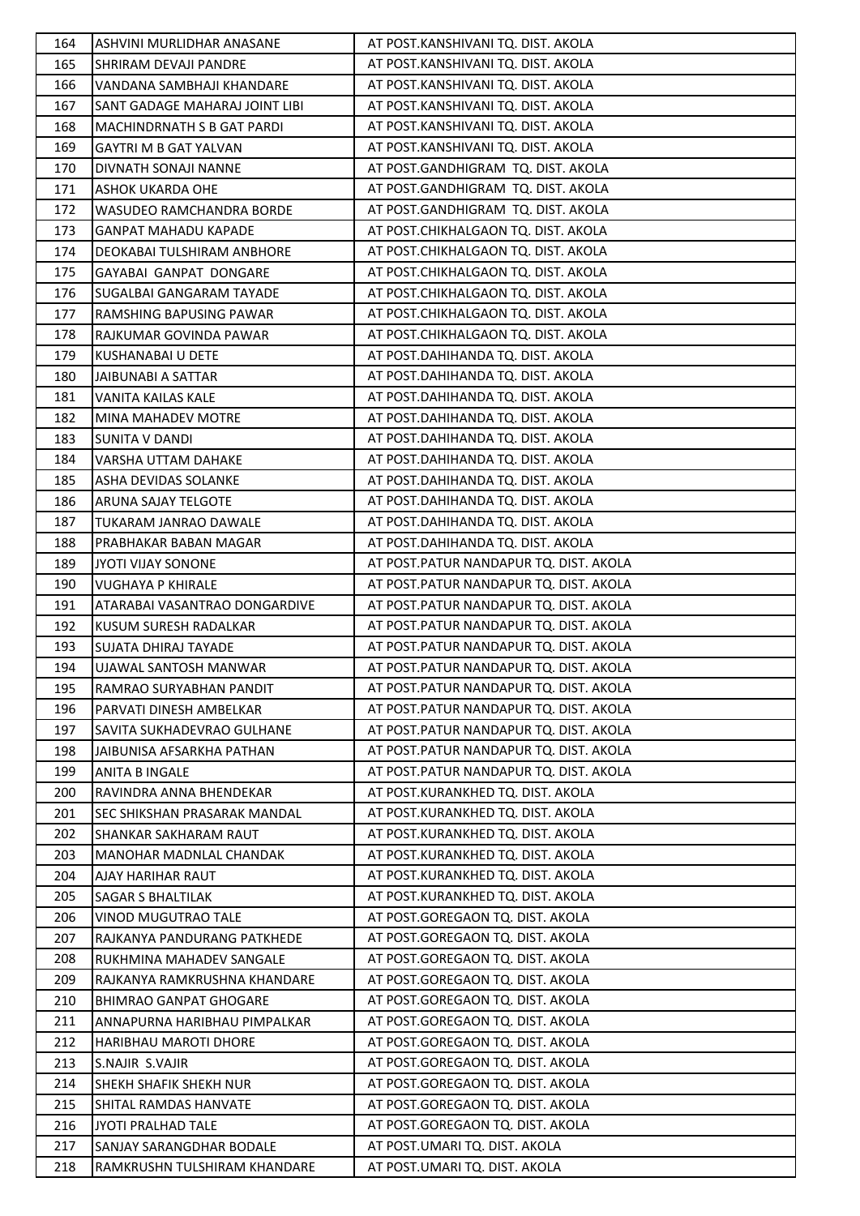| 164 | ASHVINI MURLIDHAR ANASANE           | AT POST.KANSHIVANI TQ. DIST. AKOLA      |
|-----|-------------------------------------|-----------------------------------------|
| 165 | SHRIRAM DEVAJI PANDRE               | AT POST.KANSHIVANI TQ. DIST. AKOLA      |
| 166 | VANDANA SAMBHAJI KHANDARE           | AT POST.KANSHIVANI TQ. DIST. AKOLA      |
| 167 | SANT GADAGE MAHARAJ JOINT LIBI      | AT POST.KANSHIVANI TQ. DIST. AKOLA      |
| 168 | <b>MACHINDRNATH S B GAT PARDI</b>   | AT POST.KANSHIVANI TQ. DIST. AKOLA      |
| 169 | <b>GAYTRI M B GAT YALVAN</b>        | AT POST.KANSHIVANI TQ. DIST. AKOLA      |
| 170 | DIVNATH SONAJI NANNE                | AT POST.GANDHIGRAM TQ. DIST. AKOLA      |
| 171 | <b>ASHOK UKARDA OHE</b>             | AT POST.GANDHIGRAM TQ. DIST. AKOLA      |
| 172 | <b>WASUDEO RAMCHANDRA BORDE</b>     | AT POST.GANDHIGRAM TQ. DIST. AKOLA      |
| 173 | <b>GANPAT MAHADU KAPADE</b>         | AT POST.CHIKHALGAON TQ. DIST. AKOLA     |
| 174 | DEOKABAI TULSHIRAM ANBHORE          | AT POST.CHIKHALGAON TQ. DIST. AKOLA     |
| 175 | GAYABAI GANPAT DONGARE              | AT POST.CHIKHALGAON TQ. DIST. AKOLA     |
| 176 | <b>SUGALBAI GANGARAM TAYADE</b>     | AT POST.CHIKHALGAON TQ. DIST. AKOLA     |
| 177 | RAMSHING BAPUSING PAWAR             | AT POST.CHIKHALGAON TQ. DIST. AKOLA     |
| 178 | RAJKUMAR GOVINDA PAWAR              | AT POST.CHIKHALGAON TQ. DIST. AKOLA     |
| 179 | KUSHANABAI U DETE                   | AT POST.DAHIHANDA TQ. DIST. AKOLA       |
| 180 | JAIBUNABI A SATTAR                  | AT POST.DAHIHANDA TQ. DIST. AKOLA       |
| 181 | VANITA KAILAS KALE                  | AT POST.DAHIHANDA TQ. DIST. AKOLA       |
| 182 | <b>MINA MAHADEV MOTRE</b>           | AT POST.DAHIHANDA TQ. DIST. AKOLA       |
| 183 | SUNITA V DANDI                      | AT POST.DAHIHANDA TQ. DIST. AKOLA       |
| 184 | VARSHA UTTAM DAHAKE                 | AT POST.DAHIHANDA TQ. DIST. AKOLA       |
| 185 | ASHA DEVIDAS SOLANKE                | AT POST.DAHIHANDA TQ. DIST. AKOLA       |
| 186 | ARUNA SAJAY TELGOTE                 | AT POST.DAHIHANDA TQ. DIST. AKOLA       |
| 187 | TUKARAM JANRAO DAWALE               | AT POST.DAHIHANDA TQ. DIST. AKOLA       |
| 188 | PRABHAKAR BABAN MAGAR               | AT POST.DAHIHANDA TQ. DIST. AKOLA       |
| 189 | JYOTI VIJAY SONONE                  | AT POST.PATUR NANDAPUR TQ. DIST. AKOLA  |
| 190 | VUGHAYA P KHIRALE                   | AT POST.PATUR NANDAPUR TQ. DIST. AKOLA  |
| 191 | ATARABAI VASANTRAO DONGARDIVE       | AT POST.PATUR NANDAPUR TQ. DIST. AKOLA  |
| 192 | KUSUM SURESH RADALKAR               | AT POST.PATUR NANDAPUR TQ. DIST. AKOLA  |
| 193 | SUJATA DHIRAJ TAYADE                | AT POST.PATUR NANDAPUR TQ. DIST. AKOLA  |
| 194 | UJAWAL SANTOSH MANWAR               | AT POST.PATUR NANDAPUR TQ. DIST. AKOLA  |
| 195 | RAMRAO SURYABHAN PANDIT             | AT POST.PATUR NANDAPUR TQ. DIST. AKOLA  |
| 196 | PARVATI DINESH AMBELKAR             | AT POST. PATUR NANDAPUR TO. DIST. AKOLA |
| 197 | SAVITA SUKHADEVRAO GULHANE          | AT POST.PATUR NANDAPUR TQ. DIST. AKOLA  |
| 198 | JAIBUNISA AFSARKHA PATHAN           | AT POST.PATUR NANDAPUR TQ. DIST. AKOLA  |
| 199 | <b>ANITA B INGALE</b>               | AT POST. PATUR NANDAPUR TO. DIST. AKOLA |
| 200 | RAVINDRA ANNA BHENDEKAR             | AT POST.KURANKHED TQ. DIST. AKOLA       |
| 201 | <b>SEC SHIKSHAN PRASARAK MANDAL</b> | AT POST.KURANKHED TO. DIST. AKOLA       |
| 202 | SHANKAR SAKHARAM RAUT               | AT POST.KURANKHED TQ. DIST. AKOLA       |
| 203 | <b>MANOHAR MADNLAL CHANDAK</b>      | AT POST.KURANKHED TQ. DIST. AKOLA       |
| 204 | AJAY HARIHAR RAUT                   | AT POST.KURANKHED TQ. DIST. AKOLA       |
| 205 | <b>SAGAR S BHALTILAK</b>            | AT POST.KURANKHED TQ. DIST. AKOLA       |
| 206 | <b>VINOD MUGUTRAO TALE</b>          | AT POST.GOREGAON TQ. DIST. AKOLA        |
| 207 | RAJKANYA PANDURANG PATKHEDE         | AT POST.GOREGAON TQ. DIST. AKOLA        |
| 208 | RUKHMINA MAHADEV SANGALE            | AT POST.GOREGAON TQ. DIST. AKOLA        |
| 209 | RAJKANYA RAMKRUSHNA KHANDARE        | AT POST.GOREGAON TQ. DIST. AKOLA        |
| 210 | BHIMRAO GANPAT GHOGARE              | AT POST.GOREGAON TQ. DIST. AKOLA        |
| 211 | ANNAPURNA HARIBHAU PIMPALKAR        | AT POST.GOREGAON TQ. DIST. AKOLA        |
| 212 | <b>HARIBHAU MAROTI DHORE</b>        | AT POST.GOREGAON TQ. DIST. AKOLA        |
| 213 | S.NAJIR S.VAJIR                     | AT POST.GOREGAON TQ. DIST. AKOLA        |
| 214 | SHEKH SHAFIK SHEKH NUR              | AT POST.GOREGAON TQ. DIST. AKOLA        |
| 215 | <b>SHITAL RAMDAS HANVATE</b>        | AT POST.GOREGAON TQ. DIST. AKOLA        |
| 216 | JYOTI PRALHAD TALE                  | AT POST.GOREGAON TQ. DIST. AKOLA        |
| 217 | SANJAY SARANGDHAR BODALE            | AT POST.UMARI TQ. DIST. AKOLA           |
| 218 | RAMKRUSHN TULSHIRAM KHANDARE        | AT POST.UMARI TQ. DIST. AKOLA           |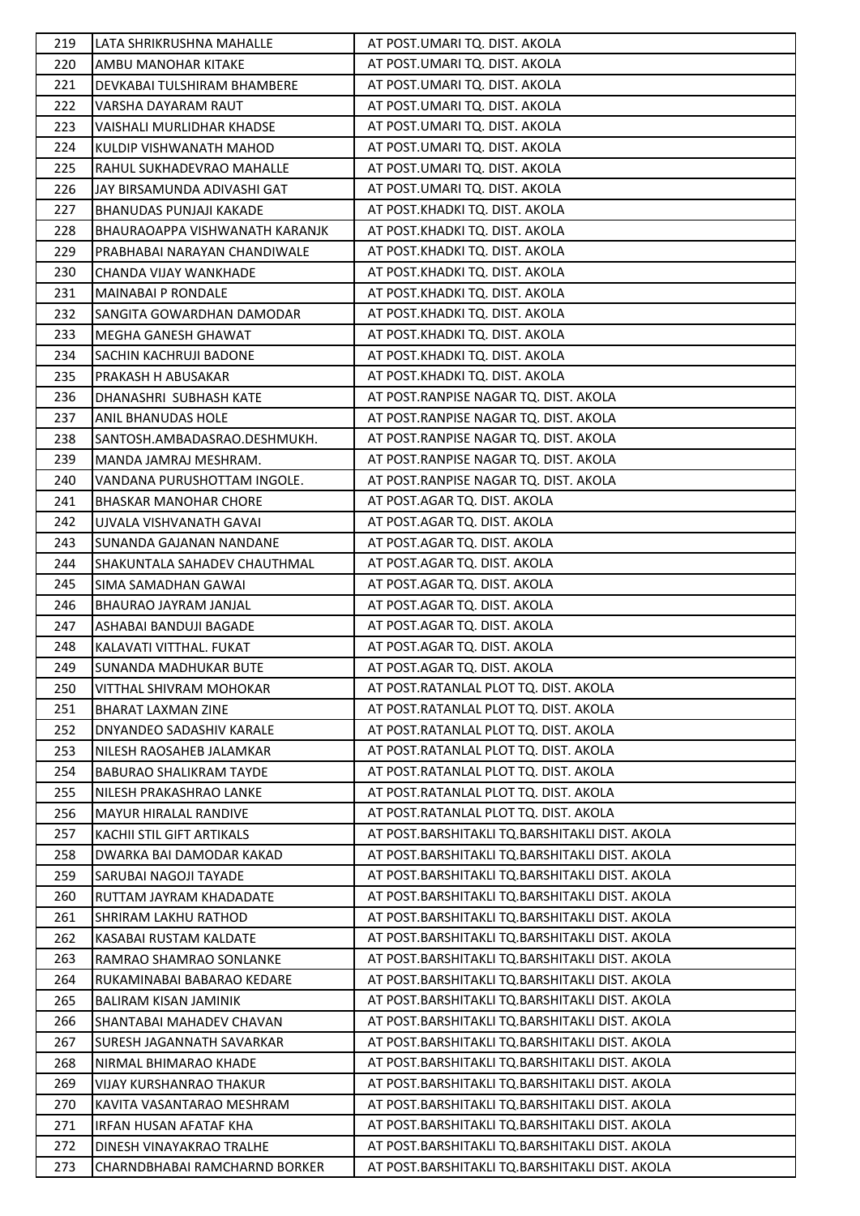| 219 | LATA SHRIKRUSHNA MAHALLE       | AT POST.UMARI TQ. DIST. AKOLA                  |
|-----|--------------------------------|------------------------------------------------|
| 220 | AMBU MANOHAR KITAKE            | AT POST.UMARI TQ. DIST. AKOLA                  |
| 221 | DEVKABAI TULSHIRAM BHAMBERE    | AT POST.UMARI TQ. DIST. AKOLA                  |
| 222 | VARSHA DAYARAM RAUT            | AT POST.UMARI TQ. DIST. AKOLA                  |
| 223 | VAISHALI MURLIDHAR KHADSE      | AT POST.UMARI TQ. DIST. AKOLA                  |
| 224 | KULDIP VISHWANATH MAHOD        | AT POST.UMARI TQ. DIST. AKOLA                  |
| 225 | RAHUL SUKHADEVRAO MAHALLE      | AT POST.UMARI TQ. DIST. AKOLA                  |
| 226 | JAY BIRSAMUNDA ADIVASHI GAT    | AT POST.UMARI TQ. DIST. AKOLA                  |
| 227 | BHANUDAS PUNJAJI KAKADE        | AT POST.KHADKI TQ. DIST. AKOLA                 |
| 228 | BHAURAOAPPA VISHWANATH KARANJK | AT POST.KHADKI TQ. DIST. AKOLA                 |
| 229 | PRABHABAI NARAYAN CHANDIWALE   | AT POST.KHADKI TQ. DIST. AKOLA                 |
| 230 | CHANDA VIJAY WANKHADE          | AT POST.KHADKI TQ. DIST. AKOLA                 |
| 231 | <b>MAINABAI P RONDALE</b>      | AT POST.KHADKI TQ. DIST. AKOLA                 |
| 232 | SANGITA GOWARDHAN DAMODAR      | AT POST.KHADKI TQ. DIST. AKOLA                 |
| 233 | MEGHA GANESH GHAWAT            | AT POST.KHADKI TQ. DIST. AKOLA                 |
| 234 | SACHIN KACHRUJI BADONE         | AT POST.KHADKI TQ. DIST. AKOLA                 |
| 235 | PRAKASH H ABUSAKAR             | AT POST.KHADKI TQ. DIST. AKOLA                 |
| 236 | DHANASHRI SUBHASH KATE         | AT POST.RANPISE NAGAR TQ. DIST. AKOLA          |
| 237 | ANIL BHANUDAS HOLE             | AT POST.RANPISE NAGAR TQ. DIST. AKOLA          |
| 238 | SANTOSH.AMBADASRAO.DESHMUKH.   | AT POST.RANPISE NAGAR TQ. DIST. AKOLA          |
| 239 | MANDA JAMRAJ MESHRAM.          | AT POST.RANPISE NAGAR TQ. DIST. AKOLA          |
| 240 | VANDANA PURUSHOTTAM INGOLE.    | AT POST.RANPISE NAGAR TQ. DIST. AKOLA          |
| 241 | <b>BHASKAR MANOHAR CHORE</b>   | AT POST.AGAR TQ. DIST. AKOLA                   |
| 242 | UJVALA VISHVANATH GAVAI        | AT POST.AGAR TQ. DIST. AKOLA                   |
| 243 | SUNANDA GAJANAN NANDANE        | AT POST.AGAR TQ. DIST. AKOLA                   |
| 244 | SHAKUNTALA SAHADEV CHAUTHMAL   | AT POST.AGAR TQ. DIST. AKOLA                   |
| 245 | SIMA SAMADHAN GAWAI            | AT POST.AGAR TQ. DIST. AKOLA                   |
| 246 | BHAURAO JAYRAM JANJAL          | AT POST.AGAR TQ. DIST. AKOLA                   |
| 247 | ASHABAI BANDUJI BAGADE         | AT POST.AGAR TQ. DIST. AKOLA                   |
| 248 | KALAVATI VITTHAL. FUKAT        | AT POST.AGAR TQ. DIST. AKOLA                   |
| 249 | SUNANDA MADHUKAR BUTE          | AT POST.AGAR TQ. DIST. AKOLA                   |
| 250 | VITTHAL SHIVRAM MOHOKAR        | AT POST.RATANLAL PLOT TQ. DIST. AKOLA          |
| 251 | <b>BHARAT LAXMAN ZINE</b>      | AT POST.RATANLAL PLOT TQ. DIST. AKOLA          |
| 252 | DNYANDEO SADASHIV KARALE       | AT POST.RATANLAL PLOT TQ. DIST. AKOLA          |
| 253 | NILESH RAOSAHEB JALAMKAR       | AT POST.RATANLAL PLOT TQ. DIST. AKOLA          |
| 254 | <b>BABURAO SHALIKRAM TAYDE</b> | AT POST.RATANLAL PLOT TQ. DIST. AKOLA          |
| 255 | NILESH PRAKASHRAO LANKE        | AT POST. RATANLAL PLOT TO. DIST. AKOLA         |
| 256 | MAYUR HIRALAL RANDIVE          | AT POST.RATANLAL PLOT TQ. DIST. AKOLA          |
| 257 | KACHII STIL GIFT ARTIKALS      | AT POST.BARSHITAKLI TQ.BARSHITAKLI DIST. AKOLA |
| 258 | DWARKA BAI DAMODAR KAKAD       | AT POST.BARSHITAKLI TQ.BARSHITAKLI DIST. AKOLA |
| 259 | SARUBAI NAGOJI TAYADE          | AT POST.BARSHITAKLI TQ.BARSHITAKLI DIST. AKOLA |
| 260 | RUTTAM JAYRAM KHADADATE        | AT POST.BARSHITAKLI TQ.BARSHITAKLI DIST. AKOLA |
| 261 | SHRIRAM LAKHU RATHOD           | AT POST.BARSHITAKLI TQ.BARSHITAKLI DIST. AKOLA |
| 262 | KASABAI RUSTAM KALDATE         | AT POST.BARSHITAKLI TQ.BARSHITAKLI DIST. AKOLA |
| 263 | RAMRAO SHAMRAO SONLANKE        | AT POST.BARSHITAKLI TQ.BARSHITAKLI DIST. AKOLA |
| 264 | RUKAMINABAI BABARAO KEDARE     | AT POST.BARSHITAKLI TQ.BARSHITAKLI DIST. AKOLA |
| 265 | <b>BALIRAM KISAN JAMINIK</b>   | AT POST.BARSHITAKLI TQ.BARSHITAKLI DIST. AKOLA |
| 266 | SHANTABAI MAHADEV CHAVAN       | AT POST.BARSHITAKLI TQ.BARSHITAKLI DIST. AKOLA |
| 267 | SURESH JAGANNATH SAVARKAR      | AT POST.BARSHITAKLI TQ.BARSHITAKLI DIST. AKOLA |
| 268 | NIRMAL BHIMARAO KHADE          | AT POST.BARSHITAKLI TQ.BARSHITAKLI DIST. AKOLA |
| 269 | VIJAY KURSHANRAO THAKUR        | AT POST.BARSHITAKLI TQ.BARSHITAKLI DIST. AKOLA |
| 270 | KAVITA VASANTARAO MESHRAM      | AT POST.BARSHITAKLI TQ.BARSHITAKLI DIST. AKOLA |
| 271 | IRFAN HUSAN AFATAF KHA         | AT POST.BARSHITAKLI TQ.BARSHITAKLI DIST. AKOLA |
| 272 | DINESH VINAYAKRAO TRALHE       | AT POST.BARSHITAKLI TQ.BARSHITAKLI DIST. AKOLA |
| 273 | CHARNDBHABAI RAMCHARND BORKER  | AT POST.BARSHITAKLI TQ.BARSHITAKLI DIST. AKOLA |
|     |                                |                                                |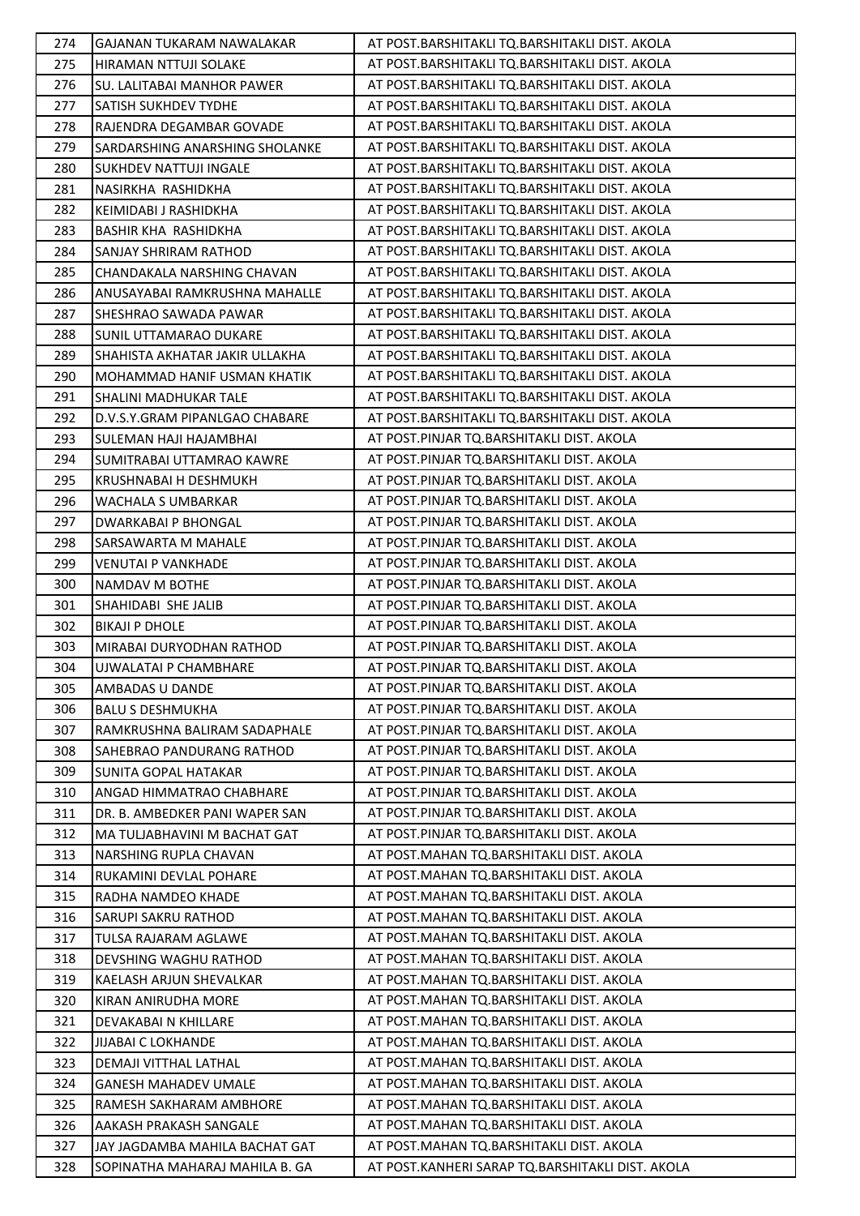| 274 | GAJANAN TUKARAM NAWALAKAR      | AT POST.BARSHITAKLI TQ.BARSHITAKLI DIST. AKOLA   |
|-----|--------------------------------|--------------------------------------------------|
| 275 | HIRAMAN NTTUJI SOLAKE          | AT POST.BARSHITAKLI TQ.BARSHITAKLI DIST. AKOLA   |
| 276 | SU. LALITABAI MANHOR PAWER     | AT POST.BARSHITAKLI TQ.BARSHITAKLI DIST. AKOLA   |
| 277 | <b>SATISH SUKHDEV TYDHE</b>    | AT POST.BARSHITAKLI TQ.BARSHITAKLI DIST. AKOLA   |
| 278 | RAJENDRA DEGAMBAR GOVADE       | AT POST.BARSHITAKLI TQ.BARSHITAKLI DIST. AKOLA   |
| 279 | SARDARSHING ANARSHING SHOLANKE | AT POST.BARSHITAKLI TQ.BARSHITAKLI DIST. AKOLA   |
| 280 | SUKHDEV NATTUJI INGALE         | AT POST.BARSHITAKLI TQ.BARSHITAKLI DIST. AKOLA   |
| 281 | NASIRKHA RASHIDKHA             | AT POST.BARSHITAKLI TQ.BARSHITAKLI DIST. AKOLA   |
| 282 | KEIMIDABI J RASHIDKHA          | AT POST.BARSHITAKLI TQ.BARSHITAKLI DIST. AKOLA   |
| 283 | BASHIR KHA RASHIDKHA           | AT POST.BARSHITAKLI TQ.BARSHITAKLI DIST. AKOLA   |
| 284 | SANJAY SHRIRAM RATHOD          | AT POST.BARSHITAKLI TQ.BARSHITAKLI DIST. AKOLA   |
| 285 | CHANDAKALA NARSHING CHAVAN     | AT POST.BARSHITAKLI TQ.BARSHITAKLI DIST. AKOLA   |
| 286 | ANUSAYABAI RAMKRUSHNA MAHALLE  | AT POST.BARSHITAKLI TQ.BARSHITAKLI DIST. AKOLA   |
| 287 | SHESHRAO SAWADA PAWAR          | AT POST.BARSHITAKLI TQ.BARSHITAKLI DIST. AKOLA   |
| 288 | SUNIL UTTAMARAO DUKARE         | AT POST.BARSHITAKLI TQ.BARSHITAKLI DIST. AKOLA   |
| 289 | SHAHISTA AKHATAR JAKIR ULLAKHA | AT POST.BARSHITAKLI TQ.BARSHITAKLI DIST. AKOLA   |
| 290 | MOHAMMAD HANIF USMAN KHATIK    | AT POST.BARSHITAKLI TQ.BARSHITAKLI DIST. AKOLA   |
| 291 | SHALINI MADHUKAR TALE          | AT POST.BARSHITAKLI TQ.BARSHITAKLI DIST. AKOLA   |
| 292 | D.V.S.Y.GRAM PIPANLGAO CHABARE | AT POST.BARSHITAKLI TQ.BARSHITAKLI DIST. AKOLA   |
| 293 | SULEMAN HAJI HAJAMBHAI         | AT POST.PINJAR TQ.BARSHITAKLI DIST. AKOLA        |
| 294 | SUMITRABAI UTTAMRAO KAWRE      | AT POST.PINJAR TQ.BARSHITAKLI DIST. AKOLA        |
| 295 | KRUSHNABAI H DESHMUKH          | AT POST.PINJAR TQ.BARSHITAKLI DIST. AKOLA        |
| 296 | WACHALA S UMBARKAR             | AT POST.PINJAR TQ.BARSHITAKLI DIST. AKOLA        |
| 297 | DWARKABAI P BHONGAL            | AT POST.PINJAR TQ.BARSHITAKLI DIST. AKOLA        |
| 298 | SARSAWARTA M MAHALE            | AT POST.PINJAR TQ.BARSHITAKLI DIST. AKOLA        |
| 299 | <b>VENUTAI P VANKHADE</b>      | AT POST.PINJAR TQ.BARSHITAKLI DIST. AKOLA        |
| 300 | NAMDAV M BOTHE                 | AT POST.PINJAR TQ.BARSHITAKLI DIST. AKOLA        |
| 301 | SHAHIDABI SHE JALIB            | AT POST.PINJAR TQ.BARSHITAKLI DIST. AKOLA        |
| 302 | <b>BIKAJI P DHOLE</b>          | AT POST.PINJAR TQ.BARSHITAKLI DIST. AKOLA        |
| 303 | MIRABAI DURYODHAN RATHOD       | AT POST.PINJAR TQ.BARSHITAKLI DIST. AKOLA        |
| 304 | UJWALATAI P CHAMBHARE          | AT POST.PINJAR TQ.BARSHITAKLI DIST. AKOLA        |
| 305 | <b>AMBADAS U DANDE</b>         | AT POST.PINJAR TQ.BARSHITAKLI DIST. AKOLA        |
| 306 | <b>BALU S DESHMUKHA</b>        | AT POST.PINJAR TQ.BARSHITAKLI DIST. AKOLA        |
| 307 | RAMKRUSHNA BALIRAM SADAPHALE   | AT POST.PINJAR TQ.BARSHITAKLI DIST. AKOLA        |
| 308 | SAHEBRAO PANDURANG RATHOD      | AT POST.PINJAR TQ.BARSHITAKLI DIST. AKOLA        |
| 309 | SUNITA GOPAL HATAKAR           | AT POST.PINJAR TQ.BARSHITAKLI DIST. AKOLA        |
| 310 | ANGAD HIMMATRAO CHABHARE       | AT POST.PINJAR TQ.BARSHITAKLI DIST. AKOLA        |
| 311 | DR. B. AMBEDKER PANI WAPER SAN | AT POST.PINJAR TQ.BARSHITAKLI DIST. AKOLA        |
| 312 | MA TULJABHAVINI M BACHAT GAT   | AT POST.PINJAR TQ.BARSHITAKLI DIST. AKOLA        |
| 313 | NARSHING RUPLA CHAVAN          | AT POST.MAHAN TQ.BARSHITAKLI DIST. AKOLA         |
| 314 | RUKAMINI DEVLAL POHARE         | AT POST.MAHAN TQ.BARSHITAKLI DIST. AKOLA         |
| 315 | RADHA NAMDEO KHADE             | AT POST.MAHAN TQ.BARSHITAKLI DIST. AKOLA         |
| 316 | SARUPI SAKRU RATHOD            | AT POST.MAHAN TQ.BARSHITAKLI DIST. AKOLA         |
| 317 | TULSA RAJARAM AGLAWE           | AT POST.MAHAN TQ.BARSHITAKLI DIST. AKOLA         |
| 318 | DEVSHING WAGHU RATHOD          | AT POST.MAHAN TQ.BARSHITAKLI DIST. AKOLA         |
| 319 | KAELASH ARJUN SHEVALKAR        | AT POST. MAHAN TQ. BARSHITAKLI DIST. AKOLA       |
| 320 | KIRAN ANIRUDHA MORE            | AT POST.MAHAN TQ.BARSHITAKLI DIST. AKOLA         |
| 321 | DEVAKABAI N KHILLARE           | AT POST.MAHAN TQ.BARSHITAKLI DIST. AKOLA         |
| 322 | <b>JIJABAI C LOKHANDE</b>      | AT POST.MAHAN TQ.BARSHITAKLI DIST. AKOLA         |
| 323 | DEMAJI VITTHAL LATHAL          | AT POST.MAHAN TQ.BARSHITAKLI DIST. AKOLA         |
| 324 | <b>GANESH MAHADEV UMALE</b>    | AT POST.MAHAN TQ.BARSHITAKLI DIST. AKOLA         |
| 325 | RAMESH SAKHARAM AMBHORE        | AT POST.MAHAN TQ.BARSHITAKLI DIST. AKOLA         |
| 326 | AAKASH PRAKASH SANGALE         | AT POST.MAHAN TQ.BARSHITAKLI DIST. AKOLA         |
| 327 | JAY JAGDAMBA MAHILA BACHAT GAT | AT POST.MAHAN TQ.BARSHITAKLI DIST. AKOLA         |
| 328 | SOPINATHA MAHARAJ MAHILA B. GA | AT POST.KANHERI SARAP TQ.BARSHITAKLI DIST. AKOLA |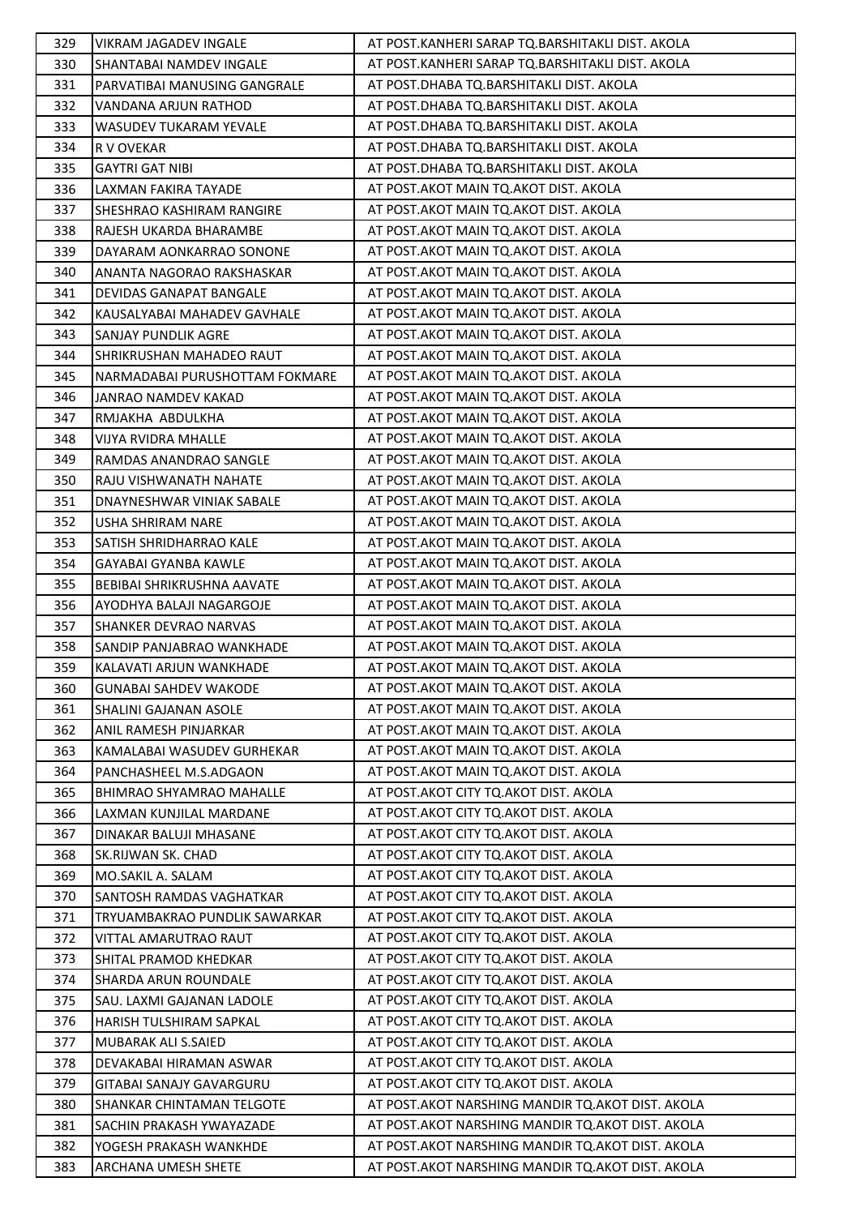| 329 | VIKRAM JAGADEV INGALE           | AT POST.KANHERI SARAP TQ.BARSHITAKLI DIST. AKOLA   |
|-----|---------------------------------|----------------------------------------------------|
| 330 | SHANTABAI NAMDEV INGALE         | AT POST.KANHERI SARAP TQ.BARSHITAKLI DIST. AKOLA   |
| 331 | PARVATIBAI MANUSING GANGRALE    | AT POST.DHABA TQ.BARSHITAKLI DIST. AKOLA           |
| 332 | VANDANA ARJUN RATHOD            | AT POST.DHABA TQ.BARSHITAKLI DIST. AKOLA           |
| 333 | WASUDEV TUKARAM YEVALE          | AT POST.DHABA TQ.BARSHITAKLI DIST. AKOLA           |
| 334 | R V OVEKAR                      | AT POST.DHABA TQ.BARSHITAKLI DIST. AKOLA           |
| 335 | <b>GAYTRI GAT NIBI</b>          | AT POST.DHABA TQ.BARSHITAKLI DIST. AKOLA           |
| 336 | LAXMAN FAKIRA TAYADE            | AT POST.AKOT MAIN TQ.AKOT DIST. AKOLA              |
| 337 | SHESHRAO KASHIRAM RANGIRE       | AT POST.AKOT MAIN TQ.AKOT DIST. AKOLA              |
| 338 | RAJESH UKARDA BHARAMBE          | AT POST.AKOT MAIN TQ.AKOT DIST. AKOLA              |
| 339 | DAYARAM AONKARRAO SONONE        | AT POST.AKOT MAIN TQ.AKOT DIST. AKOLA              |
| 340 | ANANTA NAGORAO RAKSHASKAR       | AT POST.AKOT MAIN TQ.AKOT DIST. AKOLA              |
| 341 | DEVIDAS GANAPAT BANGALE         | AT POST.AKOT MAIN TQ.AKOT DIST. AKOLA              |
| 342 | KAUSALYABAI MAHADEV GAVHALE     | AT POST.AKOT MAIN TQ.AKOT DIST. AKOLA              |
| 343 | <b>SANJAY PUNDLIK AGRE</b>      | AT POST.AKOT MAIN TQ.AKOT DIST. AKOLA              |
| 344 | SHRIKRUSHAN MAHADEO RAUT        | AT POST.AKOT MAIN TQ.AKOT DIST. AKOLA              |
| 345 | NARMADABAI PURUSHOTTAM FOKMARE  | AT POST.AKOT MAIN TQ.AKOT DIST. AKOLA              |
| 346 | JANRAO NAMDEV KAKAD             | AT POST.AKOT MAIN TQ.AKOT DIST. AKOLA              |
| 347 | RMJAKHA ABDULKHA                | AT POST.AKOT MAIN TQ.AKOT DIST. AKOLA              |
| 348 | <b>VIJYA RVIDRA MHALLE</b>      | AT POST.AKOT MAIN TQ.AKOT DIST. AKOLA              |
| 349 | RAMDAS ANANDRAO SANGLE          | AT POST.AKOT MAIN TQ.AKOT DIST. AKOLA              |
| 350 | RAJU VISHWANATH NAHATE          | AT POST.AKOT MAIN TQ.AKOT DIST. AKOLA              |
| 351 | DNAYNESHWAR VINIAK SABALE       | AT POST.AKOT MAIN TQ.AKOT DIST. AKOLA              |
| 352 | USHA SHRIRAM NARE               | AT POST.AKOT MAIN TQ.AKOT DIST. AKOLA              |
| 353 | SATISH SHRIDHARRAO KALE         | AT POST.AKOT MAIN TQ.AKOT DIST. AKOLA              |
| 354 | GAYABAI GYANBA KAWLE            | AT POST.AKOT MAIN TQ.AKOT DIST. AKOLA              |
| 355 | BEBIBAI SHRIKRUSHNA AAVATE      | AT POST.AKOT MAIN TQ.AKOT DIST. AKOLA              |
| 356 | AYODHYA BALAJI NAGARGOJE        | AT POST.AKOT MAIN TQ.AKOT DIST. AKOLA              |
| 357 | SHANKER DEVRAO NARVAS           | AT POST.AKOT MAIN TQ.AKOT DIST. AKOLA              |
| 358 | SANDIP PANJABRAO WANKHADE       | AT POST.AKOT MAIN TQ.AKOT DIST. AKOLA              |
| 359 | KALAVATI ARJUN WANKHADE         | AT POST.AKOT MAIN TQ.AKOT DIST. AKOLA              |
| 360 | <b>GUNABAI SAHDEV WAKODE</b>    | AT POST. AKOT MAIN TO. AKOT DIST. AKOLA            |
| 361 | SHALINI GAJANAN ASOLE           | AT POST. AKOT MAIN TO. AKOT DIST. AKOLA            |
| 362 | ANIL RAMESH PINJARKAR           | AT POST.AKOT MAIN TO.AKOT DIST. AKOLA              |
| 363 | KAMALABAI WASUDEV GURHEKAR      | AT POST.AKOT MAIN TQ.AKOT DIST. AKOLA              |
| 364 | PANCHASHEEL M.S.ADGAON          | AT POST.AKOT MAIN TQ.AKOT DIST. AKOLA              |
| 365 | <b>BHIMRAO SHYAMRAO MAHALLE</b> | AT POST. AKOT CITY TO. AKOT DIST. AKOLA            |
| 366 | LAXMAN KUNJILAL MARDANE         | AT POST. AKOT CITY TO AKOT DIST. AKOLA             |
| 367 | DINAKAR BALUJI MHASANE          | AT POST. AKOT CITY TO. AKOT DIST. AKOLA            |
| 368 | SK.RIJWAN SK. CHAD              | AT POST. AKOT CITY TO. AKOT DIST. AKOLA            |
| 369 | MO.SAKIL A. SALAM               | AT POST. AKOT CITY TO AKOT DIST. AKOLA             |
| 370 | <b>SANTOSH RAMDAS VAGHATKAR</b> | AT POST. AKOT CITY TO. AKOT DIST. AKOLA            |
| 371 | TRYUAMBAKRAO PUNDLIK SAWARKAR   | AT POST. AKOT CITY TO. AKOT DIST. AKOLA            |
| 372 | VITTAL AMARUTRAO RAUT           | AT POST. AKOT CITY TO. AKOT DIST. AKOLA            |
| 373 | SHITAL PRAMOD KHEDKAR           | AT POST. AKOT CITY TO AKOT DIST. AKOLA             |
| 374 | <b>SHARDA ARUN ROUNDALE</b>     | AT POST.AKOT CITY TQ.AKOT DIST. AKOLA              |
| 375 | SAU. LAXMI GAJANAN LADOLE       | AT POST. AKOT CITY TO. AKOT DIST. AKOLA            |
| 376 | HARISH TULSHIRAM SAPKAL         | AT POST. AKOT CITY TO AKOT DIST. AKOLA             |
| 377 | <b>MUBARAK ALI S.SAIED</b>      | AT POST. AKOT CITY TQ. AKOT DIST. AKOLA            |
| 378 | DEVAKABAI HIRAMAN ASWAR         | AT POST. AKOT CITY TO AKOT DIST. AKOLA             |
| 379 | GITABAI SANAJY GAVARGURU        | AT POST.AKOT CITY TQ.AKOT DIST. AKOLA              |
| 380 | SHANKAR CHINTAMAN TELGOTE       | AT POST. AKOT NARSHING MANDIR TQ. AKOT DIST. AKOLA |
| 381 | SACHIN PRAKASH YWAYAZADE        | AT POST. AKOT NARSHING MANDIR TO. AKOT DIST. AKOLA |
| 382 | YOGESH PRAKASH WANKHDE          | AT POST. AKOT NARSHING MANDIR TQ. AKOT DIST. AKOLA |
| 383 | ARCHANA UMESH SHETE             | AT POST. AKOT NARSHING MANDIR TQ. AKOT DIST. AKOLA |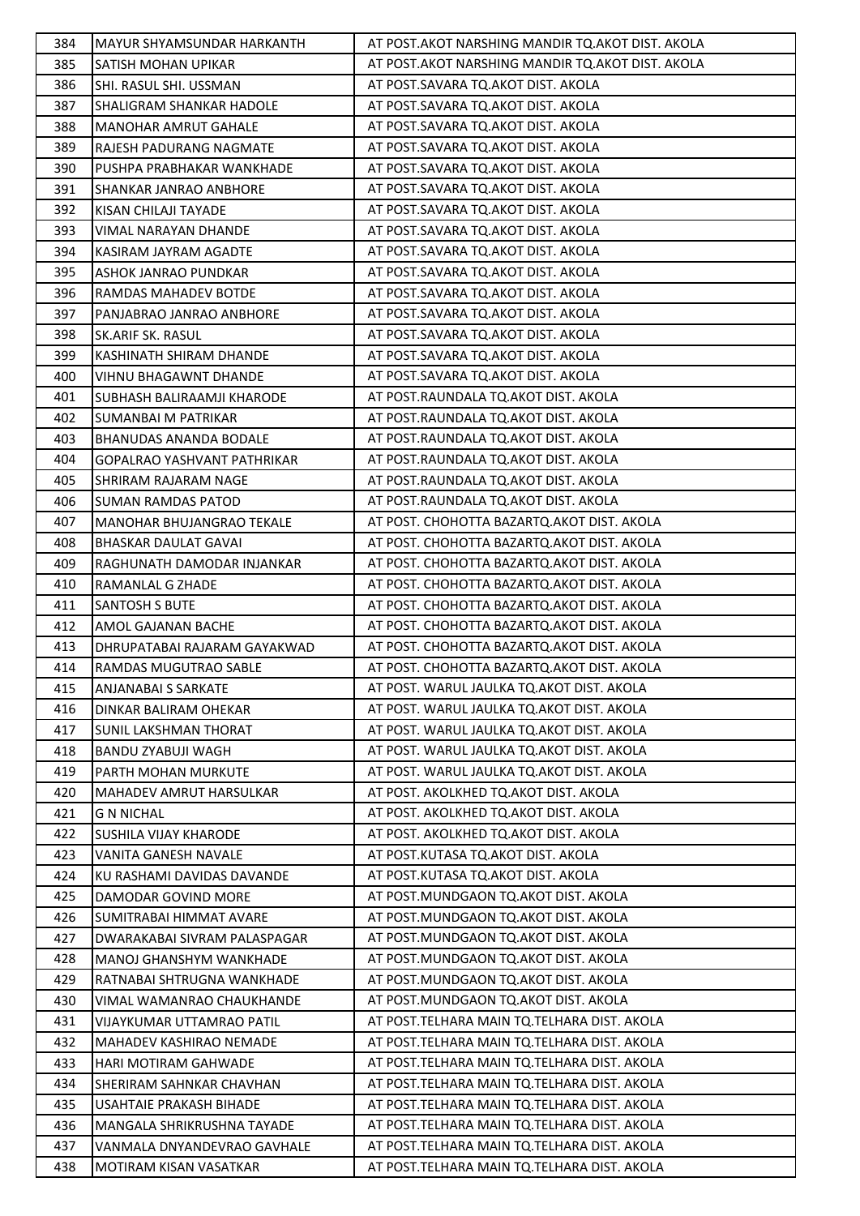| 384 | <b>MAYUR SHYAMSUNDAR HARKANTH</b>                         | AT POST. AKOT NARSHING MANDIR TO. AKOT DIST. AKOLA |
|-----|-----------------------------------------------------------|----------------------------------------------------|
| 385 | SATISH MOHAN UPIKAR                                       | AT POST.AKOT NARSHING MANDIR TQ.AKOT DIST. AKOLA   |
| 386 | SHI. RASUL SHI. USSMAN                                    | AT POST.SAVARA TQ.AKOT DIST. AKOLA                 |
| 387 | SHALIGRAM SHANKAR HADOLE                                  | AT POST.SAVARA TQ.AKOT DIST. AKOLA                 |
| 388 | <b>MANOHAR AMRUT GAHALE</b>                               | AT POST.SAVARA TQ.AKOT DIST. AKOLA                 |
| 389 | RAJESH PADURANG NAGMATE                                   | AT POST.SAVARA TQ.AKOT DIST. AKOLA                 |
| 390 | PUSHPA PRABHAKAR WANKHADE                                 | AT POST.SAVARA TQ.AKOT DIST. AKOLA                 |
| 391 | SHANKAR JANRAO ANBHORE                                    | AT POST.SAVARA TQ.AKOT DIST. AKOLA                 |
| 392 | KISAN CHILAJI TAYADE                                      | AT POST.SAVARA TQ.AKOT DIST. AKOLA                 |
| 393 | VIMAL NARAYAN DHANDE                                      | AT POST.SAVARA TQ.AKOT DIST. AKOLA                 |
| 394 | KASIRAM JAYRAM AGADTE                                     | AT POST.SAVARA TQ.AKOT DIST. AKOLA                 |
| 395 | ASHOK JANRAO PUNDKAR                                      | AT POST.SAVARA TQ.AKOT DIST. AKOLA                 |
| 396 | RAMDAS MAHADEV BOTDE                                      | AT POST.SAVARA TQ.AKOT DIST. AKOLA                 |
| 397 | PANJABRAO JANRAO ANBHORE                                  | AT POST.SAVARA TQ.AKOT DIST. AKOLA                 |
| 398 | SK.ARIF SK. RASUL                                         | AT POST.SAVARA TQ.AKOT DIST. AKOLA                 |
| 399 | KASHINATH SHIRAM DHANDE                                   | AT POST.SAVARA TQ.AKOT DIST. AKOLA                 |
| 400 | VIHNU BHAGAWNT DHANDE                                     | AT POST.SAVARA TQ.AKOT DIST. AKOLA                 |
| 401 | SUBHASH BALIRAAMJI KHARODE                                | AT POST.RAUNDALA TQ.AKOT DIST. AKOLA               |
| 402 | <b>SUMANBAI M PATRIKAR</b>                                | AT POST.RAUNDALA TQ.AKOT DIST. AKOLA               |
| 403 | <b>BHANUDAS ANANDA BODALE</b>                             | AT POST.RAUNDALA TQ.AKOT DIST. AKOLA               |
| 404 | <b>GOPALRAO YASHVANT PATHRIKAR</b>                        | AT POST.RAUNDALA TQ.AKOT DIST. AKOLA               |
| 405 | SHRIRAM RAJARAM NAGE                                      | AT POST.RAUNDALA TQ.AKOT DIST. AKOLA               |
| 406 | <b>SUMAN RAMDAS PATOD</b>                                 | AT POST.RAUNDALA TQ.AKOT DIST. AKOLA               |
| 407 | MANOHAR BHUJANGRAO TEKALE                                 | AT POST. CHOHOTTA BAZARTQ.AKOT DIST. AKOLA         |
| 408 | <b>BHASKAR DAULAT GAVAI</b>                               | AT POST. CHOHOTTA BAZARTQ.AKOT DIST. AKOLA         |
| 409 | RAGHUNATH DAMODAR INJANKAR                                | AT POST. CHOHOTTA BAZARTQ.AKOT DIST. AKOLA         |
| 410 | RAMANLAL G ZHADE                                          | AT POST. CHOHOTTA BAZARTQ.AKOT DIST. AKOLA         |
| 411 | SANTOSH S BUTE                                            | AT POST. CHOHOTTA BAZARTQ.AKOT DIST. AKOLA         |
| 412 | AMOL GAJANAN BACHE                                        | AT POST. CHOHOTTA BAZARTQ.AKOT DIST. AKOLA         |
| 413 | DHRUPATABAI RAJARAM GAYAKWAD                              | AT POST. CHOHOTTA BAZARTQ.AKOT DIST. AKOLA         |
| 414 | RAMDAS MUGUTRAO SABLE                                     | AT POST. CHOHOTTA BAZARTQ.AKOT DIST. AKOLA         |
| 415 | ANJANABAI S SARKATE                                       | AT POST. WARUL JAULKA TO AKOT DIST. AKOLA          |
| 416 | DINKAR BALIRAM OHEKAR                                     | AT POST. WARUL JAULKA TQ.AKOT DIST. AKOLA          |
| 417 | <b>SUNIL LAKSHMAN THORAT</b>                              | AT POST. WARUL JAULKA TQ.AKOT DIST. AKOLA          |
| 418 | <b>BANDU ZYABUJI WAGH</b>                                 | AT POST. WARUL JAULKA TQ.AKOT DIST. AKOLA          |
| 419 | PARTH MOHAN MURKUTE                                       | AT POST. WARUL JAULKA TO AKOT DIST. AKOLA          |
| 420 | <b>MAHADEV AMRUT HARSULKAR</b>                            | AT POST. AKOLKHED TO AKOT DIST. AKOLA              |
| 421 | <b>G N NICHAL</b>                                         | AT POST. AKOLKHED TQ.AKOT DIST. AKOLA              |
| 422 | SUSHILA VIJAY KHARODE                                     | AT POST. AKOLKHED TO AKOT DIST. AKOLA              |
| 423 | VANITA GANESH NAVALE                                      | AT POST.KUTASA TO.AKOT DIST. AKOLA                 |
| 424 | KU RASHAMI DAVIDAS DAVANDE                                | AT POST.KUTASA TQ.AKOT DIST. AKOLA                 |
| 425 | DAMODAR GOVIND MORE                                       | AT POST.MUNDGAON TQ.AKOT DIST. AKOLA               |
| 426 | SUMITRABAI HIMMAT AVARE                                   | AT POST.MUNDGAON TQ.AKOT DIST. AKOLA               |
| 427 | DWARAKABAI SIVRAM PALASPAGAR                              | AT POST.MUNDGAON TQ.AKOT DIST. AKOLA               |
| 428 | MANOJ GHANSHYM WANKHADE                                   | AT POST.MUNDGAON TQ.AKOT DIST. AKOLA               |
| 429 | RATNABAI SHTRUGNA WANKHADE                                | AT POST.MUNDGAON TQ.AKOT DIST. AKOLA               |
| 430 | VIMAL WAMANRAO CHAUKHANDE                                 | AT POST.MUNDGAON TQ.AKOT DIST. AKOLA               |
| 431 | VIJAYKUMAR UTTAMRAO PATIL                                 | AT POST.TELHARA MAIN TQ.TELHARA DIST. AKOLA        |
| 432 | MAHADEV KASHIRAO NEMADE                                   | AT POST.TELHARA MAIN TQ.TELHARA DIST. AKOLA        |
| 433 | HARI MOTIRAM GAHWADE                                      | AT POST. TELHARA MAIN TO. TELHARA DIST. AKOLA      |
| 434 | SHERIRAM SAHNKAR CHAVHAN                                  | AT POST. TELHARA MAIN TO. TELHARA DIST. AKOLA      |
| 435 | USAHTAIE PRAKASH BIHADE                                   | AT POST. TELHARA MAIN TQ. TELHARA DIST. AKOLA      |
|     |                                                           | AT POST.TELHARA MAIN TQ.TELHARA DIST. AKOLA        |
| 436 | MANGALA SHRIKRUSHNA TAYADE<br>VANMALA DNYANDEVRAO GAVHALE | AT POST.TELHARA MAIN TQ.TELHARA DIST. AKOLA        |
| 437 |                                                           |                                                    |
| 438 | MOTIRAM KISAN VASATKAR                                    | AT POST.TELHARA MAIN TQ.TELHARA DIST. AKOLA        |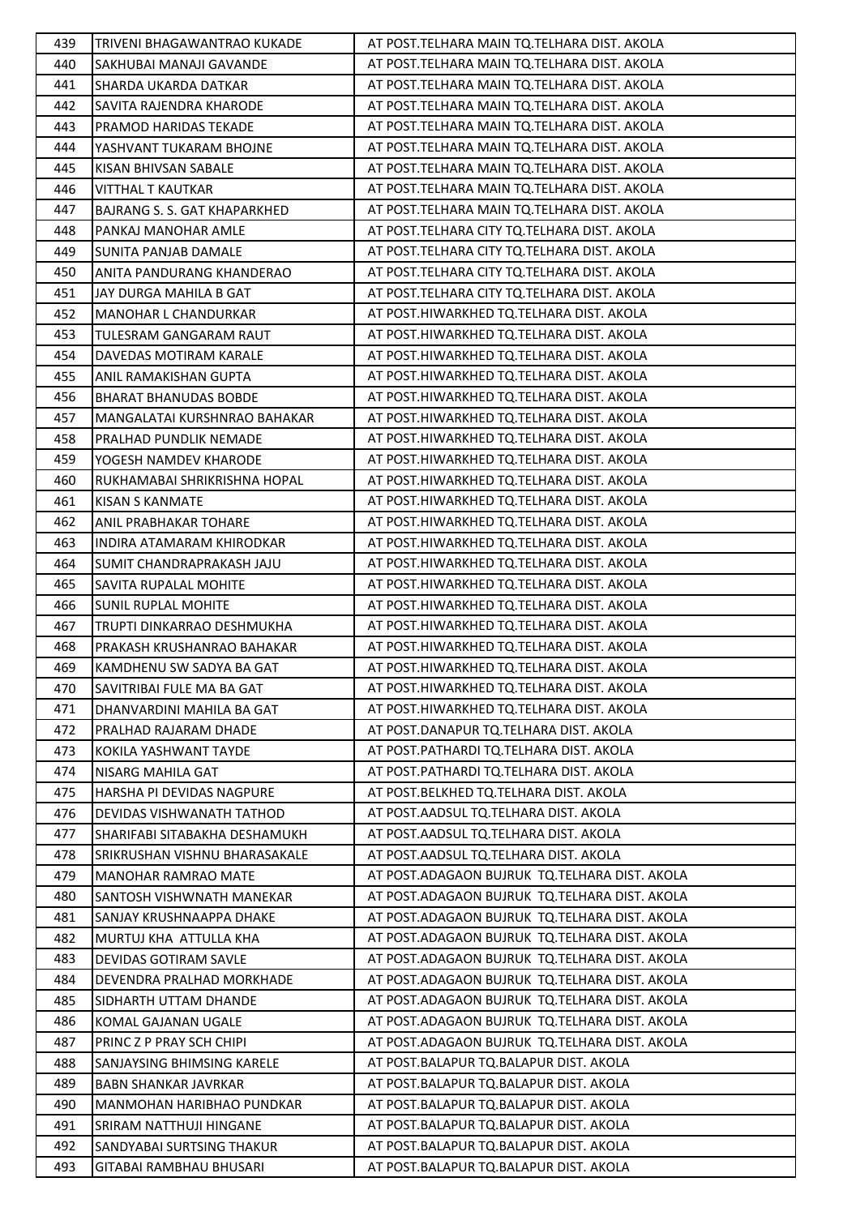| 439 | TRIVENI BHAGAWANTRAO KUKADE          | AT POST.TELHARA MAIN TQ.TELHARA DIST. AKOLA     |
|-----|--------------------------------------|-------------------------------------------------|
| 440 | SAKHUBAI MANAJI GAVANDE              | AT POST.TELHARA MAIN TQ.TELHARA DIST. AKOLA     |
| 441 | SHARDA UKARDA DATKAR                 | AT POST.TELHARA MAIN TQ.TELHARA DIST. AKOLA     |
| 442 | SAVITA RAJENDRA KHARODE              | AT POST.TELHARA MAIN TQ.TELHARA DIST. AKOLA     |
| 443 | PRAMOD HARIDAS TEKADE                | AT POST. TELHARA MAIN TQ. TELHARA DIST. AKOLA   |
| 444 | YASHVANT TUKARAM BHOJNE              | AT POST.TELHARA MAIN TQ.TELHARA DIST. AKOLA     |
| 445 | KISAN BHIVSAN SABALE                 | AT POST.TELHARA MAIN TQ.TELHARA DIST. AKOLA     |
| 446 | <b>VITTHAL T KAUTKAR</b>             | AT POST.TELHARA MAIN TQ.TELHARA DIST. AKOLA     |
| 447 | BAJRANG S. S. GAT KHAPARKHED         | AT POST. TELHARA MAIN TQ. TELHARA DIST. AKOLA   |
| 448 | PANKAJ MANOHAR AMLE                  | AT POST.TELHARA CITY TQ.TELHARA DIST. AKOLA     |
| 449 | SUNITA PANJAB DAMALE                 | AT POST.TELHARA CITY TQ.TELHARA DIST. AKOLA     |
| 450 | ANITA PANDURANG KHANDERAO            | AT POST.TELHARA CITY TQ.TELHARA DIST. AKOLA     |
| 451 | JAY DURGA MAHILA B GAT               | AT POST.TELHARA CITY TQ.TELHARA DIST. AKOLA     |
| 452 | MANOHAR L CHANDURKAR                 | AT POST.HIWARKHED TQ.TELHARA DIST. AKOLA        |
| 453 | TULESRAM GANGARAM RAUT               | AT POST.HIWARKHED TQ.TELHARA DIST. AKOLA        |
| 454 | DAVEDAS MOTIRAM KARALE               | AT POST.HIWARKHED TQ.TELHARA DIST. AKOLA        |
| 455 | ANIL RAMAKISHAN GUPTA                | AT POST.HIWARKHED TQ.TELHARA DIST. AKOLA        |
| 456 | <b>BHARAT BHANUDAS BOBDE</b>         | AT POST.HIWARKHED TQ.TELHARA DIST. AKOLA        |
| 457 | MANGALATAI KURSHNRAO BAHAKAR         | AT POST.HIWARKHED TQ.TELHARA DIST. AKOLA        |
| 458 | PRALHAD PUNDLIK NEMADE               | AT POST.HIWARKHED TQ.TELHARA DIST. AKOLA        |
| 459 | YOGESH NAMDEV KHARODE                | AT POST.HIWARKHED TQ.TELHARA DIST. AKOLA        |
| 460 | RUKHAMABAI SHRIKRISHNA HOPAL         | AT POST.HIWARKHED TQ.TELHARA DIST. AKOLA        |
| 461 | KISAN S KANMATE                      | AT POST.HIWARKHED TQ.TELHARA DIST. AKOLA        |
| 462 | ANIL PRABHAKAR TOHARE                | AT POST.HIWARKHED TQ.TELHARA DIST. AKOLA        |
| 463 | INDIRA ATAMARAM KHIRODKAR            | AT POST.HIWARKHED TQ.TELHARA DIST. AKOLA        |
| 464 | SUMIT CHANDRAPRAKASH JAJU            | AT POST.HIWARKHED TQ.TELHARA DIST. AKOLA        |
| 465 | SAVITA RUPALAL MOHITE                | AT POST.HIWARKHED TQ.TELHARA DIST. AKOLA        |
| 466 | <b>SUNIL RUPLAL MOHITE</b>           | AT POST.HIWARKHED TQ.TELHARA DIST. AKOLA        |
| 467 | TRUPTI DINKARRAO DESHMUKHA           | AT POST.HIWARKHED TQ.TELHARA DIST. AKOLA        |
| 468 | PRAKASH KRUSHANRAO BAHAKAR           | AT POST.HIWARKHED TQ.TELHARA DIST. AKOLA        |
| 469 | KAMDHENU SW SADYA BA GAT             | AT POST.HIWARKHED TQ.TELHARA DIST. AKOLA        |
| 470 | SAVITRIBAI FULE MA BA GAT            | AT POST.HIWARKHED TQ.TELHARA DIST. AKOLA        |
| 471 | DHANVARDINI MAHILA BA GAT            | AT POST.HIWARKHED TQ.TELHARA DIST. AKOLA        |
| 472 | PRALHAD RAJARAM DHADE                | AT POST.DANAPUR TQ.TELHARA DIST. AKOLA          |
| 473 | KOKILA YASHWANT TAYDE                | AT POST.PATHARDI TQ.TELHARA DIST. AKOLA         |
| 474 | NISARG MAHILA GAT                    | AT POST.PATHARDI TQ.TELHARA DIST. AKOLA         |
| 475 | HARSHA PI DEVIDAS NAGPURE            | AT POST.BELKHED TQ.TELHARA DIST. AKOLA          |
| 476 | DEVIDAS VISHWANATH TATHOD            | AT POST.AADSUL TQ.TELHARA DIST. AKOLA           |
| 477 | SHARIFABI SITABAKHA DESHAMUKH        | AT POST.AADSUL TQ.TELHARA DIST. AKOLA           |
| 478 | <b>SRIKRUSHAN VISHNU BHARASAKALE</b> | AT POST.AADSUL TQ.TELHARA DIST. AKOLA           |
| 479 | <b>MANOHAR RAMRAO MATE</b>           | AT POST.ADAGAON BUJRUK TQ.TELHARA DIST. AKOLA   |
| 480 | <b>SANTOSH VISHWNATH MANEKAR</b>     | AT POST. ADAGAON BUJRUK TO. TELHARA DIST. AKOLA |
| 481 | SANJAY KRUSHNAAPPA DHAKE             | AT POST.ADAGAON BUJRUK TQ.TELHARA DIST. AKOLA   |
| 482 | MURTUJ KHA ATTULLA KHA               | AT POST.ADAGAON BUJRUK TQ.TELHARA DIST. AKOLA   |
| 483 | DEVIDAS GOTIRAM SAVLE                | AT POST.ADAGAON BUJRUK TQ.TELHARA DIST. AKOLA   |
| 484 | DEVENDRA PRALHAD MORKHADE            | AT POST.ADAGAON BUJRUK TQ.TELHARA DIST. AKOLA   |
| 485 | SIDHARTH UTTAM DHANDE                | AT POST. ADAGAON BUJRUK TO. TELHARA DIST. AKOLA |
| 486 | KOMAL GAJANAN UGALE                  | AT POST.ADAGAON BUJRUK TQ.TELHARA DIST. AKOLA   |
| 487 | PRINC Z P PRAY SCH CHIPI             | AT POST.ADAGAON BUJRUK TQ.TELHARA DIST. AKOLA   |
| 488 | SANJAYSING BHIMSING KARELE           | AT POST. BALAPUR TO. BALAPUR DIST. AKOLA        |
| 489 | <b>BABN SHANKAR JAVRKAR</b>          | AT POST. BALAPUR TQ. BALAPUR DIST. AKOLA        |
| 490 | MANMOHAN HARIBHAO PUNDKAR            | AT POST. BALAPUR TO. BALAPUR DIST. AKOLA        |
| 491 | SRIRAM NATTHUJI HINGANE              | AT POST.BALAPUR TQ.BALAPUR DIST. AKOLA          |
| 492 | SANDYABAI SURTSING THAKUR            | AT POST.BALAPUR TQ.BALAPUR DIST. AKOLA          |
| 493 | GITABAI RAMBHAU BHUSARI              | AT POST.BALAPUR TQ.BALAPUR DIST. AKOLA          |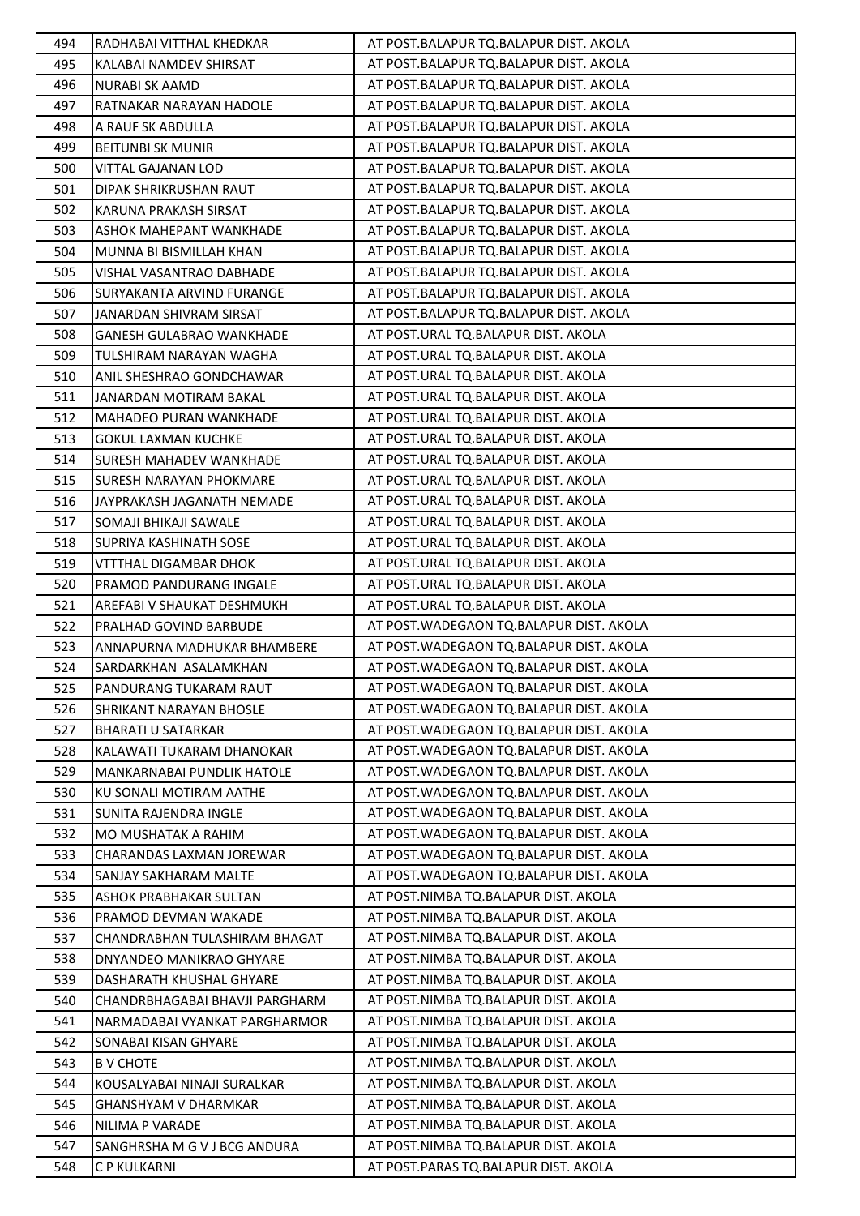| 494        | RADHABAI VITTHAL KHEDKAR                                  | AT POST.BALAPUR TQ.BALAPUR DIST. AKOLA                                       |
|------------|-----------------------------------------------------------|------------------------------------------------------------------------------|
| 495        | KALABAI NAMDEV SHIRSAT                                    | AT POST.BALAPUR TQ.BALAPUR DIST. AKOLA                                       |
| 496        | NURABI SK AAMD                                            | AT POST.BALAPUR TQ.BALAPUR DIST. AKOLA                                       |
| 497        | RATNAKAR NARAYAN HADOLE                                   | AT POST.BALAPUR TQ.BALAPUR DIST. AKOLA                                       |
| 498        | A RAUF SK ABDULLA                                         | AT POST.BALAPUR TQ.BALAPUR DIST. AKOLA                                       |
| 499        | <b>BEITUNBI SK MUNIR</b>                                  | AT POST.BALAPUR TQ.BALAPUR DIST. AKOLA                                       |
| 500        | VITTAL GAJANAN LOD                                        | AT POST.BALAPUR TQ.BALAPUR DIST. AKOLA                                       |
| 501        | DIPAK SHRIKRUSHAN RAUT                                    | AT POST.BALAPUR TQ.BALAPUR DIST. AKOLA                                       |
| 502        | KARUNA PRAKASH SIRSAT                                     | AT POST.BALAPUR TQ.BALAPUR DIST. AKOLA                                       |
| 503        | ASHOK MAHEPANT WANKHADE                                   | AT POST.BALAPUR TQ.BALAPUR DIST. AKOLA                                       |
| 504        | MUNNA BI BISMILLAH KHAN                                   | AT POST.BALAPUR TQ.BALAPUR DIST. AKOLA                                       |
| 505        | VISHAL VASANTRAO DABHADE                                  | AT POST.BALAPUR TQ.BALAPUR DIST. AKOLA                                       |
| 506        | SURYAKANTA ARVIND FURANGE                                 | AT POST.BALAPUR TQ.BALAPUR DIST. AKOLA                                       |
| 507        | JANARDAN SHIVRAM SIRSAT                                   | AT POST.BALAPUR TQ.BALAPUR DIST. AKOLA                                       |
| 508        | <b>GANESH GULABRAO WANKHADE</b>                           | AT POST.URAL TQ.BALAPUR DIST. AKOLA                                          |
| 509        | TULSHIRAM NARAYAN WAGHA                                   | AT POST.URAL TQ.BALAPUR DIST. AKOLA                                          |
| 510        | ANIL SHESHRAO GONDCHAWAR                                  | AT POST.URAL TQ.BALAPUR DIST. AKOLA                                          |
| 511        | JANARDAN MOTIRAM BAKAL                                    | AT POST.URAL TQ.BALAPUR DIST. AKOLA                                          |
| 512        | MAHADEO PURAN WANKHADE                                    | AT POST.URAL TQ.BALAPUR DIST. AKOLA                                          |
| 513        | <b>GOKUL LAXMAN KUCHKE</b>                                | AT POST.URAL TQ.BALAPUR DIST. AKOLA                                          |
| 514        | SURESH MAHADEV WANKHADE                                   | AT POST.URAL TQ.BALAPUR DIST. AKOLA                                          |
| 515        | SURESH NARAYAN PHOKMARE                                   | AT POST.URAL TQ.BALAPUR DIST. AKOLA                                          |
| 516        | JAYPRAKASH JAGANATH NEMADE                                | AT POST.URAL TQ.BALAPUR DIST. AKOLA                                          |
| 517        | SOMAJI BHIKAJI SAWALE                                     | AT POST.URAL TQ.BALAPUR DIST. AKOLA                                          |
| 518        | SUPRIYA KASHINATH SOSE                                    | AT POST.URAL TQ.BALAPUR DIST. AKOLA                                          |
| 519        | VTTTHAL DIGAMBAR DHOK                                     | AT POST.URAL TQ.BALAPUR DIST. AKOLA                                          |
| 520        | PRAMOD PANDURANG INGALE                                   | AT POST.URAL TQ.BALAPUR DIST. AKOLA                                          |
| 521        | AREFABI V SHAUKAT DESHMUKH                                | AT POST.URAL TQ.BALAPUR DIST. AKOLA                                          |
| 522        | PRALHAD GOVIND BARBUDE                                    | AT POST. WADEGAON TO. BALAPUR DIST. AKOLA                                    |
| 523        | ANNAPURNA MADHUKAR BHAMBERE                               | AT POST. WADEGAON TQ. BALAPUR DIST. AKOLA                                    |
| 524        | SARDARKHAN ASALAMKHAN                                     | AT POST. WADEGAON TO. BALAPUR DIST. AKOLA                                    |
| 525        | PANDURANG TUKARAM RAUT                                    | AT POST. WADEGAON TO. BALAPUR DIST. AKOLA                                    |
| 526        | <b>SHRIKANT NARAYAN BHOSLE</b>                            | AT POST. WADEGAON TO. BALAPUR DIST. AKOLA                                    |
| 527        | <b>BHARATI U SATARKAR</b>                                 | AT POST. WADEGAON TO. BALAPUR DIST. AKOLA                                    |
| 528        | KALAWATI TUKARAM DHANOKAR                                 | AT POST. WADEGAON TO. BALAPUR DIST. AKOLA                                    |
| 529        | MANKARNABAI PUNDLIK HATOLE                                | AT POST. WADEGAON TO. BALAPUR DIST. AKOLA                                    |
| 530        | KU SONALI MOTIRAM AATHE                                   | AT POST. WADEGAON TO. BALAPUR DIST. AKOLA                                    |
| 531        |                                                           | AT POST. WADEGAON TO. BALAPUR DIST. AKOLA                                    |
|            | SUNITA RAJENDRA INGLE                                     | AT POST. WADEGAON TO. BALAPUR DIST. AKOLA                                    |
| 532<br>533 | MO MUSHATAK A RAHIM<br>CHARANDAS LAXMAN JOREWAR           | AT POST. WADEGAON TO. BALAPUR DIST. AKOLA                                    |
| 534        | SANJAY SAKHARAM MALTE                                     | AT POST. WADEGAON TO. BALAPUR DIST. AKOLA                                    |
|            |                                                           |                                                                              |
| 535<br>536 | ASHOK PRABHAKAR SULTAN                                    | AT POST.NIMBA TQ.BALAPUR DIST. AKOLA<br>AT POST.NIMBA TQ.BALAPUR DIST. AKOLA |
|            | PRAMOD DEVMAN WAKADE                                      |                                                                              |
| 537<br>538 | CHANDRABHAN TULASHIRAM BHAGAT<br>DNYANDEO MANIKRAO GHYARE | AT POST.NIMBA TQ.BALAPUR DIST. AKOLA<br>AT POST.NIMBA TQ.BALAPUR DIST. AKOLA |
|            |                                                           |                                                                              |
| 539        | DASHARATH KHUSHAL GHYARE                                  | AT POST.NIMBA TQ.BALAPUR DIST. AKOLA                                         |
| 540        | CHANDRBHAGABAI BHAVJI PARGHARM                            | AT POST.NIMBA TQ.BALAPUR DIST. AKOLA                                         |
| 541        | NARMADABAI VYANKAT PARGHARMOR                             | AT POST.NIMBA TQ.BALAPUR DIST. AKOLA                                         |
| 542        | SONABAI KISAN GHYARE                                      | AT POST.NIMBA TQ.BALAPUR DIST. AKOLA                                         |
| 543        | <b>B V CHOTE</b>                                          | AT POST.NIMBA TQ.BALAPUR DIST. AKOLA                                         |
| 544        | KOUSALYABAI NINAJI SURALKAR                               | AT POST.NIMBA TQ.BALAPUR DIST. AKOLA                                         |
| 545        | GHANSHYAM V DHARMKAR                                      | AT POST.NIMBA TQ.BALAPUR DIST. AKOLA                                         |
| 546        | NILIMA P VARADE                                           | AT POST.NIMBA TQ.BALAPUR DIST. AKOLA                                         |
| 547        | SANGHRSHA M G V J BCG ANDURA                              | AT POST.NIMBA TQ.BALAPUR DIST. AKOLA                                         |
| 548        | C P KULKARNI                                              | AT POST.PARAS TQ.BALAPUR DIST. AKOLA                                         |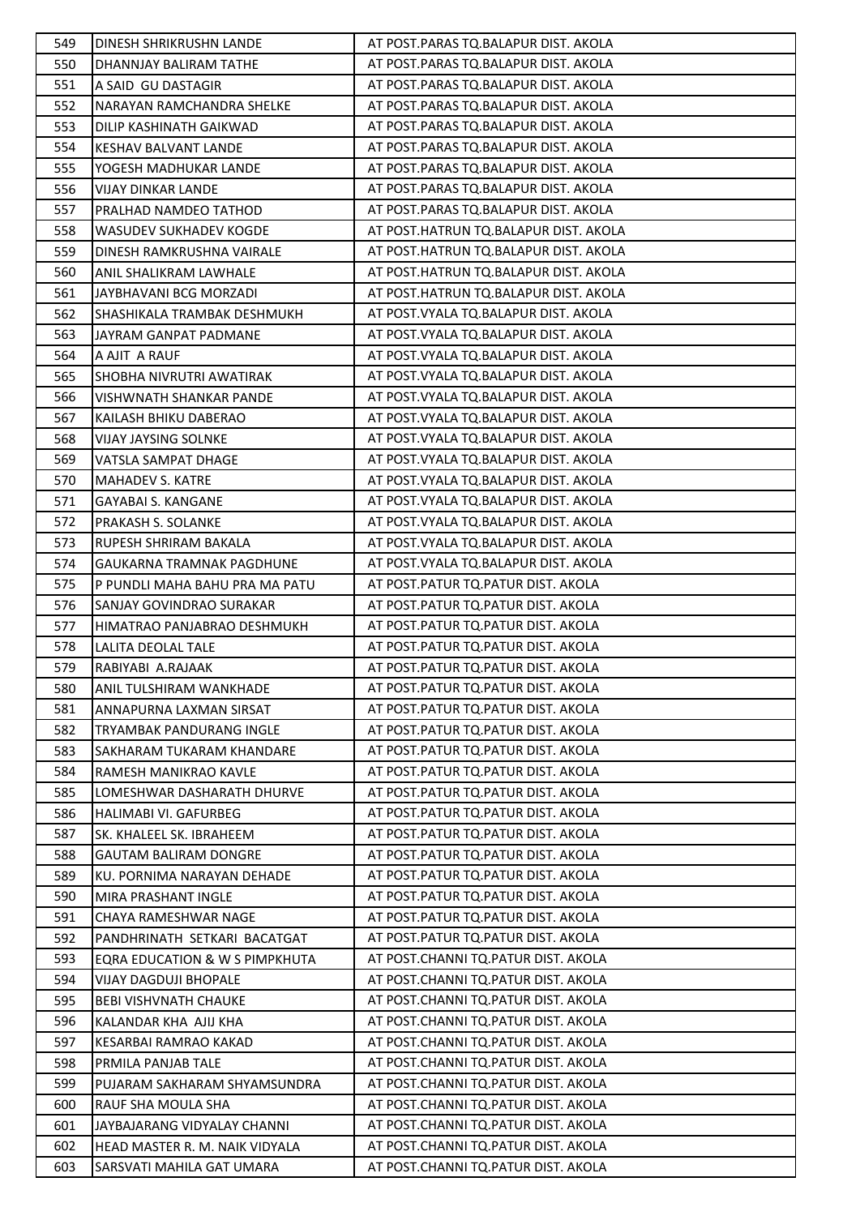| 549 | DINESH SHRIKRUSHN LANDE        | AT POST.PARAS TO.BALAPUR DIST. AKOLA   |
|-----|--------------------------------|----------------------------------------|
| 550 | DHANNJAY BALIRAM TATHE         | AT POST.PARAS TQ.BALAPUR DIST. AKOLA   |
| 551 | A SAID GU DASTAGIR             | AT POST.PARAS TQ.BALAPUR DIST. AKOLA   |
| 552 | NARAYAN RAMCHANDRA SHELKE      | AT POST.PARAS TQ.BALAPUR DIST. AKOLA   |
| 553 | DILIP KASHINATH GAIKWAD        | AT POST.PARAS TQ.BALAPUR DIST. AKOLA   |
| 554 | <b>KESHAV BALVANT LANDE</b>    | AT POST.PARAS TQ.BALAPUR DIST. AKOLA   |
| 555 | YOGESH MADHUKAR LANDE          | AT POST.PARAS TQ.BALAPUR DIST. AKOLA   |
| 556 | <b>VIJAY DINKAR LANDE</b>      | AT POST.PARAS TQ.BALAPUR DIST. AKOLA   |
| 557 | <b>PRALHAD NAMDEO TATHOD</b>   | AT POST.PARAS TQ.BALAPUR DIST. AKOLA   |
| 558 | WASUDEV SUKHADEV KOGDE         | AT POST.HATRUN TQ.BALAPUR DIST. AKOLA  |
| 559 | DINESH RAMKRUSHNA VAIRALE      | AT POST.HATRUN TQ.BALAPUR DIST. AKOLA  |
| 560 | ANIL SHALIKRAM LAWHALE         | AT POST.HATRUN TQ.BALAPUR DIST. AKOLA  |
| 561 | JAYBHAVANI BCG MORZADI         | AT POST.HATRUN TQ.BALAPUR DIST. AKOLA  |
| 562 | SHASHIKALA TRAMBAK DESHMUKH    | AT POST. VYALA TQ. BALAPUR DIST. AKOLA |
| 563 | JAYRAM GANPAT PADMANE          | AT POST. VYALA TQ. BALAPUR DIST. AKOLA |
| 564 | A AJIT A RAUF                  | AT POST. VYALA TQ. BALAPUR DIST. AKOLA |
| 565 | SHOBHA NIVRUTRI AWATIRAK       | AT POST. VYALA TQ. BALAPUR DIST. AKOLA |
| 566 | VISHWNATH SHANKAR PANDE        | AT POST. VYALA TQ. BALAPUR DIST. AKOLA |
| 567 | KAILASH BHIKU DABERAO          | AT POST. VYALA TQ. BALAPUR DIST. AKOLA |
| 568 | <b>VIJAY JAYSING SOLNKE</b>    | AT POST. VYALA TQ. BALAPUR DIST. AKOLA |
| 569 | VATSLA SAMPAT DHAGE            | AT POST. VYALA TQ. BALAPUR DIST. AKOLA |
| 570 | <b>MAHADEV S. KATRE</b>        | AT POST. VYALA TQ. BALAPUR DIST. AKOLA |
| 571 | GAYABAI S. KANGANE             | AT POST. VYALA TQ. BALAPUR DIST. AKOLA |
| 572 | PRAKASH S. SOLANKE             | AT POST. VYALA TQ. BALAPUR DIST. AKOLA |
| 573 | RUPESH SHRIRAM BAKALA          | AT POST. VYALA TQ. BALAPUR DIST. AKOLA |
| 574 | GAUKARNA TRAMNAK PAGDHUNE      | AT POST. VYALA TQ. BALAPUR DIST. AKOLA |
| 575 | P PUNDLI MAHA BAHU PRA MA PATU | AT POST.PATUR TQ.PATUR DIST. AKOLA     |
| 576 | SANJAY GOVINDRAO SURAKAR       | AT POST.PATUR TQ.PATUR DIST. AKOLA     |
| 577 | HIMATRAO PANJABRAO DESHMUKH    | AT POST.PATUR TQ.PATUR DIST. AKOLA     |
| 578 | LALITA DEOLAL TALE             | AT POST.PATUR TQ.PATUR DIST. AKOLA     |
| 579 | RABIYABI A.RAJAAK              | AT POST.PATUR TQ.PATUR DIST. AKOLA     |
| 580 | <b>ANIL TULSHIRAM WANKHADE</b> | AT POST.PATUR TQ.PATUR DIST. AKOLA     |
| 581 | ANNAPURNA LAXMAN SIRSAT        | AT POST. PATUR TO. PATUR DIST. AKOLA   |
| 582 | TRYAMBAK PANDURANG INGLE       | AT POST.PATUR TQ.PATUR DIST. AKOLA     |
| 583 | SAKHARAM TUKARAM KHANDARE      | AT POST.PATUR TQ.PATUR DIST. AKOLA     |
| 584 | RAMESH MANIKRAO KAVLE          | AT POST. PATUR TO. PATUR DIST. AKOLA   |
| 585 | LOMESHWAR DASHARATH DHURVE     | AT POST. PATUR TO. PATUR DIST. AKOLA   |
| 586 | HALIMABI VI. GAFURBEG          | AT POST. PATUR TO. PATUR DIST. AKOLA   |
| 587 | SK. KHALEEL SK. IBRAHEEM       | AT POST.PATUR TQ.PATUR DIST. AKOLA     |
| 588 | <b>GAUTAM BALIRAM DONGRE</b>   | AT POST.PATUR TQ.PATUR DIST. AKOLA     |
| 589 | KU. PORNIMA NARAYAN DEHADE     | AT POST. PATUR TO. PATUR DIST. AKOLA   |
| 590 | MIRA PRASHANT INGLE            | AT POST. PATUR TO. PATUR DIST. AKOLA   |
| 591 | CHAYA RAMESHWAR NAGE           | AT POST. PATUR TO. PATUR DIST. AKOLA   |
| 592 | PANDHRINATH SETKARI BACATGAT   | AT POST.PATUR TQ.PATUR DIST. AKOLA     |
| 593 | EQRA EDUCATION & W S PIMPKHUTA | AT POST.CHANNI TQ.PATUR DIST. AKOLA    |
| 594 | <b>VIJAY DAGDUJI BHOPALE</b>   | AT POST.CHANNI TQ.PATUR DIST. AKOLA    |
| 595 | <b>BEBI VISHVNATH CHAUKE</b>   | AT POST.CHANNI TQ.PATUR DIST. AKOLA    |
| 596 | KALANDAR KHA AJIJ KHA          | AT POST.CHANNI TQ.PATUR DIST. AKOLA    |
| 597 | KESARBAI RAMRAO KAKAD          | AT POST.CHANNI TQ.PATUR DIST. AKOLA    |
| 598 | PRMILA PANJAB TALE             | AT POST.CHANNI TQ.PATUR DIST. AKOLA    |
| 599 | PUJARAM SAKHARAM SHYAMSUNDRA   | AT POST.CHANNI TQ.PATUR DIST. AKOLA    |
| 600 | RAUF SHA MOULA SHA             | AT POST.CHANNI TQ.PATUR DIST. AKOLA    |
| 601 | JAYBAJARANG VIDYALAY CHANNI    | AT POST.CHANNI TQ.PATUR DIST. AKOLA    |
| 602 | HEAD MASTER R. M. NAIK VIDYALA | AT POST.CHANNI TQ.PATUR DIST. AKOLA    |
| 603 | SARSVATI MAHILA GAT UMARA      | AT POST.CHANNI TQ.PATUR DIST. AKOLA    |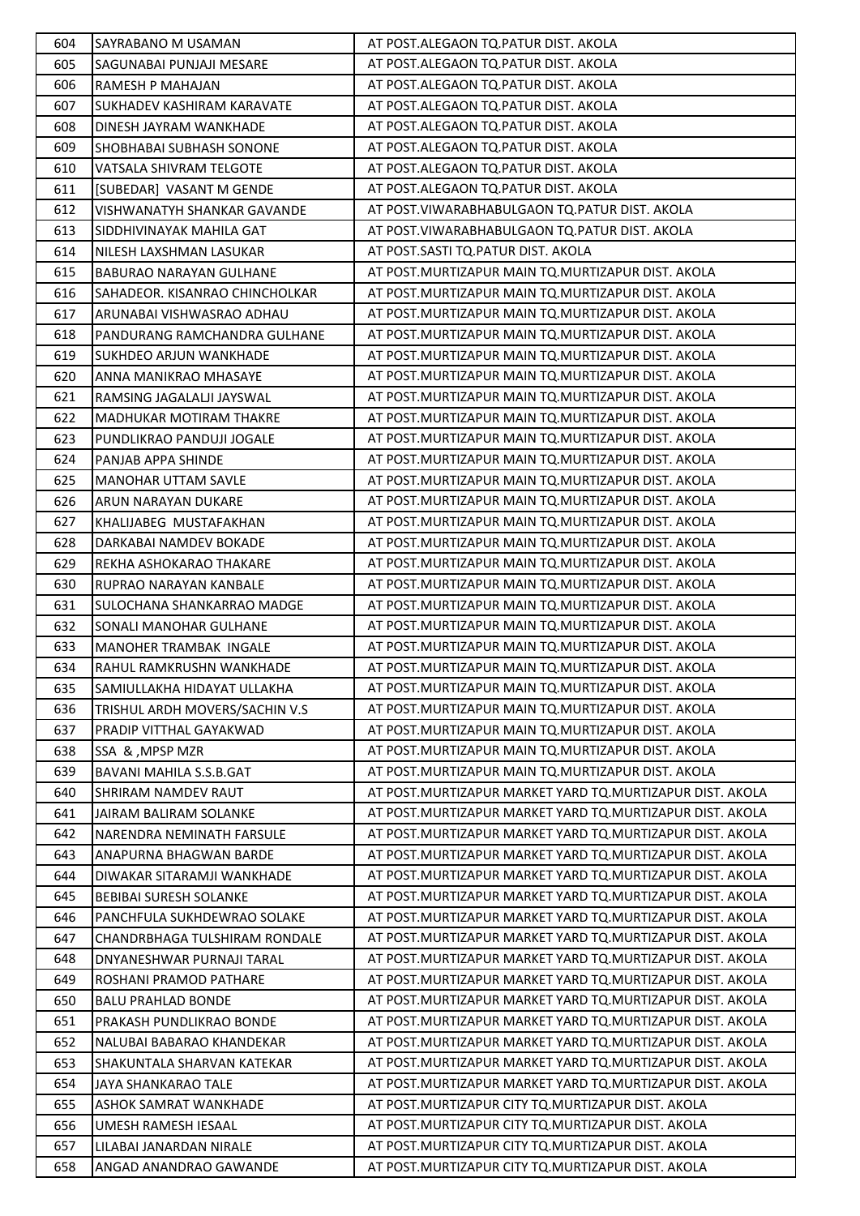| 604 | <b>SAYRABANO M USAMAN</b>         | AT POST.ALEGAON TQ.PATUR DIST. AKOLA                     |
|-----|-----------------------------------|----------------------------------------------------------|
| 605 | SAGUNABAI PUNJAJI MESARE          | AT POST.ALEGAON TQ.PATUR DIST. AKOLA                     |
| 606 | <b>RAMESH P MAHAJAN</b>           | AT POST.ALEGAON TQ.PATUR DIST. AKOLA                     |
| 607 | <b>SUKHADEV KASHIRAM KARAVATE</b> | AT POST.ALEGAON TQ.PATUR DIST. AKOLA                     |
| 608 | DINESH JAYRAM WANKHADE            | AT POST.ALEGAON TQ.PATUR DIST. AKOLA                     |
| 609 | SHOBHABAI SUBHASH SONONE          | AT POST.ALEGAON TQ.PATUR DIST. AKOLA                     |
| 610 | VATSALA SHIVRAM TELGOTE           | AT POST.ALEGAON TQ.PATUR DIST. AKOLA                     |
| 611 | [SUBEDAR] VASANT M GENDE          | AT POST.ALEGAON TQ.PATUR DIST. AKOLA                     |
| 612 | VISHWANATYH SHANKAR GAVANDE       | AT POST. VIWARABHABULGAON TQ. PATUR DIST. AKOLA          |
| 613 | SIDDHIVINAYAK MAHILA GAT          | AT POST. VIWARABHABULGAON TQ. PATUR DIST. AKOLA          |
| 614 | NILESH LAXSHMAN LASUKAR           | AT POST.SASTI TQ.PATUR DIST. AKOLA                       |
| 615 | BABURAO NARAYAN GULHANE           | AT POST. MURTIZAPUR MAIN TQ. MURTIZAPUR DIST. AKOLA      |
| 616 | SAHADEOR. KISANRAO CHINCHOLKAR    | AT POST. MURTIZAPUR MAIN TQ. MURTIZAPUR DIST. AKOLA      |
| 617 | ARUNABAI VISHWASRAO ADHAU         | AT POST. MURTIZAPUR MAIN TQ. MURTIZAPUR DIST. AKOLA      |
| 618 | PANDURANG RAMCHANDRA GULHANE      | AT POST. MURTIZAPUR MAIN TO. MURTIZAPUR DIST. AKOLA      |
| 619 | <b>SUKHDEO ARJUN WANKHADE</b>     | AT POST. MURTIZAPUR MAIN TO. MURTIZAPUR DIST. AKOLA      |
| 620 | ANNA MANIKRAO MHASAYE             | AT POST. MURTIZAPUR MAIN TQ. MURTIZAPUR DIST. AKOLA      |
| 621 | RAMSING JAGALALJI JAYSWAL         | AT POST.MURTIZAPUR MAIN TQ.MURTIZAPUR DIST. AKOLA        |
| 622 | MADHUKAR MOTIRAM THAKRE           | AT POST. MURTIZAPUR MAIN TQ. MURTIZAPUR DIST. AKOLA      |
| 623 | PUNDLIKRAO PANDUJI JOGALE         | AT POST. MURTIZAPUR MAIN TQ. MURTIZAPUR DIST. AKOLA      |
| 624 | PANJAB APPA SHINDE                | AT POST. MURTIZAPUR MAIN TO. MURTIZAPUR DIST. AKOLA      |
| 625 | <b>MANOHAR UTTAM SAVLE</b>        | AT POST. MURTIZAPUR MAIN TQ. MURTIZAPUR DIST. AKOLA      |
| 626 | ARUN NARAYAN DUKARE               | AT POST.MURTIZAPUR MAIN TQ.MURTIZAPUR DIST. AKOLA        |
| 627 | KHALIJABEG MUSTAFAKHAN            | AT POST. MURTIZAPUR MAIN TQ. MURTIZAPUR DIST. AKOLA      |
| 628 | DARKABAI NAMDEV BOKADE            | AT POST. MURTIZAPUR MAIN TQ. MURTIZAPUR DIST. AKOLA      |
| 629 | REKHA ASHOKARAO THAKARE           | AT POST. MURTIZAPUR MAIN TO. MURTIZAPUR DIST. AKOLA      |
| 630 | RUPRAO NARAYAN KANBALE            | AT POST. MURTIZAPUR MAIN TQ. MURTIZAPUR DIST. AKOLA      |
| 631 | SULOCHANA SHANKARRAO MADGE        | AT POST. MURTIZAPUR MAIN TO. MURTIZAPUR DIST. AKOLA      |
| 632 | SONALI MANOHAR GULHANE            | AT POST. MURTIZAPUR MAIN TQ. MURTIZAPUR DIST. AKOLA      |
| 633 | MANOHER TRAMBAK INGALE            | AT POST. MURTIZAPUR MAIN TO. MURTIZAPUR DIST. AKOLA      |
| 634 | RAHUL RAMKRUSHN WANKHADE          | AT POST. MURTIZAPUR MAIN TQ. MURTIZAPUR DIST. AKOLA      |
| 635 | SAMIULLAKHA HIDAYAT ULLAKHA       | AT POST. MURTIZAPUR MAIN TO. MURTIZAPUR DIST. AKOLA      |
| 636 | TRISHUL ARDH MOVERS/SACHIN V.S    | AT POST. MURTIZAPUR MAIN TO. MURTIZAPUR DIST. AKOLA      |
| 637 | PRADIP VITTHAL GAYAKWAD           | AT POST. MURTIZAPUR MAIN TQ. MURTIZAPUR DIST. AKOLA      |
| 638 | SSA & , MPSP MZR                  | AT POST. MURTIZAPUR MAIN TO. MURTIZAPUR DIST. AKOLA      |
| 639 | BAVANI MAHILA S.S.B.GAT           | AT POST. MURTIZAPUR MAIN TO. MURTIZAPUR DIST. AKOLA      |
| 640 | <b>SHRIRAM NAMDEV RAUT</b>        | AT POST.MURTIZAPUR MARKET YARD TO.MURTIZAPUR DIST. AKOLA |
| 641 | JAIRAM BALIRAM SOLANKE            | AT POST.MURTIZAPUR MARKET YARD TO.MURTIZAPUR DIST. AKOLA |
| 642 | NARENDRA NEMINATH FARSULE         | AT POST.MURTIZAPUR MARKET YARD TQ.MURTIZAPUR DIST. AKOLA |
| 643 | ANAPURNA BHAGWAN BARDE            | AT POST.MURTIZAPUR MARKET YARD TO.MURTIZAPUR DIST. AKOLA |
| 644 | DIWAKAR SITARAMJI WANKHADE        | AT POST.MURTIZAPUR MARKET YARD TO.MURTIZAPUR DIST. AKOLA |
| 645 | <b>BEBIBAI SURESH SOLANKE</b>     | AT POST.MURTIZAPUR MARKET YARD TO.MURTIZAPUR DIST. AKOLA |
| 646 | PANCHFULA SUKHDEWRAO SOLAKE       | AT POST.MURTIZAPUR MARKET YARD TO.MURTIZAPUR DIST. AKOLA |
| 647 | CHANDRBHAGA TULSHIRAM RONDALE     | AT POST.MURTIZAPUR MARKET YARD TQ.MURTIZAPUR DIST. AKOLA |
| 648 | DNYANESHWAR PURNAJI TARAL         | AT POST.MURTIZAPUR MARKET YARD TO.MURTIZAPUR DIST. AKOLA |
| 649 | ROSHANI PRAMOD PATHARE            | AT POST.MURTIZAPUR MARKET YARD TO.MURTIZAPUR DIST. AKOLA |
| 650 | <b>BALU PRAHLAD BONDE</b>         | AT POST.MURTIZAPUR MARKET YARD TO.MURTIZAPUR DIST. AKOLA |
| 651 | PRAKASH PUNDLIKRAO BONDE          | AT POST.MURTIZAPUR MARKET YARD TO.MURTIZAPUR DIST. AKOLA |
| 652 | NALUBAI BABARAO KHANDEKAR         | AT POST.MURTIZAPUR MARKET YARD TQ.MURTIZAPUR DIST. AKOLA |
| 653 | SHAKUNTALA SHARVAN KATEKAR        | AT POST.MURTIZAPUR MARKET YARD TQ.MURTIZAPUR DIST. AKOLA |
| 654 | <b>JAYA SHANKARAO TALE</b>        | AT POST.MURTIZAPUR MARKET YARD TO.MURTIZAPUR DIST. AKOLA |
| 655 | ASHOK SAMRAT WANKHADE             | AT POST. MURTIZAPUR CITY TO. MURTIZAPUR DIST. AKOLA      |
| 656 | UMESH RAMESH IESAAL               | AT POST. MURTIZAPUR CITY TO. MURTIZAPUR DIST. AKOLA      |
| 657 | LILABAI JANARDAN NIRALE           | AT POST. MURTIZAPUR CITY TQ. MURTIZAPUR DIST. AKOLA      |
| 658 | ANGAD ANANDRAO GAWANDE            | AT POST. MURTIZAPUR CITY TQ. MURTIZAPUR DIST. AKOLA      |
|     |                                   |                                                          |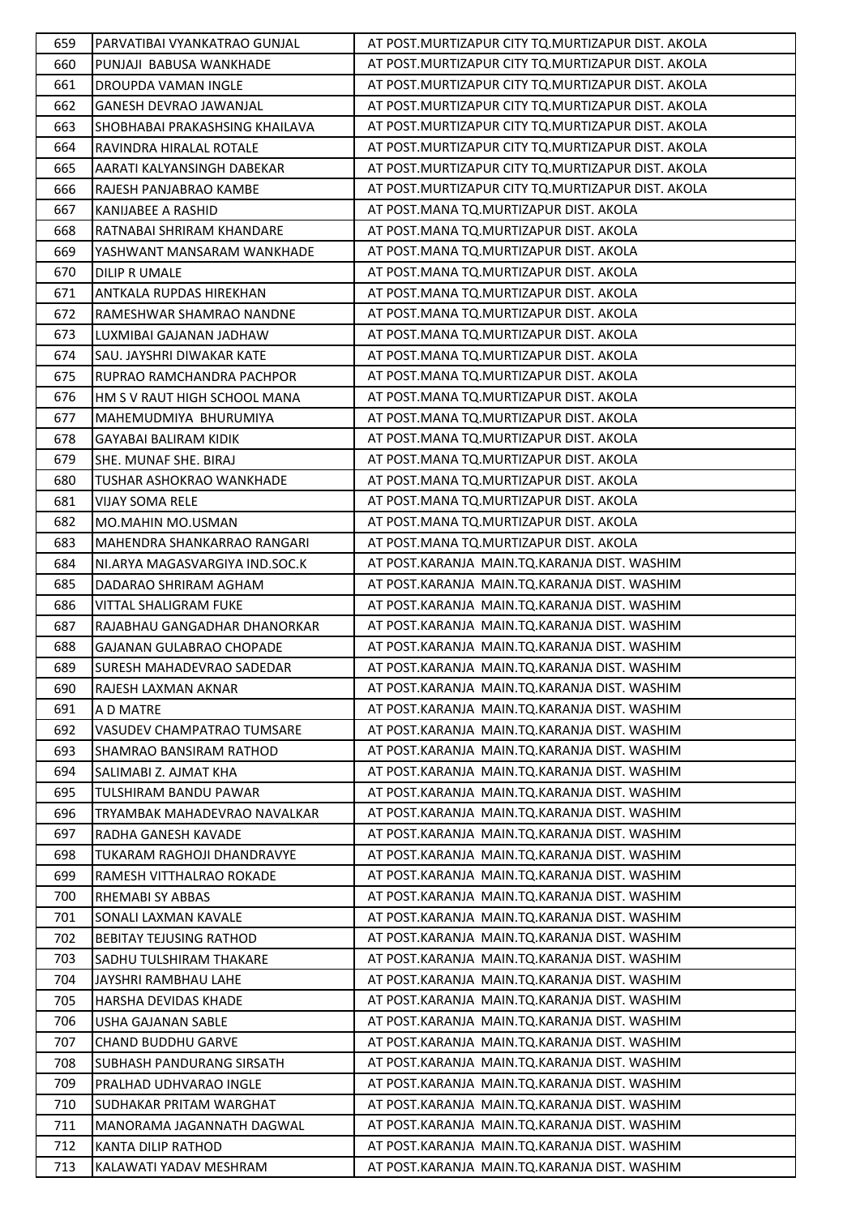| 659 | PARVATIBAI VYANKATRAO GUNJAL          | AT POST. MURTIZAPUR CITY TO. MURTIZAPUR DIST. AKOLA |
|-----|---------------------------------------|-----------------------------------------------------|
| 660 | PUNJAJI BABUSA WANKHADE               | AT POST. MURTIZAPUR CITY TQ. MURTIZAPUR DIST. AKOLA |
| 661 | DROUPDA VAMAN INGLE                   | AT POST. MURTIZAPUR CITY TO. MURTIZAPUR DIST. AKOLA |
| 662 | GANESH DEVRAO JAWANJAL                | AT POST. MURTIZAPUR CITY TO. MURTIZAPUR DIST. AKOLA |
| 663 | <b>SHOBHABAI PRAKASHSING KHAILAVA</b> | AT POST. MURTIZAPUR CITY TO. MURTIZAPUR DIST. AKOLA |
| 664 | RAVINDRA HIRALAL ROTALE               | AT POST. MURTIZAPUR CITY TO. MURTIZAPUR DIST. AKOLA |
| 665 | AARATI KALYANSINGH DABEKAR            | AT POST. MURTIZAPUR CITY TQ. MURTIZAPUR DIST. AKOLA |
| 666 | RAJESH PANJABRAO KAMBE                | AT POST. MURTIZAPUR CITY TO. MURTIZAPUR DIST. AKOLA |
| 667 | KANIJABEE A RASHID                    | AT POST.MANA TQ.MURTIZAPUR DIST. AKOLA              |
| 668 | RATNABAI SHRIRAM KHANDARE             | AT POST.MANA TQ.MURTIZAPUR DIST. AKOLA              |
| 669 | YASHWANT MANSARAM WANKHADE            | AT POST.MANA TQ.MURTIZAPUR DIST. AKOLA              |
| 670 | <b>DILIP R UMALE</b>                  | AT POST.MANA TQ.MURTIZAPUR DIST. AKOLA              |
| 671 | ANTKALA RUPDAS HIREKHAN               | AT POST.MANA TQ.MURTIZAPUR DIST. AKOLA              |
| 672 | RAMESHWAR SHAMRAO NANDNE              | AT POST.MANA TQ.MURTIZAPUR DIST. AKOLA              |
| 673 | LUXMIBAI GAJANAN JADHAW               | AT POST.MANA TQ.MURTIZAPUR DIST. AKOLA              |
| 674 | SAU. JAYSHRI DIWAKAR KATE             | AT POST.MANA TQ.MURTIZAPUR DIST. AKOLA              |
| 675 | RUPRAO RAMCHANDRA PACHPOR             | AT POST.MANA TQ.MURTIZAPUR DIST. AKOLA              |
| 676 | HM S V RAUT HIGH SCHOOL MANA          | AT POST.MANA TQ.MURTIZAPUR DIST. AKOLA              |
| 677 | MAHEMUDMIYA BHURUMIYA                 | AT POST.MANA TQ.MURTIZAPUR DIST. AKOLA              |
| 678 | <b>GAYABAI BALIRAM KIDIK</b>          | AT POST.MANA TQ.MURTIZAPUR DIST. AKOLA              |
| 679 | SHE. MUNAF SHE. BIRAJ                 | AT POST.MANA TQ.MURTIZAPUR DIST. AKOLA              |
| 680 | TUSHAR ASHOKRAO WANKHADE              | AT POST.MANA TQ.MURTIZAPUR DIST. AKOLA              |
| 681 | VIJAY SOMA RELE                       | AT POST.MANA TQ.MURTIZAPUR DIST. AKOLA              |
| 682 | MO.MAHIN MO.USMAN                     | AT POST.MANA TQ.MURTIZAPUR DIST. AKOLA              |
| 683 | <b>MAHENDRA SHANKARRAO RANGARI</b>    | AT POST.MANA TQ.MURTIZAPUR DIST. AKOLA              |
| 684 | NI.ARYA MAGASVARGIYA IND.SOC.K        | AT POST.KARANJA MAIN.TQ.KARANJA DIST. WASHIM        |
| 685 | DADARAO SHRIRAM AGHAM                 | AT POST.KARANJA MAIN.TQ.KARANJA DIST. WASHIM        |
| 686 | VITTAL SHALIGRAM FUKE                 | AT POST.KARANJA MAIN.TQ.KARANJA DIST. WASHIM        |
| 687 | RAJABHAU GANGADHAR DHANORKAR          | AT POST.KARANJA MAIN.TQ.KARANJA DIST. WASHIM        |
| 688 | <b>GAJANAN GULABRAO CHOPADE</b>       | AT POST.KARANJA MAIN.TQ.KARANJA DIST. WASHIM        |
| 689 | SURESH MAHADEVRAO SADEDAR             | AT POST.KARANJA MAIN.TQ.KARANJA DIST. WASHIM        |
| 690 | RAJESH LAXMAN AKNAR                   | AT POST.KARANJA MAIN.TQ.KARANJA DIST. WASHIM        |
| 691 | A D MATRE                             | AT POST.KARANJA MAIN.TO.KARANJA DIST. WASHIM        |
| 692 | <b>VASUDEV CHAMPATRAO TUMSARE</b>     | AT POST.KARANJA MAIN.TQ.KARANJA DIST. WASHIM        |
| 693 | SHAMRAO BANSIRAM RATHOD               | AT POST.KARANJA MAIN.TQ.KARANJA DIST. WASHIM        |
| 694 | SALIMABI Z. AJMAT KHA                 | AT POST.KARANJA MAIN.TQ.KARANJA DIST. WASHIM        |
| 695 | TULSHIRAM BANDU PAWAR                 | AT POST.KARANJA MAIN.TQ.KARANJA DIST. WASHIM        |
| 696 | TRYAMBAK MAHADEVRAO NAVALKAR          | AT POST.KARANJA MAIN.TQ.KARANJA DIST. WASHIM        |
| 697 | RADHA GANESH KAVADE                   | AT POST.KARANJA MAIN.TQ.KARANJA DIST. WASHIM        |
| 698 | TUKARAM RAGHOJI DHANDRAVYE            | AT POST.KARANJA MAIN.TQ.KARANJA DIST. WASHIM        |
| 699 | RAMESH VITTHALRAO ROKADE              | AT POST.KARANJA MAIN.TQ.KARANJA DIST. WASHIM        |
| 700 | <b>RHEMABI SY ABBAS</b>               | AT POST.KARANJA MAIN.TQ.KARANJA DIST. WASHIM        |
| 701 | SONALI LAXMAN KAVALE                  | AT POST.KARANJA MAIN.TQ.KARANJA DIST. WASHIM        |
| 702 | <b>BEBITAY TEJUSING RATHOD</b>        | AT POST.KARANJA MAIN.TQ.KARANJA DIST. WASHIM        |
| 703 | SADHU TULSHIRAM THAKARE               | AT POST.KARANJA MAIN.TQ.KARANJA DIST. WASHIM        |
| 704 | JAYSHRI RAMBHAU LAHE                  | AT POST.KARANJA MAIN.TQ.KARANJA DIST. WASHIM        |
| 705 | <b>HARSHA DEVIDAS KHADE</b>           | AT POST.KARANJA MAIN.TQ.KARANJA DIST. WASHIM        |
| 706 | USHA GAJANAN SABLE                    | AT POST.KARANJA MAIN.TQ.KARANJA DIST. WASHIM        |
| 707 | <b>CHAND BUDDHU GARVE</b>             | AT POST.KARANJA MAIN.TQ.KARANJA DIST. WASHIM        |
| 708 | SUBHASH PANDURANG SIRSATH             | AT POST.KARANJA MAIN.TQ.KARANJA DIST. WASHIM        |
| 709 | PRALHAD UDHVARAO INGLE                | AT POST.KARANJA MAIN.TQ.KARANJA DIST. WASHIM        |
| 710 | SUDHAKAR PRITAM WARGHAT               | AT POST.KARANJA MAIN.TQ.KARANJA DIST. WASHIM        |
| 711 | MANORAMA JAGANNATH DAGWAL             | AT POST.KARANJA MAIN.TQ.KARANJA DIST. WASHIM        |
| 712 | KANTA DILIP RATHOD                    | AT POST.KARANJA MAIN.TQ.KARANJA DIST. WASHIM        |
| 713 | KALAWATI YADAV MESHRAM                | AT POST.KARANJA MAIN.TQ.KARANJA DIST. WASHIM        |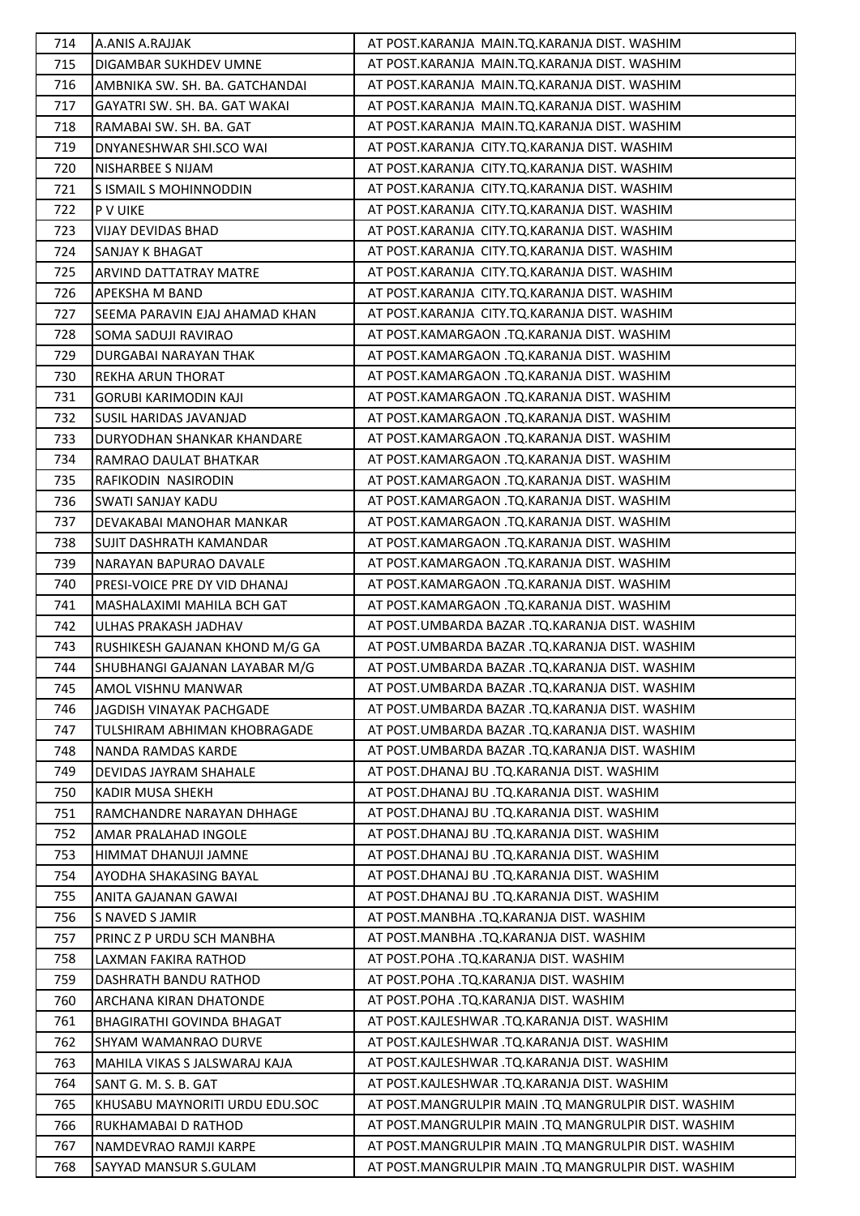| 714 | A.ANIS A.RAJJAK                | AT POST.KARANJA MAIN.TQ.KARANJA DIST. WASHIM        |
|-----|--------------------------------|-----------------------------------------------------|
| 715 | DIGAMBAR SUKHDEV UMNE          | AT POST.KARANJA MAIN.TQ.KARANJA DIST. WASHIM        |
| 716 | AMBNIKA SW. SH. BA. GATCHANDAI | AT POST.KARANJA MAIN.TQ.KARANJA DIST. WASHIM        |
| 717 | GAYATRI SW. SH. BA. GAT WAKAI  | AT POST.KARANJA MAIN.TQ.KARANJA DIST. WASHIM        |
| 718 | RAMABAI SW. SH. BA. GAT        | AT POST.KARANJA MAIN.TQ.KARANJA DIST. WASHIM        |
| 719 | DNYANESHWAR SHI.SCO WAI        | AT POST.KARANJA CITY.TQ.KARANJA DIST. WASHIM        |
| 720 | NISHARBEE S NIJAM              | AT POST.KARANJA CITY.TQ.KARANJA DIST. WASHIM        |
| 721 | S ISMAIL S MOHINNODDIN         | AT POST.KARANJA CITY.TQ.KARANJA DIST. WASHIM        |
| 722 | P V UIKE                       | AT POST.KARANJA CITY.TQ.KARANJA DIST. WASHIM        |
| 723 | <b>VIJAY DEVIDAS BHAD</b>      | AT POST.KARANJA CITY.TQ.KARANJA DIST. WASHIM        |
| 724 | SANJAY K BHAGAT                | AT POST.KARANJA CITY.TQ.KARANJA DIST. WASHIM        |
| 725 | ARVIND DATTATRAY MATRE         | AT POST.KARANJA CITY.TQ.KARANJA DIST. WASHIM        |
| 726 | APEKSHA M BAND                 | AT POST.KARANJA CITY.TQ.KARANJA DIST. WASHIM        |
| 727 | SEEMA PARAVIN EJAJ AHAMAD KHAN | AT POST.KARANJA CITY.TQ.KARANJA DIST. WASHIM        |
| 728 | SOMA SADUJI RAVIRAO            | AT POST.KAMARGAON .TQ.KARANJA DIST. WASHIM          |
| 729 | DURGABAI NARAYAN THAK          | AT POST.KAMARGAON .TQ.KARANJA DIST. WASHIM          |
| 730 | REKHA ARUN THORAT              | AT POST.KAMARGAON .TQ.KARANJA DIST. WASHIM          |
| 731 | <b>GORUBI KARIMODIN KAJI</b>   | AT POST.KAMARGAON .TQ.KARANJA DIST. WASHIM          |
| 732 | SUSIL HARIDAS JAVANJAD         | AT POST.KAMARGAON .TQ.KARANJA DIST. WASHIM          |
| 733 | DURYODHAN SHANKAR KHANDARE     | AT POST.KAMARGAON .TQ.KARANJA DIST. WASHIM          |
| 734 | RAMRAO DAULAT BHATKAR          | AT POST.KAMARGAON .TQ.KARANJA DIST. WASHIM          |
| 735 | RAFIKODIN NASIRODIN            | AT POST.KAMARGAON .TQ.KARANJA DIST. WASHIM          |
| 736 | SWATI SANJAY KADU              | AT POST.KAMARGAON .TQ.KARANJA DIST. WASHIM          |
| 737 | DEVAKABAI MANOHAR MANKAR       | AT POST.KAMARGAON .TQ.KARANJA DIST. WASHIM          |
| 738 | <b>SUJIT DASHRATH KAMANDAR</b> | AT POST.KAMARGAON .TQ.KARANJA DIST. WASHIM          |
| 739 | NARAYAN BAPURAO DAVALE         | AT POST.KAMARGAON .TQ.KARANJA DIST. WASHIM          |
| 740 | PRESI-VOICE PRE DY VID DHANAJ  | AT POST.KAMARGAON .TQ.KARANJA DIST. WASHIM          |
| 741 | MASHALAXIMI MAHILA BCH GAT     | AT POST.KAMARGAON .TQ.KARANJA DIST. WASHIM          |
| 742 | ULHAS PRAKASH JADHAV           | AT POST.UMBARDA BAZAR .TQ.KARANJA DIST. WASHIM      |
| 743 | RUSHIKESH GAJANAN KHOND M/G GA | AT POST.UMBARDA BAZAR .TQ.KARANJA DIST. WASHIM      |
| 744 | SHUBHANGI GAJANAN LAYABAR M/G  | AT POST.UMBARDA BAZAR .TQ.KARANJA DIST. WASHIM      |
| 745 | AMOL VISHNU MANWAR             | AT POST.UMBARDA BAZAR .TQ.KARANJA DIST. WASHIM      |
| 746 | JAGDISH VINAYAK PACHGADE       | AT POST.UMBARDA BAZAR .TO.KARANJA DIST. WASHIM      |
| 747 | TULSHIRAM ABHIMAN KHOBRAGADE   | AT POST.UMBARDA BAZAR .TQ.KARANJA DIST. WASHIM      |
| 748 | NANDA RAMDAS KARDE             | AT POST.UMBARDA BAZAR .TQ.KARANJA DIST. WASHIM      |
| 749 | DEVIDAS JAYRAM SHAHALE         | AT POST.DHANAJ BU .TQ.KARANJA DIST. WASHIM          |
| 750 | KADIR MUSA SHEKH               | AT POST.DHANAJ BU .TQ.KARANJA DIST. WASHIM          |
| 751 | RAMCHANDRE NARAYAN DHHAGE      | AT POST.DHANAJ BU .TQ.KARANJA DIST. WASHIM          |
| 752 | AMAR PRALAHAD INGOLE           | AT POST.DHANAJ BU .TQ.KARANJA DIST. WASHIM          |
| 753 | HIMMAT DHANUJI JAMNE           | AT POST.DHANAJ BU .TQ.KARANJA DIST. WASHIM          |
| 754 | AYODHA SHAKASING BAYAL         | AT POST.DHANAJ BU .TQ.KARANJA DIST. WASHIM          |
| 755 | ANITA GAJANAN GAWAI            | AT POST.DHANAJ BU .TQ.KARANJA DIST. WASHIM          |
| 756 | S NAVED S JAMIR                | AT POST.MANBHA .TQ.KARANJA DIST. WASHIM             |
| 757 | PRINC Z P URDU SCH MANBHA      | AT POST.MANBHA .TQ.KARANJA DIST. WASHIM             |
| 758 | LAXMAN FAKIRA RATHOD           | AT POST.POHA .TQ.KARANJA DIST. WASHIM               |
| 759 | DASHRATH BANDU RATHOD          | AT POST.POHA .TQ.KARANJA DIST. WASHIM               |
| 760 | ARCHANA KIRAN DHATONDE         | AT POST. POHA .TQ. KARANJA DIST. WASHIM             |
| 761 | BHAGIRATHI GOVINDA BHAGAT      | AT POST.KAJLESHWAR .TQ.KARANJA DIST. WASHIM         |
| 762 | <b>SHYAM WAMANRAO DURVE</b>    | AT POST.KAJLESHWAR .TQ.KARANJA DIST. WASHIM         |
| 763 | MAHILA VIKAS S JALSWARAJ KAJA  | AT POST.KAJLESHWAR .TQ.KARANJA DIST. WASHIM         |
| 764 | SANT G. M. S. B. GAT           | AT POST.KAJLESHWAR .TQ.KARANJA DIST. WASHIM         |
| 765 | KHUSABU MAYNORITI URDU EDU.SOC | AT POST.MANGRULPIR MAIN .TQ MANGRULPIR DIST. WASHIM |
| 766 | RUKHAMABAI D RATHOD            | AT POST.MANGRULPIR MAIN .TQ MANGRULPIR DIST. WASHIM |
| 767 | NAMDEVRAO RAMJI KARPE          | AT POST.MANGRULPIR MAIN .TQ MANGRULPIR DIST. WASHIM |
| 768 | SAYYAD MANSUR S.GULAM          | AT POST.MANGRULPIR MAIN .TQ MANGRULPIR DIST. WASHIM |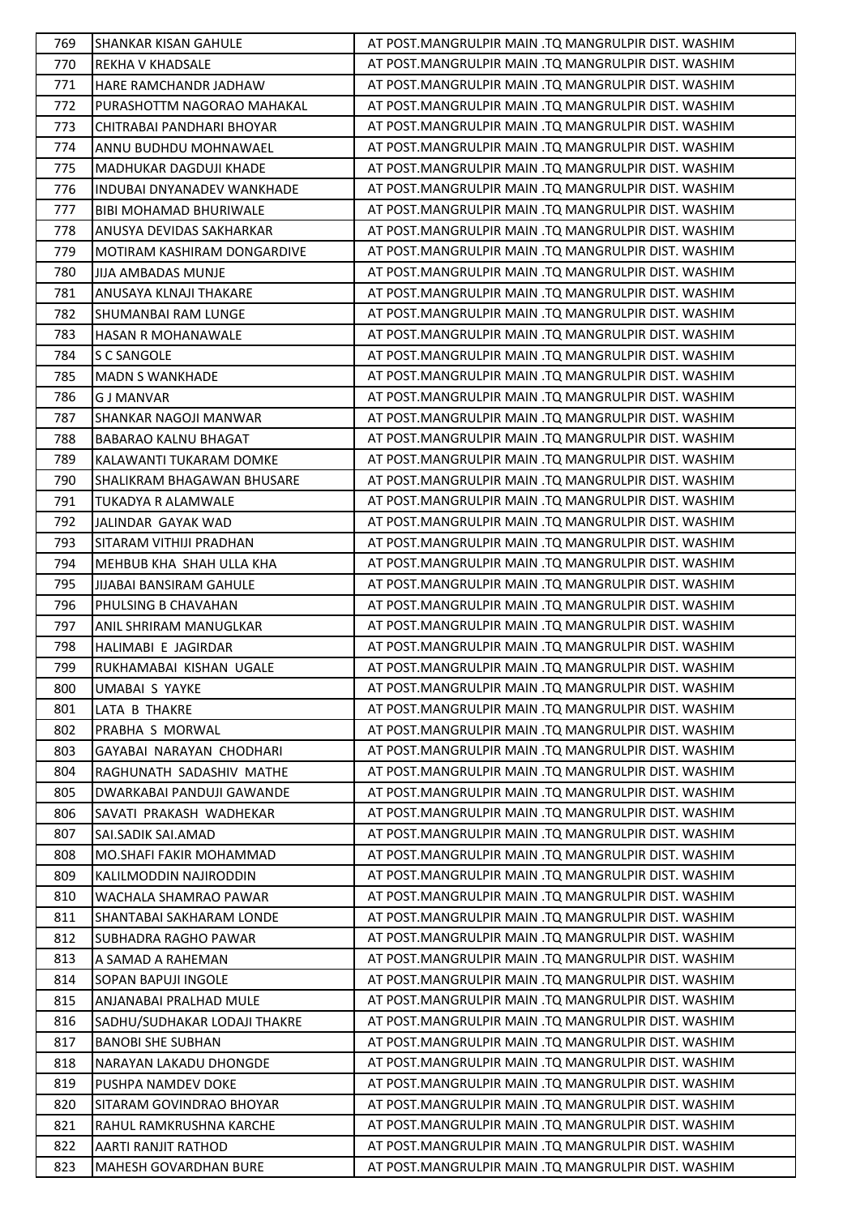| 769        | <b>SHANKAR KISAN GAHULE</b>                   | AT POST.MANGRULPIR MAIN .TQ MANGRULPIR DIST. WASHIM |
|------------|-----------------------------------------------|-----------------------------------------------------|
| 770        | <b>REKHA V KHADSALE</b>                       | AT POST.MANGRULPIR MAIN .TQ MANGRULPIR DIST. WASHIM |
| 771        | <b>HARE RAMCHANDR JADHAW</b>                  | AT POST.MANGRULPIR MAIN .TQ MANGRULPIR DIST. WASHIM |
| 772        | PURASHOTTM NAGORAO MAHAKAL                    | AT POST.MANGRULPIR MAIN .TQ MANGRULPIR DIST. WASHIM |
| 773        | CHITRABAI PANDHARI BHOYAR                     | AT POST.MANGRULPIR MAIN .TQ MANGRULPIR DIST. WASHIM |
| 774        | ANNU BUDHDU MOHNAWAEL                         | AT POST.MANGRULPIR MAIN .TQ MANGRULPIR DIST. WASHIM |
| 775        | MADHUKAR DAGDUJI KHADE                        | AT POST.MANGRULPIR MAIN .TQ MANGRULPIR DIST. WASHIM |
| 776        | <b>INDUBAI DNYANADEV WANKHADE</b>             | AT POST.MANGRULPIR MAIN .TQ MANGRULPIR DIST. WASHIM |
| 777        | <b>BIBI MOHAMAD BHURIWALE</b>                 | AT POST.MANGRULPIR MAIN .TO MANGRULPIR DIST. WASHIM |
| 778        | ANUSYA DEVIDAS SAKHARKAR                      | AT POST.MANGRULPIR MAIN .TQ MANGRULPIR DIST. WASHIM |
| 779        | MOTIRAM KASHIRAM DONGARDIVE                   | AT POST.MANGRULPIR MAIN .TQ MANGRULPIR DIST. WASHIM |
| 780        | JIJA AMBADAS MUNJE                            | AT POST.MANGRULPIR MAIN .TQ MANGRULPIR DIST. WASHIM |
| 781        | ANUSAYA KLNAJI THAKARE                        | AT POST.MANGRULPIR MAIN .TQ MANGRULPIR DIST. WASHIM |
| 782        | SHUMANBAI RAM LUNGE                           | AT POST.MANGRULPIR MAIN .TQ MANGRULPIR DIST. WASHIM |
| 783        | <b>HASAN R MOHANAWALE</b>                     | AT POST.MANGRULPIR MAIN .TO MANGRULPIR DIST. WASHIM |
| 784        | S C SANGOLE                                   | AT POST.MANGRULPIR MAIN .TQ MANGRULPIR DIST. WASHIM |
| 785        | <b>MADN S WANKHADE</b>                        | AT POST.MANGRULPIR MAIN .TQ MANGRULPIR DIST. WASHIM |
| 786        | <b>G J MANVAR</b>                             | AT POST.MANGRULPIR MAIN .TQ MANGRULPIR DIST. WASHIM |
| 787        | SHANKAR NAGOJI MANWAR                         | AT POST.MANGRULPIR MAIN .TQ MANGRULPIR DIST. WASHIM |
| 788        | <b>BABARAO KALNU BHAGAT</b>                   | AT POST.MANGRULPIR MAIN .TO MANGRULPIR DIST. WASHIM |
| 789        | KALAWANTI TUKARAM DOMKE                       | AT POST.MANGRULPIR MAIN .TQ MANGRULPIR DIST. WASHIM |
| 790        | SHALIKRAM BHAGAWAN BHUSARE                    | AT POST.MANGRULPIR MAIN .TQ MANGRULPIR DIST. WASHIM |
| 791        | TUKADYA R ALAMWALE                            | AT POST.MANGRULPIR MAIN .TQ MANGRULPIR DIST. WASHIM |
| 792        | JALINDAR GAYAK WAD                            | AT POST.MANGRULPIR MAIN .TQ MANGRULPIR DIST. WASHIM |
| 793        | SITARAM VITHIJI PRADHAN                       | AT POST.MANGRULPIR MAIN .TQ MANGRULPIR DIST. WASHIM |
| 794        | MEHBUB KHA SHAH ULLA KHA                      | AT POST.MANGRULPIR MAIN .TQ MANGRULPIR DIST. WASHIM |
| 795        |                                               | AT POST.MANGRULPIR MAIN .TQ MANGRULPIR DIST. WASHIM |
| 796        | JIJABAI BANSIRAM GAHULE                       | AT POST.MANGRULPIR MAIN .TQ MANGRULPIR DIST. WASHIM |
| 797        | PHULSING B CHAVAHAN<br>ANIL SHRIRAM MANUGLKAR | AT POST.MANGRULPIR MAIN .TQ MANGRULPIR DIST. WASHIM |
|            | HALIMABI E JAGIRDAR                           | AT POST.MANGRULPIR MAIN .TQ MANGRULPIR DIST. WASHIM |
| 798<br>799 |                                               | AT POST.MANGRULPIR MAIN .TQ MANGRULPIR DIST. WASHIM |
|            | RUKHAMABAI KISHAN UGALE<br>UMABAI S YAYKE     | AT POST.MANGRULPIR MAIN .TQ MANGRULPIR DIST. WASHIM |
| 800        |                                               | AT POST.MANGRULPIR MAIN .TQ MANGRULPIR DIST. WASHIM |
| 801        | LATA B THAKRE                                 | AT POST.MANGRULPIR MAIN .TQ MANGRULPIR DIST. WASHIM |
| 802        | PRABHA S MORWAL                               |                                                     |
| 803        | GAYABAI NARAYAN CHODHARI                      | AT POST.MANGRULPIR MAIN .TQ MANGRULPIR DIST. WASHIM |
| 804        | RAGHUNATH SADASHIV MATHE                      | AT POST.MANGRULPIR MAIN .TO MANGRULPIR DIST. WASHIM |
| 805        | DWARKABAI PANDUJI GAWANDE                     | AT POST.MANGRULPIR MAIN .TQ MANGRULPIR DIST. WASHIM |
| 806        | SAVATI PRAKASH WADHEKAR                       | AT POST.MANGRULPIR MAIN .TQ MANGRULPIR DIST. WASHIM |
| 807        | SAI.SADIK SAI.AMAD                            | AT POST.MANGRULPIR MAIN .TQ MANGRULPIR DIST. WASHIM |
| 808        | MO.SHAFI FAKIR MOHAMMAD                       | AT POST.MANGRULPIR MAIN .TQ MANGRULPIR DIST. WASHIM |
| 809        | KALILMODDIN NAJIRODDIN                        | AT POST.MANGRULPIR MAIN .TQ MANGRULPIR DIST. WASHIM |
| 810        | WACHALA SHAMRAO PAWAR                         | AT POST.MANGRULPIR MAIN .TQ MANGRULPIR DIST. WASHIM |
| 811        | SHANTABAI SAKHARAM LONDE                      | AT POST.MANGRULPIR MAIN .TQ MANGRULPIR DIST. WASHIM |
| 812        | SUBHADRA RAGHO PAWAR                          | AT POST.MANGRULPIR MAIN .TQ MANGRULPIR DIST. WASHIM |
| 813        | A SAMAD A RAHEMAN                             | AT POST.MANGRULPIR MAIN .TQ MANGRULPIR DIST. WASHIM |
| 814        | SOPAN BAPUJI INGOLE                           | AT POST.MANGRULPIR MAIN .TQ MANGRULPIR DIST. WASHIM |
| 815        | ANJANABAI PRALHAD MULE                        | AT POST.MANGRULPIR MAIN .TQ MANGRULPIR DIST. WASHIM |
| 816        | SADHU/SUDHAKAR LODAJI THAKRE                  | AT POST.MANGRULPIR MAIN .TQ MANGRULPIR DIST. WASHIM |
| 817        | <b>BANOBI SHE SUBHAN</b>                      | AT POST.MANGRULPIR MAIN .TQ MANGRULPIR DIST. WASHIM |
| 818        | NARAYAN LAKADU DHONGDE                        | AT POST.MANGRULPIR MAIN .TQ MANGRULPIR DIST. WASHIM |
| 819        | PUSHPA NAMDEV DOKE                            | AT POST.MANGRULPIR MAIN .TQ MANGRULPIR DIST. WASHIM |
| 820        | SITARAM GOVINDRAO BHOYAR                      | AT POST.MANGRULPIR MAIN .TQ MANGRULPIR DIST. WASHIM |
| 821        | RAHUL RAMKRUSHNA KARCHE                       | AT POST.MANGRULPIR MAIN .TQ MANGRULPIR DIST. WASHIM |
| 822        | AARTI RANJIT RATHOD                           | AT POST.MANGRULPIR MAIN .TQ MANGRULPIR DIST. WASHIM |
| 823        | MAHESH GOVARDHAN BURE                         | AT POST.MANGRULPIR MAIN .TQ MANGRULPIR DIST. WASHIM |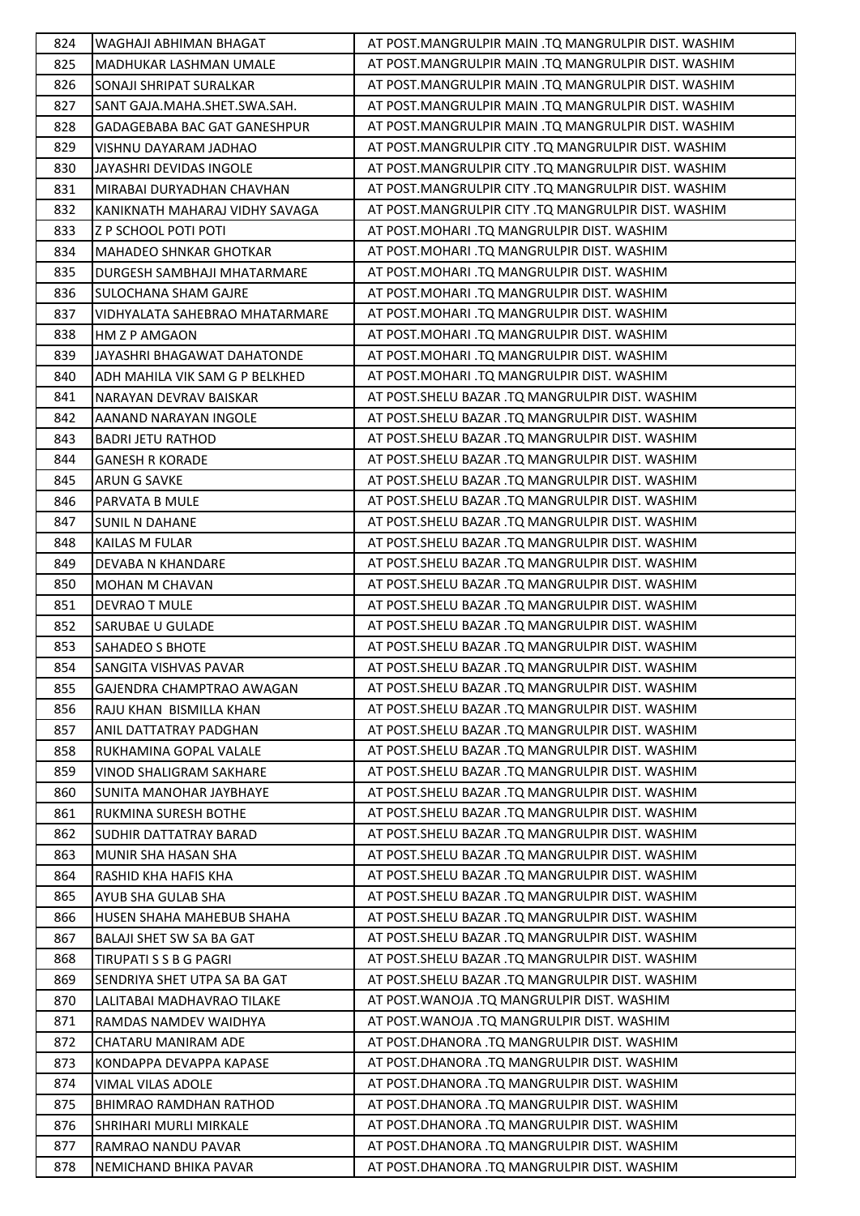| 824 | WAGHAJI ABHIMAN BHAGAT          | AT POST.MANGRULPIR MAIN .TQ MANGRULPIR DIST. WASHIM |
|-----|---------------------------------|-----------------------------------------------------|
| 825 | MADHUKAR LASHMAN UMALE          | AT POST.MANGRULPIR MAIN .TQ MANGRULPIR DIST. WASHIM |
| 826 | SONAJI SHRIPAT SURALKAR         | AT POST.MANGRULPIR MAIN .TQ MANGRULPIR DIST. WASHIM |
| 827 | SANT GAJA.MAHA.SHET.SWA.SAH.    | AT POST.MANGRULPIR MAIN .TQ MANGRULPIR DIST. WASHIM |
| 828 | GADAGEBABA BAC GAT GANESHPUR    | AT POST.MANGRULPIR MAIN .TQ MANGRULPIR DIST. WASHIM |
| 829 | VISHNU DAYARAM JADHAO           | AT POST.MANGRULPIR CITY .TQ MANGRULPIR DIST. WASHIM |
| 830 | JAYASHRI DEVIDAS INGOLE         | AT POST.MANGRULPIR CITY .TQ MANGRULPIR DIST. WASHIM |
| 831 | MIRABAI DURYADHAN CHAVHAN       | AT POST.MANGRULPIR CITY .TQ MANGRULPIR DIST. WASHIM |
| 832 | KANIKNATH MAHARAJ VIDHY SAVAGA  | AT POST.MANGRULPIR CITY .TQ MANGRULPIR DIST. WASHIM |
| 833 | Z P SCHOOL POTI POTI            | AT POST.MOHARI .TQ MANGRULPIR DIST. WASHIM          |
| 834 | <b>MAHADEO SHNKAR GHOTKAR</b>   | AT POST.MOHARI .TQ MANGRULPIR DIST. WASHIM          |
| 835 | DURGESH SAMBHAJI MHATARMARE     | AT POST.MOHARI .TQ MANGRULPIR DIST. WASHIM          |
| 836 | <b>SULOCHANA SHAM GAJRE</b>     | AT POST.MOHARI .TQ MANGRULPIR DIST. WASHIM          |
| 837 | VIDHYALATA SAHEBRAO MHATARMARE  | AT POST.MOHARI .TQ MANGRULPIR DIST. WASHIM          |
| 838 | <b>HM Z P AMGAON</b>            | AT POST. MOHARI .TQ MANGRULPIR DIST. WASHIM         |
| 839 | JAYASHRI BHAGAWAT DAHATONDE     | AT POST. MOHARI .TO MANGRULPIR DIST. WASHIM         |
| 840 | ADH MAHILA VIK SAM G P BELKHED  | AT POST.MOHARI .TQ MANGRULPIR DIST. WASHIM          |
| 841 | NARAYAN DEVRAV BAISKAR          | AT POST. SHELU BAZAR .TQ MANGRULPIR DIST. WASHIM    |
| 842 | AANAND NARAYAN INGOLE           | AT POST.SHELU BAZAR .TQ MANGRULPIR DIST. WASHIM     |
| 843 | <b>BADRI JETU RATHOD</b>        | AT POST. SHELU BAZAR .TO MANGRULPIR DIST. WASHIM    |
| 844 | <b>GANESH R KORADE</b>          | AT POST. SHELU BAZAR .TQ MANGRULPIR DIST. WASHIM    |
| 845 | ARUN G SAVKE                    | AT POST.SHELU BAZAR .TQ MANGRULPIR DIST. WASHIM     |
| 846 | PARVATA B MULE                  | AT POST. SHELU BAZAR .TQ MANGRULPIR DIST. WASHIM    |
| 847 | <b>SUNIL N DAHANE</b>           | AT POST.SHELU BAZAR .TQ MANGRULPIR DIST. WASHIM     |
| 848 | <b>KAILAS M FULAR</b>           | AT POST.SHELU BAZAR .TQ MANGRULPIR DIST. WASHIM     |
| 849 | <b>DEVABA N KHANDARE</b>        | AT POST. SHELU BAZAR .TQ MANGRULPIR DIST. WASHIM    |
| 850 | MOHAN M CHAVAN                  | AT POST.SHELU BAZAR .TQ MANGRULPIR DIST. WASHIM     |
| 851 | DEVRAO T MULE                   | AT POST. SHELU BAZAR .TQ MANGRULPIR DIST. WASHIM    |
| 852 | SARUBAE U GULADE                | AT POST.SHELU BAZAR .TQ MANGRULPIR DIST. WASHIM     |
| 853 | <b>SAHADEO S BHOTE</b>          | AT POST.SHELU BAZAR .TQ MANGRULPIR DIST. WASHIM     |
| 854 | SANGITA VISHVAS PAVAR           | AT POST.SHELU BAZAR .TQ MANGRULPIR DIST. WASHIM     |
| 855 | GAJENDRA CHAMPTRAO AWAGAN       | AT POST. SHELU BAZAR .TQ MANGRULPIR DIST. WASHIM    |
| 856 | RAJU KHAN BISMILLA KHAN         | AT POST. SHELU BAZAR .TO MANGRULPIR DIST. WASHIM    |
| 857 | ANIL DATTATRAY PADGHAN          | AT POST. SHELU BAZAR .TO MANGRULPIR DIST. WASHIM    |
| 858 | RUKHAMINA GOPAL VALALE          | AT POST.SHELU BAZAR .TQ MANGRULPIR DIST. WASHIM     |
| 859 | VINOD SHALIGRAM SAKHARE         | AT POST.SHELU BAZAR .TQ MANGRULPIR DIST. WASHIM     |
| 860 | <b>SUNITA MANOHAR JAYBHAYE</b>  | AT POST. SHELU BAZAR .TQ MANGRULPIR DIST. WASHIM    |
| 861 | RUKMINA SURESH BOTHE            | AT POST. SHELU BAZAR .TO MANGRULPIR DIST. WASHIM    |
| 862 | <b>SUDHIR DATTATRAY BARAD</b>   | AT POST. SHELU BAZAR .TQ MANGRULPIR DIST. WASHIM    |
| 863 | MUNIR SHA HASAN SHA             | AT POST. SHELU BAZAR .TO MANGRULPIR DIST. WASHIM    |
| 864 | RASHID KHA HAFIS KHA            | AT POST.SHELU BAZAR .TQ MANGRULPIR DIST. WASHIM     |
| 865 | AYUB SHA GULAB SHA              | AT POST. SHELU BAZAR .TO MANGRULPIR DIST. WASHIM    |
| 866 | HUSEN SHAHA MAHEBUB SHAHA       | AT POST. SHELU BAZAR .TO MANGRULPIR DIST. WASHIM    |
| 867 | <b>BALAJI SHET SW SA BA GAT</b> | AT POST. SHELU BAZAR .TQ MANGRULPIR DIST. WASHIM    |
| 868 | TIRUPATI S S B G PAGRI          | AT POST. SHELU BAZAR .TO MANGRULPIR DIST. WASHIM    |
| 869 | SENDRIYA SHET UTPA SA BA GAT    | AT POST.SHELU BAZAR .TQ MANGRULPIR DIST. WASHIM     |
| 870 | LALITABAI MADHAVRAO TILAKE      | AT POST. WANOJA .TQ MANGRULPIR DIST. WASHIM         |
| 871 | RAMDAS NAMDEV WAIDHYA           | AT POST. WANOJA .TQ MANGRULPIR DIST. WASHIM         |
| 872 | CHATARU MANIRAM ADE             | AT POST.DHANORA .TQ MANGRULPIR DIST. WASHIM         |
| 873 | KONDAPPA DEVAPPA KAPASE         | AT POST.DHANORA .TQ MANGRULPIR DIST. WASHIM         |
| 874 | VIMAL VILAS ADOLE               | AT POST.DHANORA .TQ MANGRULPIR DIST. WASHIM         |
| 875 | BHIMRAO RAMDHAN RATHOD          | AT POST.DHANORA .TQ MANGRULPIR DIST. WASHIM         |
| 876 | SHRIHARI MURLI MIRKALE          | AT POST.DHANORA .TQ MANGRULPIR DIST. WASHIM         |
| 877 | RAMRAO NANDU PAVAR              | AT POST.DHANORA .TQ MANGRULPIR DIST. WASHIM         |
| 878 | NEMICHAND BHIKA PAVAR           | AT POST.DHANORA .TQ MANGRULPIR DIST. WASHIM         |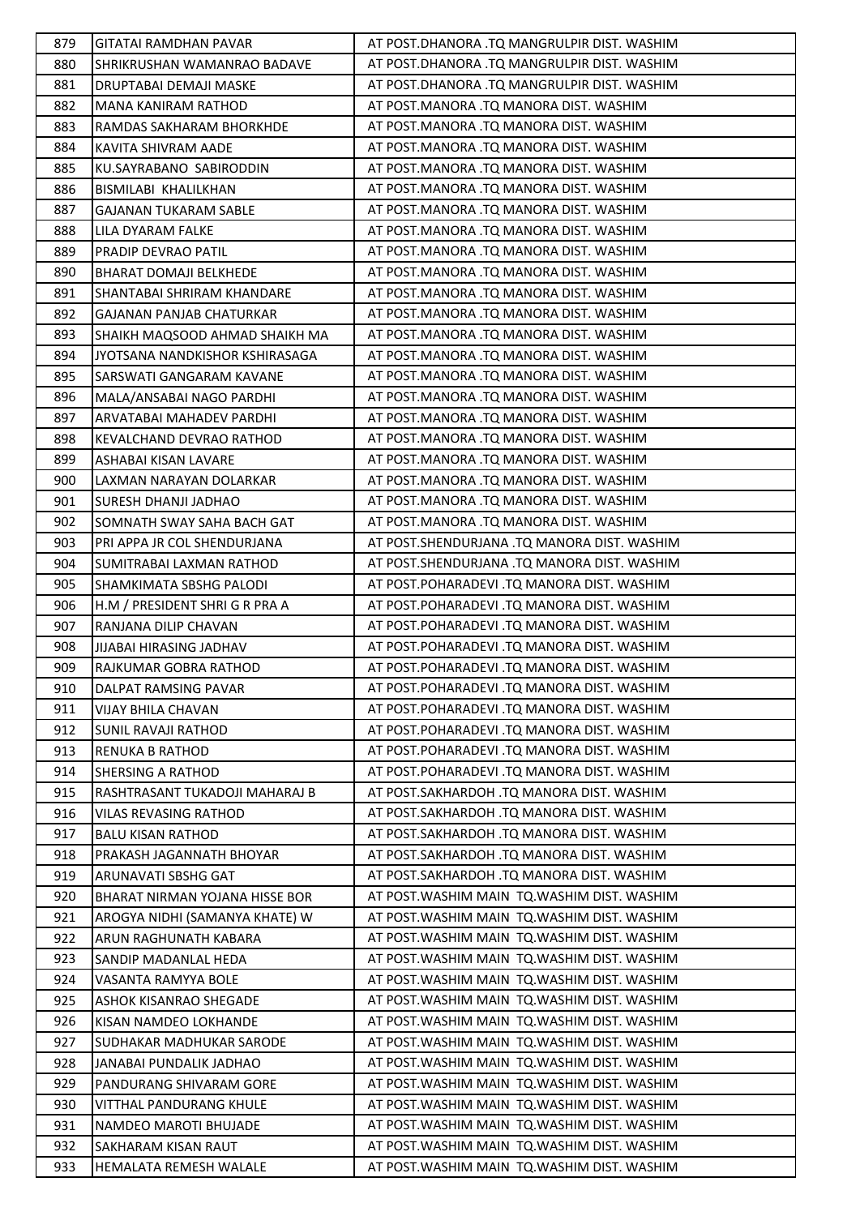| 879 | <b>GITATAI RAMDHAN PAVAR</b>    | AT POST.DHANORA .TQ MANGRULPIR DIST. WASHIM  |
|-----|---------------------------------|----------------------------------------------|
| 880 | SHRIKRUSHAN WAMANRAO BADAVE     | AT POST.DHANORA .TQ MANGRULPIR DIST. WASHIM  |
| 881 | DRUPTABAI DEMAJI MASKE          | AT POST.DHANORA .TQ MANGRULPIR DIST. WASHIM  |
| 882 | MANA KANIRAM RATHOD             | AT POST.MANORA .TQ MANORA DIST. WASHIM       |
| 883 | RAMDAS SAKHARAM BHORKHDE        | AT POST.MANORA .TQ MANORA DIST. WASHIM       |
| 884 | KAVITA SHIVRAM AADE             | AT POST.MANORA .TQ MANORA DIST. WASHIM       |
| 885 | KU.SAYRABANO SABIRODDIN         | AT POST.MANORA .TQ MANORA DIST. WASHIM       |
| 886 | BISMILABI KHALILKHAN            | AT POST.MANORA .TQ MANORA DIST. WASHIM       |
| 887 | <b>GAJANAN TUKARAM SABLE</b>    | AT POST.MANORA .TQ MANORA DIST. WASHIM       |
| 888 | LILA DYARAM FALKE               | AT POST.MANORA .TQ MANORA DIST. WASHIM       |
| 889 | PRADIP DEVRAO PATIL             | AT POST.MANORA .TQ MANORA DIST. WASHIM       |
| 890 | BHARAT DOMAJI BELKHEDE          | AT POST.MANORA .TQ MANORA DIST. WASHIM       |
| 891 | SHANTABAI SHRIRAM KHANDARE      | AT POST.MANORA .TQ MANORA DIST. WASHIM       |
| 892 | <b>GAJANAN PANJAB CHATURKAR</b> | AT POST.MANORA .TQ MANORA DIST. WASHIM       |
| 893 | SHAIKH MAQSOOD AHMAD SHAIKH MA  | AT POST.MANORA .TQ MANORA DIST. WASHIM       |
| 894 | JYOTSANA NANDKISHOR KSHIRASAGA  | AT POST.MANORA .TQ MANORA DIST. WASHIM       |
| 895 | SARSWATI GANGARAM KAVANE        | AT POST.MANORA .TQ MANORA DIST. WASHIM       |
| 896 | MALA/ANSABAI NAGO PARDHI        | AT POST.MANORA .TQ MANORA DIST. WASHIM       |
| 897 | ARVATABAI MAHADEV PARDHI        | AT POST.MANORA .TQ MANORA DIST. WASHIM       |
| 898 | KEVALCHAND DEVRAO RATHOD        | AT POST.MANORA .TQ MANORA DIST. WASHIM       |
| 899 | ASHABAI KISAN LAVARE            | AT POST.MANORA .TQ MANORA DIST. WASHIM       |
| 900 | LAXMAN NARAYAN DOLARKAR         | AT POST.MANORA .TQ MANORA DIST. WASHIM       |
| 901 | SURESH DHANJI JADHAO            | AT POST.MANORA .TQ MANORA DIST. WASHIM       |
| 902 | SOMNATH SWAY SAHA BACH GAT      | AT POST.MANORA .TQ MANORA DIST. WASHIM       |
| 903 | PRI APPA JR COL SHENDURJANA     | AT POST.SHENDURJANA .TQ MANORA DIST. WASHIM  |
| 904 | SUMITRABAI LAXMAN RATHOD        | AT POST.SHENDURJANA .TQ MANORA DIST. WASHIM  |
| 905 | SHAMKIMATA SBSHG PALODI         | AT POST.POHARADEVI .TQ MANORA DIST. WASHIM   |
| 906 | H.M / PRESIDENT SHRI G R PRA A  | AT POST.POHARADEVI .TQ MANORA DIST. WASHIM   |
| 907 | RANJANA DILIP CHAVAN            | AT POST.POHARADEVI .TQ MANORA DIST. WASHIM   |
| 908 | <b>JIJABAI HIRASING JADHAV</b>  | AT POST.POHARADEVI .TQ MANORA DIST. WASHIM   |
| 909 | RAJKUMAR GOBRA RATHOD           | AT POST.POHARADEVI .TQ MANORA DIST. WASHIM   |
| 910 | DALPAT RAMSING PAVAR            | AT POST.POHARADEVI .TQ MANORA DIST. WASHIM   |
| 911 | VIJAY BHILA CHAVAN              | AT POST.POHARADEVI .TQ MANORA DIST. WASHIM   |
| 912 | SUNIL RAVAJI RATHOD             | AT POST.POHARADEVI .TQ MANORA DIST. WASHIM   |
| 913 | <b>RENUKA B RATHOD</b>          | AT POST.POHARADEVI .TQ MANORA DIST. WASHIM   |
| 914 | SHERSING A RATHOD               | AT POST.POHARADEVI .TQ MANORA DIST. WASHIM   |
| 915 | RASHTRASANT TUKADOJI MAHARAJ B  | AT POST.SAKHARDOH .TQ MANORA DIST. WASHIM    |
| 916 | VILAS REVASING RATHOD           | AT POST.SAKHARDOH .TQ MANORA DIST. WASHIM    |
| 917 | <b>BALU KISAN RATHOD</b>        | AT POST.SAKHARDOH .TQ MANORA DIST. WASHIM    |
| 918 | PRAKASH JAGANNATH BHOYAR        | AT POST.SAKHARDOH .TQ MANORA DIST. WASHIM    |
| 919 | ARUNAVATI SBSHG GAT             | AT POST.SAKHARDOH .TQ MANORA DIST. WASHIM    |
| 920 | BHARAT NIRMAN YOJANA HISSE BOR  | AT POST. WASHIM MAIN TQ. WASHIM DIST. WASHIM |
| 921 | AROGYA NIDHI (SAMANYA KHATE) W  | AT POST. WASHIM MAIN TO. WASHIM DIST. WASHIM |
| 922 | ARUN RAGHUNATH KABARA           | AT POST. WASHIM MAIN TO. WASHIM DIST. WASHIM |
| 923 | SANDIP MADANLAL HEDA            | AT POST. WASHIM MAIN TO. WASHIM DIST. WASHIM |
| 924 | VASANTA RAMYYA BOLE             | AT POST. WASHIM MAIN TO. WASHIM DIST. WASHIM |
| 925 | ASHOK KISANRAO SHEGADE          | AT POST. WASHIM MAIN TQ. WASHIM DIST. WASHIM |
| 926 | KISAN NAMDEO LOKHANDE           | AT POST. WASHIM MAIN TO. WASHIM DIST. WASHIM |
| 927 | SUDHAKAR MADHUKAR SARODE        | AT POST. WASHIM MAIN TO. WASHIM DIST. WASHIM |
| 928 | JANABAI PUNDALIK JADHAO         | AT POST. WASHIM MAIN TO. WASHIM DIST. WASHIM |
| 929 | PANDURANG SHIVARAM GORE         | AT POST. WASHIM MAIN TO. WASHIM DIST. WASHIM |
| 930 | VITTHAL PANDURANG KHULE         | AT POST. WASHIM MAIN TO. WASHIM DIST. WASHIM |
| 931 | NAMDEO MAROTI BHUJADE           | AT POST. WASHIM MAIN TO. WASHIM DIST. WASHIM |
| 932 | SAKHARAM KISAN RAUT             | AT POST. WASHIM MAIN TQ. WASHIM DIST. WASHIM |
| 933 | HEMALATA REMESH WALALE          | AT POST. WASHIM MAIN TQ. WASHIM DIST. WASHIM |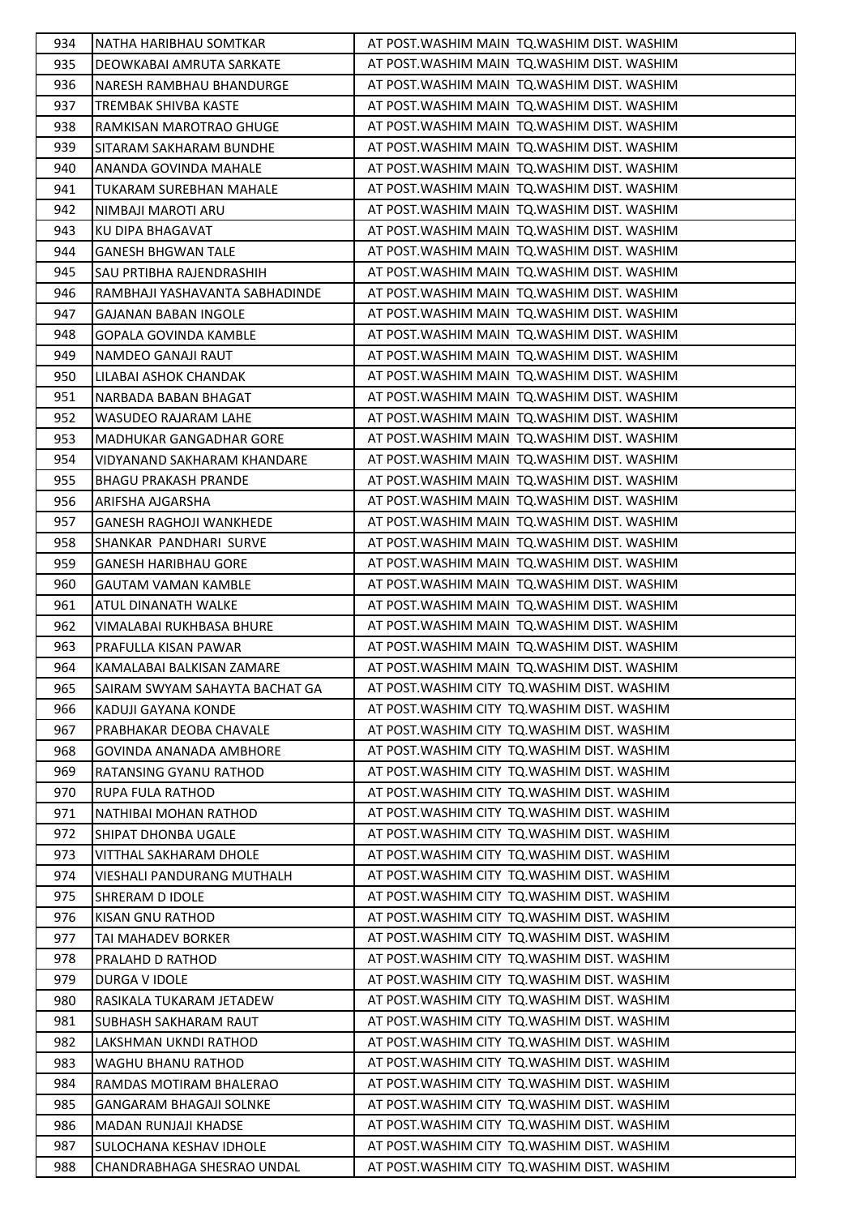| 934 | NATHA HARIBHAU SOMTKAR         | AT POST. WASHIM MAIN TO. WASHIM DIST. WASHIM |
|-----|--------------------------------|----------------------------------------------|
| 935 | DEOWKABAI AMRUTA SARKATE       | AT POST. WASHIM MAIN TO. WASHIM DIST. WASHIM |
| 936 | NARESH RAMBHAU BHANDURGE       | AT POST. WASHIM MAIN TO. WASHIM DIST. WASHIM |
| 937 | TREMBAK SHIVBA KASTE           | AT POST. WASHIM MAIN TO. WASHIM DIST. WASHIM |
| 938 | RAMKISAN MAROTRAO GHUGE        | AT POST. WASHIM MAIN TO. WASHIM DIST. WASHIM |
| 939 | SITARAM SAKHARAM BUNDHE        | AT POST. WASHIM MAIN TQ. WASHIM DIST. WASHIM |
| 940 | ANANDA GOVINDA MAHALE          | AT POST. WASHIM MAIN TO. WASHIM DIST. WASHIM |
| 941 | TUKARAM SUREBHAN MAHALE        | AT POST. WASHIM MAIN TO. WASHIM DIST. WASHIM |
| 942 | NIMBAJI MAROTI ARU             | AT POST. WASHIM MAIN TO. WASHIM DIST. WASHIM |
| 943 | KU DIPA BHAGAVAT               | AT POST. WASHIM MAIN TQ. WASHIM DIST. WASHIM |
| 944 | <b>GANESH BHGWAN TALE</b>      | AT POST. WASHIM MAIN TO. WASHIM DIST. WASHIM |
| 945 | SAU PRTIBHA RAJENDRASHIH       | AT POST. WASHIM MAIN TQ. WASHIM DIST. WASHIM |
| 946 | RAMBHAJI YASHAVANTA SABHADINDE | AT POST. WASHIM MAIN TQ. WASHIM DIST. WASHIM |
| 947 | <b>GAJANAN BABAN INGOLE</b>    | AT POST. WASHIM MAIN TO. WASHIM DIST. WASHIM |
| 948 | GOPALA GOVINDA KAMBLE          | AT POST. WASHIM MAIN TQ. WASHIM DIST. WASHIM |
| 949 | NAMDEO GANAJI RAUT             | AT POST. WASHIM MAIN TO. WASHIM DIST. WASHIM |
| 950 | LILABAI ASHOK CHANDAK          | AT POST. WASHIM MAIN TQ. WASHIM DIST. WASHIM |
| 951 | NARBADA BABAN BHAGAT           | AT POST. WASHIM MAIN TQ. WASHIM DIST. WASHIM |
| 952 | WASUDEO RAJARAM LAHE           | AT POST. WASHIM MAIN TO. WASHIM DIST. WASHIM |
| 953 | MADHUKAR GANGADHAR GORE        | AT POST. WASHIM MAIN TO. WASHIM DIST. WASHIM |
| 954 | VIDYANAND SAKHARAM KHANDARE    | AT POST. WASHIM MAIN TO. WASHIM DIST. WASHIM |
| 955 | <b>BHAGU PRAKASH PRANDE</b>    | AT POST. WASHIM MAIN TQ. WASHIM DIST. WASHIM |
| 956 | ARIFSHA AJGARSHA               | AT POST. WASHIM MAIN TQ. WASHIM DIST. WASHIM |
| 957 | <b>GANESH RAGHOJI WANKHEDE</b> | AT POST. WASHIM MAIN TO. WASHIM DIST. WASHIM |
| 958 | SHANKAR PANDHARI SURVE         | AT POST. WASHIM MAIN TQ. WASHIM DIST. WASHIM |
| 959 | <b>GANESH HARIBHAU GORE</b>    | AT POST. WASHIM MAIN TO. WASHIM DIST. WASHIM |
| 960 | <b>GAUTAM VAMAN KAMBLE</b>     | AT POST. WASHIM MAIN TQ. WASHIM DIST. WASHIM |
| 961 | ATUL DINANATH WALKE            | AT POST. WASHIM MAIN TO. WASHIM DIST. WASHIM |
| 962 | VIMALABAI RUKHBASA BHURE       | AT POST. WASHIM MAIN TO. WASHIM DIST. WASHIM |
| 963 | PRAFULLA KISAN PAWAR           | AT POST. WASHIM MAIN TO. WASHIM DIST. WASHIM |
| 964 | KAMALABAI BALKISAN ZAMARE      | AT POST. WASHIM MAIN TQ. WASHIM DIST. WASHIM |
| 965 | SAIRAM SWYAM SAHAYTA BACHAT GA | AT POST. WASHIM CITY TO. WASHIM DIST. WASHIM |
| 966 | KADUJI GAYANA KONDE            | AT POST. WASHIM CITY TO. WASHIM DIST. WASHIM |
| 967 | PRABHAKAR DEOBA CHAVALE        | AT POST. WASHIM CITY TO. WASHIM DIST. WASHIM |
| 968 | GOVINDA ANANADA AMBHORE        | AT POST. WASHIM CITY TO. WASHIM DIST. WASHIM |
| 969 | RATANSING GYANU RATHOD         | AT POST. WASHIM CITY TO. WASHIM DIST. WASHIM |
| 970 | RUPA FULA RATHOD               | AT POST. WASHIM CITY TO. WASHIM DIST. WASHIM |
| 971 | NATHIBAI MOHAN RATHOD          | AT POST. WASHIM CITY TO. WASHIM DIST. WASHIM |
| 972 | SHIPAT DHONBA UGALE            | AT POST. WASHIM CITY TO. WASHIM DIST. WASHIM |
| 973 | VITTHAL SAKHARAM DHOLE         | AT POST. WASHIM CITY TO. WASHIM DIST. WASHIM |
| 974 | VIESHALI PANDURANG MUTHALH     | AT POST. WASHIM CITY TO. WASHIM DIST. WASHIM |
| 975 | SHRERAM D IDOLE                | AT POST. WASHIM CITY TO. WASHIM DIST. WASHIM |
| 976 | KISAN GNU RATHOD               | AT POST. WASHIM CITY TO. WASHIM DIST. WASHIM |
| 977 | TAI MAHADEV BORKER             | AT POST. WASHIM CITY TO. WASHIM DIST. WASHIM |
| 978 | PRALAHD D RATHOD               | AT POST. WASHIM CITY TO. WASHIM DIST. WASHIM |
| 979 | DURGA V IDOLE                  | AT POST. WASHIM CITY TQ. WASHIM DIST. WASHIM |
| 980 | RASIKALA TUKARAM JETADEW       | AT POST. WASHIM CITY TO. WASHIM DIST. WASHIM |
| 981 | SUBHASH SAKHARAM RAUT          | AT POST. WASHIM CITY TO. WASHIM DIST. WASHIM |
| 982 | LAKSHMAN UKNDI RATHOD          | AT POST. WASHIM CITY TO. WASHIM DIST. WASHIM |
| 983 | WAGHU BHANU RATHOD             | AT POST. WASHIM CITY TO. WASHIM DIST. WASHIM |
| 984 | RAMDAS MOTIRAM BHALERAO        | AT POST. WASHIM CITY TQ. WASHIM DIST. WASHIM |
| 985 | <b>GANGARAM BHAGAJI SOLNKE</b> | AT POST. WASHIM CITY TO. WASHIM DIST. WASHIM |
| 986 | MADAN RUNJAJI KHADSE           | AT POST. WASHIM CITY TO. WASHIM DIST. WASHIM |
| 987 | SULOCHANA KESHAV IDHOLE        | AT POST. WASHIM CITY TO. WASHIM DIST. WASHIM |
| 988 | CHANDRABHAGA SHESRAO UNDAL     | AT POST. WASHIM CITY TO. WASHIM DIST. WASHIM |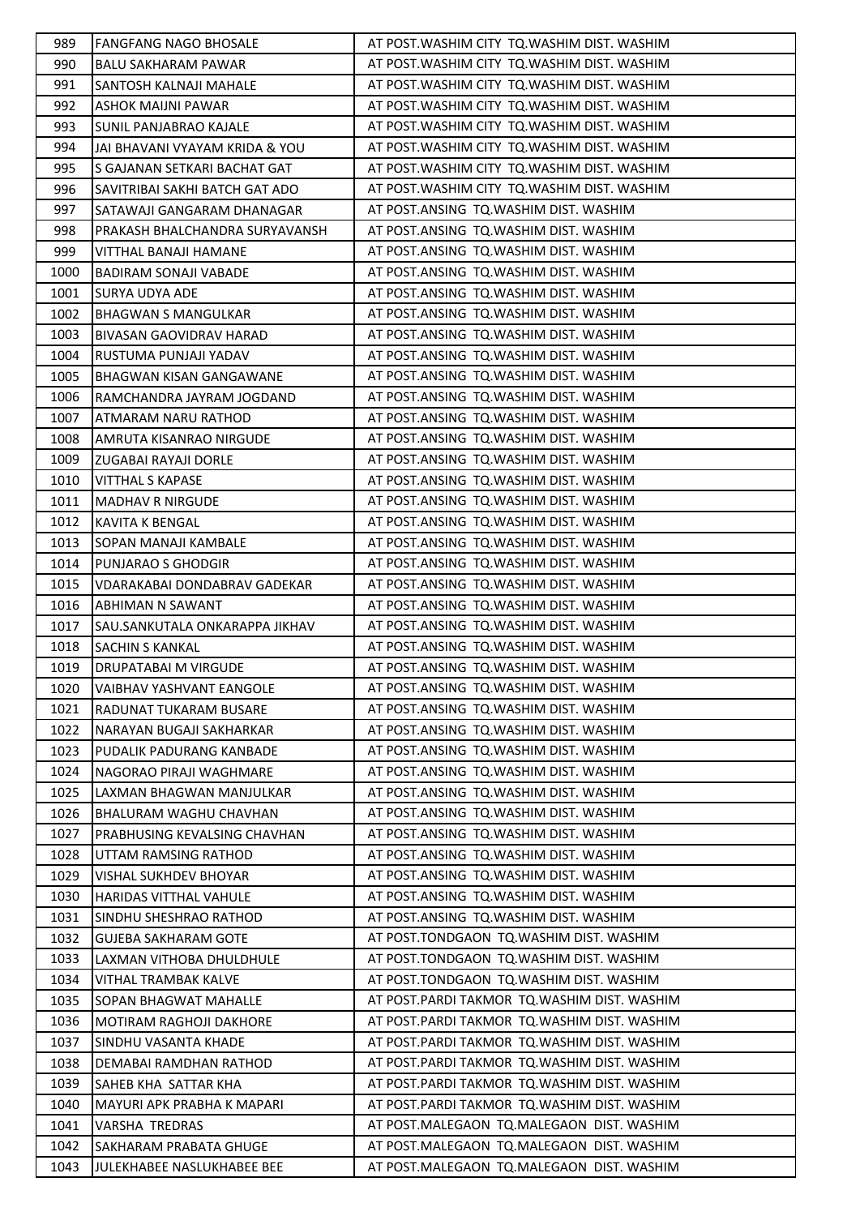| 989  | <b>FANGFANG NAGO BHOSALE</b>    | AT POST. WASHIM CITY TO. WASHIM DIST. WASHIM |
|------|---------------------------------|----------------------------------------------|
| 990  | BALU SAKHARAM PAWAR             | AT POST. WASHIM CITY TO. WASHIM DIST. WASHIM |
| 991  | SANTOSH KALNAJI MAHALE          | AT POST. WASHIM CITY TO. WASHIM DIST. WASHIM |
| 992  | ASHOK MAIJNI PAWAR              | AT POST. WASHIM CITY TO. WASHIM DIST. WASHIM |
| 993  | SUNIL PANJABRAO KAJALE          | AT POST. WASHIM CITY TO. WASHIM DIST. WASHIM |
| 994  | JAI BHAVANI VYAYAM KRIDA & YOU  | AT POST. WASHIM CITY TO. WASHIM DIST. WASHIM |
| 995  | S GAJANAN SETKARI BACHAT GAT    | AT POST. WASHIM CITY TO. WASHIM DIST. WASHIM |
| 996  | SAVITRIBAI SAKHI BATCH GAT ADO  | AT POST. WASHIM CITY TO. WASHIM DIST. WASHIM |
| 997  | SATAWAJI GANGARAM DHANAGAR      | AT POST.ANSING TQ.WASHIM DIST. WASHIM        |
| 998  | PRAKASH BHALCHANDRA SURYAVANSH  | AT POST.ANSING TQ.WASHIM DIST. WASHIM        |
| 999  | VITTHAL BANAJI HAMANE           | AT POST. ANSING TO. WASHIM DIST. WASHIM      |
| 1000 | BADIRAM SONAJI VABADE           | AT POST.ANSING TQ.WASHIM DIST. WASHIM        |
| 1001 | SURYA UDYA ADE                  | AT POST.ANSING TQ.WASHIM DIST. WASHIM        |
| 1002 | <b>BHAGWAN S MANGULKAR</b>      | AT POST.ANSING TQ.WASHIM DIST. WASHIM        |
| 1003 | BIVASAN GAOVIDRAV HARAD         | AT POST. ANSING TO. WASHIM DIST. WASHIM      |
| 1004 | RUSTUMA PUNJAJI YADAV           | AT POST.ANSING TQ.WASHIM DIST. WASHIM        |
| 1005 | BHAGWAN KISAN GANGAWANE         | AT POST.ANSING TQ.WASHIM DIST. WASHIM        |
| 1006 | RAMCHANDRA JAYRAM JOGDAND       | AT POST.ANSING TQ.WASHIM DIST. WASHIM        |
| 1007 | ATMARAM NARU RATHOD             | AT POST.ANSING TQ.WASHIM DIST. WASHIM        |
| 1008 | AMRUTA KISANRAO NIRGUDE         | AT POST.ANSING TQ.WASHIM DIST. WASHIM        |
| 1009 | ZUGABAI RAYAJI DORLE            | AT POST.ANSING TQ.WASHIM DIST. WASHIM        |
| 1010 | <b>VITTHAL S KAPASE</b>         | AT POST.ANSING TQ.WASHIM DIST. WASHIM        |
| 1011 | <b>MADHAV R NIRGUDE</b>         | AT POST.ANSING TQ.WASHIM DIST. WASHIM        |
| 1012 | KAVITA K BENGAL                 | AT POST.ANSING TQ.WASHIM DIST. WASHIM        |
| 1013 | SOPAN MANAJI KAMBALE            | AT POST.ANSING TQ.WASHIM DIST. WASHIM        |
| 1014 | PUNJARAO S GHODGIR              | AT POST.ANSING TQ.WASHIM DIST. WASHIM        |
| 1015 | VDARAKABAI DONDABRAV GADEKAR    | AT POST.ANSING TQ.WASHIM DIST. WASHIM        |
| 1016 | ABHIMAN N SAWANT                | AT POST.ANSING TQ.WASHIM DIST. WASHIM        |
| 1017 | SAU.SANKUTALA ONKARAPPA JIKHAV  | AT POST.ANSING TQ.WASHIM DIST. WASHIM        |
| 1018 | <b>SACHIN S KANKAL</b>          | AT POST.ANSING TQ.WASHIM DIST. WASHIM        |
| 1019 | DRUPATABAI M VIRGUDE            | AT POST.ANSING TQ.WASHIM DIST. WASHIM        |
| 1020 | <b>VAIBHAV YASHVANT EANGOLE</b> | AT POST.ANSING TQ.WASHIM DIST. WASHIM        |
| 1021 | RADUNAT TUKARAM BUSARE          | AT POST.ANSING TQ.WASHIM DIST. WASHIM        |
| 1022 | NARAYAN BUGAJI SAKHARKAR        | AT POST.ANSING TQ.WASHIM DIST. WASHIM        |
| 1023 | PUDALIK PADURANG KANBADE        | AT POST. ANSING TO. WASHIM DIST. WASHIM      |
| 1024 | NAGORAO PIRAJI WAGHMARE         | AT POST. ANSING TO. WASHIM DIST. WASHIM      |
| 1025 | LAXMAN BHAGWAN MANJULKAR        | AT POST. ANSING TO. WASHIM DIST. WASHIM      |
| 1026 | BHALURAM WAGHU CHAVHAN          | AT POST.ANSING TQ.WASHIM DIST. WASHIM        |
| 1027 | PRABHUSING KEVALSING CHAVHAN    | AT POST.ANSING TQ.WASHIM DIST. WASHIM        |
| 1028 | UTTAM RAMSING RATHOD            | AT POST. ANSING TO. WASHIM DIST. WASHIM      |
| 1029 | <b>VISHAL SUKHDEV BHOYAR</b>    | AT POST.ANSING TQ.WASHIM DIST. WASHIM        |
| 1030 | <b>HARIDAS VITTHAL VAHULE</b>   | AT POST.ANSING TQ.WASHIM DIST. WASHIM        |
| 1031 | SINDHU SHESHRAO RATHOD          | AT POST.ANSING TQ.WASHIM DIST. WASHIM        |
| 1032 | <b>GUJEBA SAKHARAM GOTE</b>     | AT POST.TONDGAON TQ.WASHIM DIST. WASHIM      |
| 1033 | LAXMAN VITHOBA DHULDHULE        | AT POST.TONDGAON TQ.WASHIM DIST. WASHIM      |
| 1034 | VITHAL TRAMBAK KALVE            | AT POST.TONDGAON TO.WASHIM DIST. WASHIM      |
| 1035 | SOPAN BHAGWAT MAHALLE           | AT POST.PARDI TAKMOR TQ.WASHIM DIST. WASHIM  |
| 1036 | MOTIRAM RAGHOJI DAKHORE         | AT POST.PARDI TAKMOR TQ.WASHIM DIST. WASHIM  |
| 1037 | SINDHU VASANTA KHADE            | AT POST.PARDI TAKMOR TQ.WASHIM DIST. WASHIM  |
| 1038 | DEMABAI RAMDHAN RATHOD          | AT POST.PARDI TAKMOR TQ.WASHIM DIST. WASHIM  |
| 1039 | SAHEB KHA SATTAR KHA            | AT POST.PARDI TAKMOR TQ.WASHIM DIST. WASHIM  |
| 1040 | MAYURI APK PRABHA K MAPARI      | AT POST.PARDI TAKMOR TQ.WASHIM DIST. WASHIM  |
| 1041 | VARSHA TREDRAS                  | AT POST.MALEGAON TQ.MALEGAON DIST. WASHIM    |
| 1042 | SAKHARAM PRABATA GHUGE          | AT POST.MALEGAON TQ.MALEGAON DIST. WASHIM    |
| 1043 | JULEKHABEE NASLUKHABEE BEE      | AT POST.MALEGAON TQ.MALEGAON DIST. WASHIM    |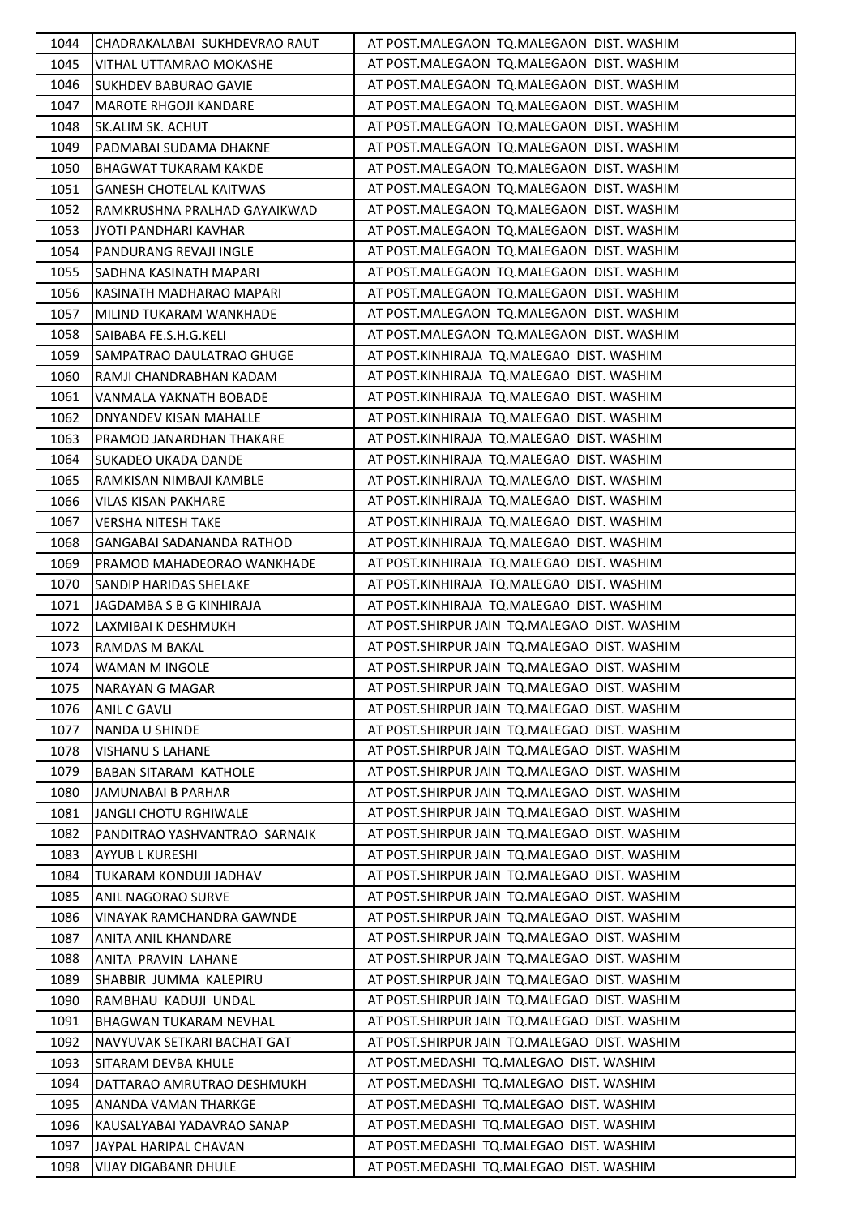| 1044 | CHADRAKALABAI SUKHDEVRAO RAUT    | AT POST.MALEGAON TQ.MALEGAON DIST. WASHIM      |
|------|----------------------------------|------------------------------------------------|
| 1045 | VITHAL UTTAMRAO MOKASHE          | AT POST.MALEGAON TQ.MALEGAON DIST. WASHIM      |
| 1046 | <b>SUKHDEV BABURAO GAVIE</b>     | AT POST.MALEGAON TQ.MALEGAON DIST. WASHIM      |
| 1047 | MAROTE RHGOJI KANDARE            | AT POST.MALEGAON TQ.MALEGAON DIST. WASHIM      |
| 1048 | SK.ALIM SK. ACHUT                | AT POST.MALEGAON TQ.MALEGAON DIST. WASHIM      |
| 1049 | PADMABAI SUDAMA DHAKNE           | AT POST.MALEGAON TQ.MALEGAON DIST. WASHIM      |
| 1050 | BHAGWAT TUKARAM KAKDE            | AT POST.MALEGAON TQ.MALEGAON DIST. WASHIM      |
| 1051 | <b>GANESH CHOTELAL KAITWAS</b>   | AT POST.MALEGAON TQ.MALEGAON DIST. WASHIM      |
| 1052 | RAMKRUSHNA PRALHAD GAYAIKWAD     | AT POST.MALEGAON TQ.MALEGAON DIST. WASHIM      |
| 1053 | JYOTI PANDHARI KAVHAR            | AT POST.MALEGAON TQ.MALEGAON DIST. WASHIM      |
| 1054 | PANDURANG REVAJI INGLE           | AT POST.MALEGAON TQ.MALEGAON DIST. WASHIM      |
| 1055 | SADHNA KASINATH MAPARI           | AT POST.MALEGAON TQ.MALEGAON DIST. WASHIM      |
| 1056 | KASINATH MADHARAO MAPARI         | AT POST.MALEGAON TQ.MALEGAON DIST. WASHIM      |
| 1057 | MILIND TUKARAM WANKHADE          | AT POST.MALEGAON TQ.MALEGAON DIST. WASHIM      |
| 1058 | SAIBABA FE.S.H.G.KELI            | AT POST.MALEGAON TQ.MALEGAON DIST. WASHIM      |
| 1059 | SAMPATRAO DAULATRAO GHUGE        | AT POST.KINHIRAJA TQ.MALEGAO DIST. WASHIM      |
| 1060 | RAMJI CHANDRABHAN KADAM          | AT POST.KINHIRAJA TQ.MALEGAO DIST. WASHIM      |
| 1061 | VANMALA YAKNATH BOBADE           | AT POST.KINHIRAJA TQ.MALEGAO DIST. WASHIM      |
| 1062 | DNYANDEV KISAN MAHALLE           | AT POST.KINHIRAJA TQ.MALEGAO DIST. WASHIM      |
| 1063 | PRAMOD JANARDHAN THAKARE         | AT POST.KINHIRAJA TQ.MALEGAO DIST. WASHIM      |
| 1064 | SUKADEO UKADA DANDE              | AT POST.KINHIRAJA TQ.MALEGAO DIST. WASHIM      |
| 1065 | RAMKISAN NIMBAJI KAMBLE          | AT POST.KINHIRAJA TQ.MALEGAO DIST. WASHIM      |
| 1066 | VILAS KISAN PAKHARE              | AT POST.KINHIRAJA TQ.MALEGAO DIST. WASHIM      |
| 1067 | <b>VERSHA NITESH TAKE</b>        | AT POST.KINHIRAJA TQ.MALEGAO DIST. WASHIM      |
| 1068 | <b>GANGABAI SADANANDA RATHOD</b> | AT POST.KINHIRAJA TQ.MALEGAO DIST. WASHIM      |
| 1069 | PRAMOD MAHADEORAO WANKHADE       | AT POST.KINHIRAJA TQ.MALEGAO DIST. WASHIM      |
| 1070 | SANDIP HARIDAS SHELAKE           | AT POST.KINHIRAJA TQ.MALEGAO DIST. WASHIM      |
| 1071 | JAGDAMBA S B G KINHIRAJA         | AT POST.KINHIRAJA TQ.MALEGAO DIST. WASHIM      |
| 1072 | LAXMIBAI K DESHMUKH              | AT POST.SHIRPUR JAIN TQ.MALEGAO DIST. WASHIM   |
| 1073 | RAMDAS M BAKAL                   | AT POST.SHIRPUR JAIN TQ.MALEGAO DIST. WASHIM   |
| 1074 | WAMAN M INGOLE                   | AT POST.SHIRPUR JAIN TQ.MALEGAO DIST. WASHIM   |
| 1075 | NARAYAN G MAGAR                  | AT POST.SHIRPUR JAIN TQ.MALEGAO DIST. WASHIM   |
| 1076 | ANIL C GAVLI                     | AT POST.SHIRPUR JAIN TQ.MALEGAO DIST. WASHIM   |
| 1077 | NANDA U SHINDE                   | AT POST.SHIRPUR JAIN TQ.MALEGAO DIST. WASHIM   |
| 1078 | <b>VISHANU S LAHANE</b>          | AT POST. SHIRPUR JAIN TO. MALEGAO DIST. WASHIM |
| 1079 | <b>BABAN SITARAM KATHOLE</b>     | AT POST. SHIRPUR JAIN TO. MALEGAO DIST. WASHIM |
| 1080 | JAMUNABAI B PARHAR               | AT POST. SHIRPUR JAIN TO. MALEGAO DIST. WASHIM |
| 1081 | JANGLI CHOTU RGHIWALE            | AT POST.SHIRPUR JAIN TQ.MALEGAO DIST. WASHIM   |
| 1082 | PANDITRAO YASHVANTRAO SARNAIK    | AT POST.SHIRPUR JAIN TQ.MALEGAO DIST. WASHIM   |
| 1083 | AYYUB L KURESHI                  | AT POST.SHIRPUR JAIN TQ.MALEGAO DIST. WASHIM   |
| 1084 | TUKARAM KONDUJI JADHAV           | AT POST.SHIRPUR JAIN TQ.MALEGAO DIST. WASHIM   |
| 1085 | ANIL NAGORAO SURVE               | AT POST.SHIRPUR JAIN TQ.MALEGAO DIST. WASHIM   |
| 1086 | VINAYAK RAMCHANDRA GAWNDE        | AT POST.SHIRPUR JAIN TQ.MALEGAO DIST. WASHIM   |
| 1087 | ANITA ANIL KHANDARE              | AT POST.SHIRPUR JAIN TQ.MALEGAO DIST. WASHIM   |
| 1088 | ANITA PRAVIN LAHANE              | AT POST.SHIRPUR JAIN TQ.MALEGAO DIST. WASHIM   |
| 1089 | SHABBIR JUMMA KALEPIRU           | AT POST.SHIRPUR JAIN TQ.MALEGAO DIST. WASHIM   |
| 1090 | RAMBHAU KADUJI UNDAL             | AT POST.SHIRPUR JAIN TQ.MALEGAO DIST. WASHIM   |
| 1091 | BHAGWAN TUKARAM NEVHAL           | AT POST.SHIRPUR JAIN TQ.MALEGAO DIST. WASHIM   |
| 1092 | NAVYUVAK SETKARI BACHAT GAT      | AT POST.SHIRPUR JAIN TQ.MALEGAO DIST. WASHIM   |
| 1093 | SITARAM DEVBA KHULE              | AT POST.MEDASHI TQ.MALEGAO DIST. WASHIM        |
| 1094 | DATTARAO AMRUTRAO DESHMUKH       | AT POST.MEDASHI TQ.MALEGAO DIST. WASHIM        |
| 1095 | ANANDA VAMAN THARKGE             | AT POST.MEDASHI TQ.MALEGAO DIST. WASHIM        |
| 1096 | KAUSALYABAI YADAVRAO SANAP       | AT POST.MEDASHI TQ.MALEGAO DIST. WASHIM        |
| 1097 | JAYPAL HARIPAL CHAVAN            | AT POST.MEDASHI TQ.MALEGAO DIST. WASHIM        |
| 1098 | <b>VIJAY DIGABANR DHULE</b>      | AT POST.MEDASHI TQ.MALEGAO DIST. WASHIM        |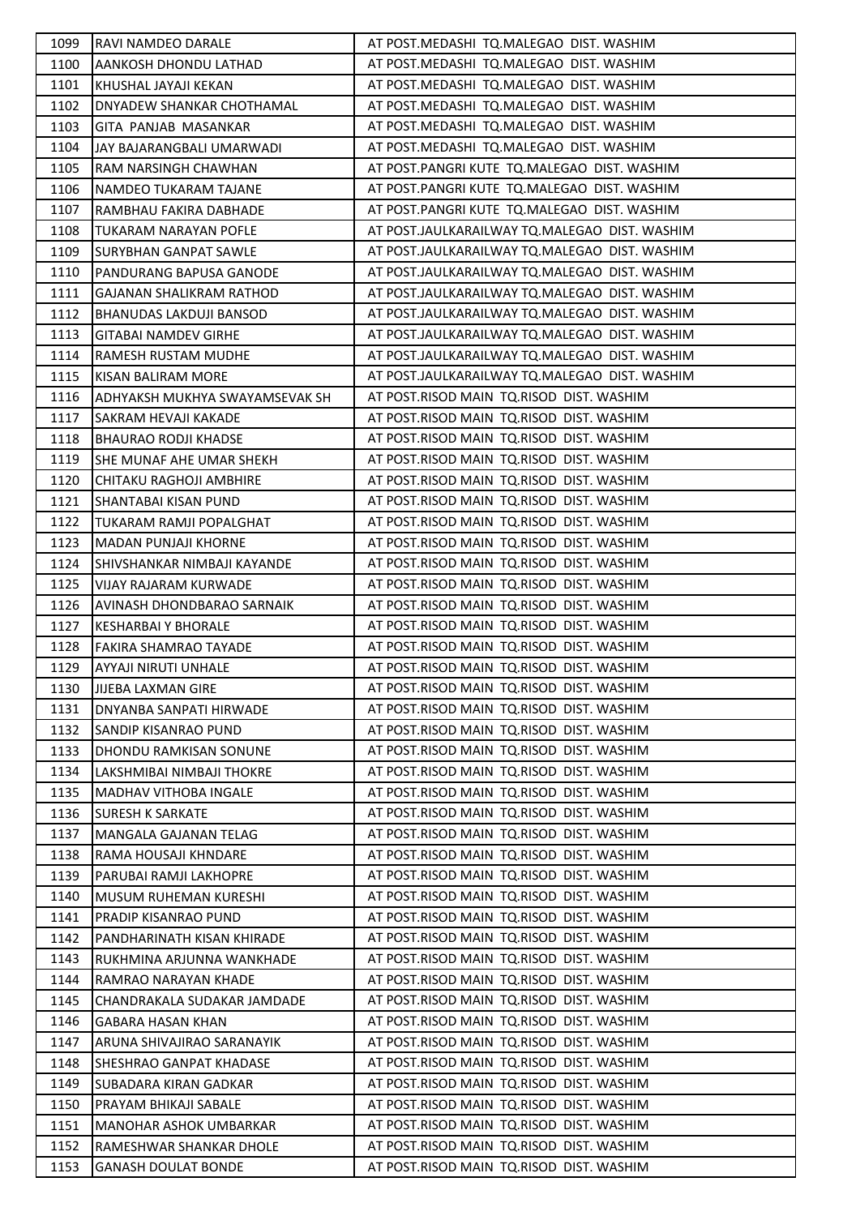| 1099 | <b>RAVI NAMDEO DARALE</b>      | AT POST.MEDASHI TQ.MALEGAO DIST. WASHIM       |
|------|--------------------------------|-----------------------------------------------|
| 1100 | JAANKOSH DHONDU LATHAD         | AT POST.MEDASHI TQ.MALEGAO DIST. WASHIM       |
| 1101 | KHUSHAL JAYAJI KEKAN           | AT POST.MEDASHI TQ.MALEGAO DIST. WASHIM       |
| 1102 | DNYADEW SHANKAR CHOTHAMAL      | AT POST.MEDASHI TQ.MALEGAO DIST. WASHIM       |
| 1103 | GITA PANJAB MASANKAR           | AT POST.MEDASHI TQ.MALEGAO DIST. WASHIM       |
| 1104 | JAY BAJARANGBALI UMARWADI      | AT POST.MEDASHI TQ.MALEGAO DIST. WASHIM       |
| 1105 | RAM NARSINGH CHAWHAN           | AT POST.PANGRI KUTE TQ.MALEGAO DIST. WASHIM   |
| 1106 | NAMDEO TUKARAM TAJANE          | AT POST.PANGRI KUTE TQ.MALEGAO DIST. WASHIM   |
| 1107 | RAMBHAU FAKIRA DABHADE         | AT POST.PANGRI KUTE TQ.MALEGAO DIST. WASHIM   |
| 1108 | TUKARAM NARAYAN POFLE          | AT POST.JAULKARAILWAY TQ.MALEGAO DIST. WASHIM |
| 1109 | ISURYBHAN GANPAT SAWLE         | AT POST.JAULKARAILWAY TQ.MALEGAO DIST. WASHIM |
| 1110 | <b>PANDURANG BAPUSA GANODE</b> | AT POST.JAULKARAILWAY TQ.MALEGAO DIST. WASHIM |
| 1111 | GAJANAN SHALIKRAM RATHOD       | AT POST.JAULKARAILWAY TQ.MALEGAO DIST. WASHIM |
| 1112 | <b>BHANUDAS LAKDUJI BANSOD</b> | AT POST.JAULKARAILWAY TQ.MALEGAO DIST. WASHIM |
| 1113 | <b>GITABAI NAMDEV GIRHE</b>    | AT POST.JAULKARAILWAY TQ.MALEGAO DIST. WASHIM |
| 1114 | RAMESH RUSTAM MUDHE            | AT POST.JAULKARAILWAY TO.MALEGAO DIST. WASHIM |
| 1115 | KISAN BALIRAM MORE             | AT POST.JAULKARAILWAY TQ.MALEGAO DIST. WASHIM |
| 1116 | ADHYAKSH MUKHYA SWAYAMSEVAK SH | AT POST.RISOD MAIN TQ.RISOD DIST. WASHIM      |
| 1117 | <b>SAKRAM HEVAJI KAKADE</b>    | AT POST.RISOD MAIN TQ.RISOD DIST. WASHIM      |
| 1118 | IBHAURAO RODJI KHADSE          | AT POST.RISOD MAIN TQ.RISOD DIST. WASHIM      |
| 1119 | SHE MUNAF AHE UMAR SHEKH       | AT POST.RISOD MAIN TQ.RISOD DIST. WASHIM      |
| 1120 | CHITAKU RAGHOJI AMBHIRE        | AT POST.RISOD MAIN TQ.RISOD DIST. WASHIM      |
| 1121 | SHANTABAI KISAN PUND           | AT POST.RISOD MAIN TQ.RISOD DIST. WASHIM      |
| 1122 | TUKARAM RAMJI POPALGHAT        | AT POST.RISOD MAIN TQ.RISOD DIST. WASHIM      |
| 1123 | MADAN PUNJAJI KHORNE           | AT POST.RISOD MAIN TQ.RISOD DIST. WASHIM      |
| 1124 | SHIVSHANKAR NIMBAJI KAYANDE    | AT POST.RISOD MAIN TQ.RISOD DIST. WASHIM      |
| 1125 | <b>VIJAY RAJARAM KURWADE</b>   | AT POST.RISOD MAIN TQ.RISOD DIST. WASHIM      |
| 1126 | AVINASH DHONDBARAO SARNAIK     | AT POST.RISOD MAIN TQ.RISOD DIST. WASHIM      |
| 1127 | <b>KESHARBAI Y BHORALE</b>     | AT POST.RISOD MAIN TQ.RISOD DIST. WASHIM      |
| 1128 | <b>FAKIRA SHAMRAO TAYADE</b>   | AT POST.RISOD MAIN TQ.RISOD DIST. WASHIM      |
| 1129 | AYYAJI NIRUTI UNHALE           | AT POST.RISOD MAIN TQ.RISOD DIST. WASHIM      |
| 1130 | <b>JJJEBA LAXMAN GIRE</b>      | AT POST.RISOD MAIN TQ.RISOD DIST. WASHIM      |
| 1131 | DNYANBA SANPATI HIRWADE        | AT POST.RISOD MAIN TQ.RISOD DIST. WASHIM      |
| 1132 | <b>SANDIP KISANRAO PUND</b>    | AT POST.RISOD MAIN TQ.RISOD DIST. WASHIM      |
| 1133 | <b>DHONDU RAMKISAN SONUNE</b>  | AT POST.RISOD MAIN TQ.RISOD DIST. WASHIM      |
| 1134 | LAKSHMIBAI NIMBAJI THOKRE      | AT POST.RISOD MAIN TQ.RISOD DIST. WASHIM      |
| 1135 | MADHAV VITHOBA INGALE          | AT POST.RISOD MAIN TQ.RISOD DIST. WASHIM      |
| 1136 | <b>SURESH K SARKATE</b>        | AT POST.RISOD MAIN TQ.RISOD DIST. WASHIM      |
| 1137 | MANGALA GAJANAN TELAG          | AT POST.RISOD MAIN TQ.RISOD DIST. WASHIM      |
| 1138 | RAMA HOUSAJI KHNDARE           | AT POST.RISOD MAIN TQ.RISOD DIST. WASHIM      |
| 1139 | PARUBAI RAMJI LAKHOPRE         | AT POST.RISOD MAIN TQ.RISOD DIST. WASHIM      |
| 1140 | MUSUM RUHEMAN KURESHI          | AT POST.RISOD MAIN TQ.RISOD DIST. WASHIM      |
| 1141 | <b>PRADIP KISANRAO PUND</b>    | AT POST.RISOD MAIN TQ.RISOD DIST. WASHIM      |
| 1142 | PANDHARINATH KISAN KHIRADE     | AT POST.RISOD MAIN TQ.RISOD DIST. WASHIM      |
| 1143 | RUKHMINA ARJUNNA WANKHADE      | AT POST.RISOD MAIN TQ.RISOD DIST. WASHIM      |
| 1144 | RAMRAO NARAYAN KHADE           | AT POST.RISOD MAIN TQ.RISOD DIST. WASHIM      |
| 1145 | CHANDRAKALA SUDAKAR JAMDADE    | AT POST.RISOD MAIN TQ.RISOD DIST. WASHIM      |
| 1146 | GABARA HASAN KHAN              | AT POST.RISOD MAIN TQ.RISOD DIST. WASHIM      |
| 1147 | ARUNA SHIVAJIRAO SARANAYIK     | AT POST.RISOD MAIN TQ.RISOD DIST. WASHIM      |
| 1148 | SHESHRAO GANPAT KHADASE        | AT POST.RISOD MAIN TQ.RISOD DIST. WASHIM      |
| 1149 | SUBADARA KIRAN GADKAR          | AT POST.RISOD MAIN TQ.RISOD DIST. WASHIM      |
| 1150 | <b>PRAYAM BHIKAJI SABALE</b>   | AT POST.RISOD MAIN TQ.RISOD DIST. WASHIM      |
| 1151 | MANOHAR ASHOK UMBARKAR         | AT POST.RISOD MAIN TQ.RISOD DIST. WASHIM      |
| 1152 | RAMESHWAR SHANKAR DHOLE        | AT POST.RISOD MAIN TQ.RISOD DIST. WASHIM      |
| 1153 | <b>GANASH DOULAT BONDE</b>     | AT POST.RISOD MAIN TQ.RISOD DIST. WASHIM      |
|      |                                |                                               |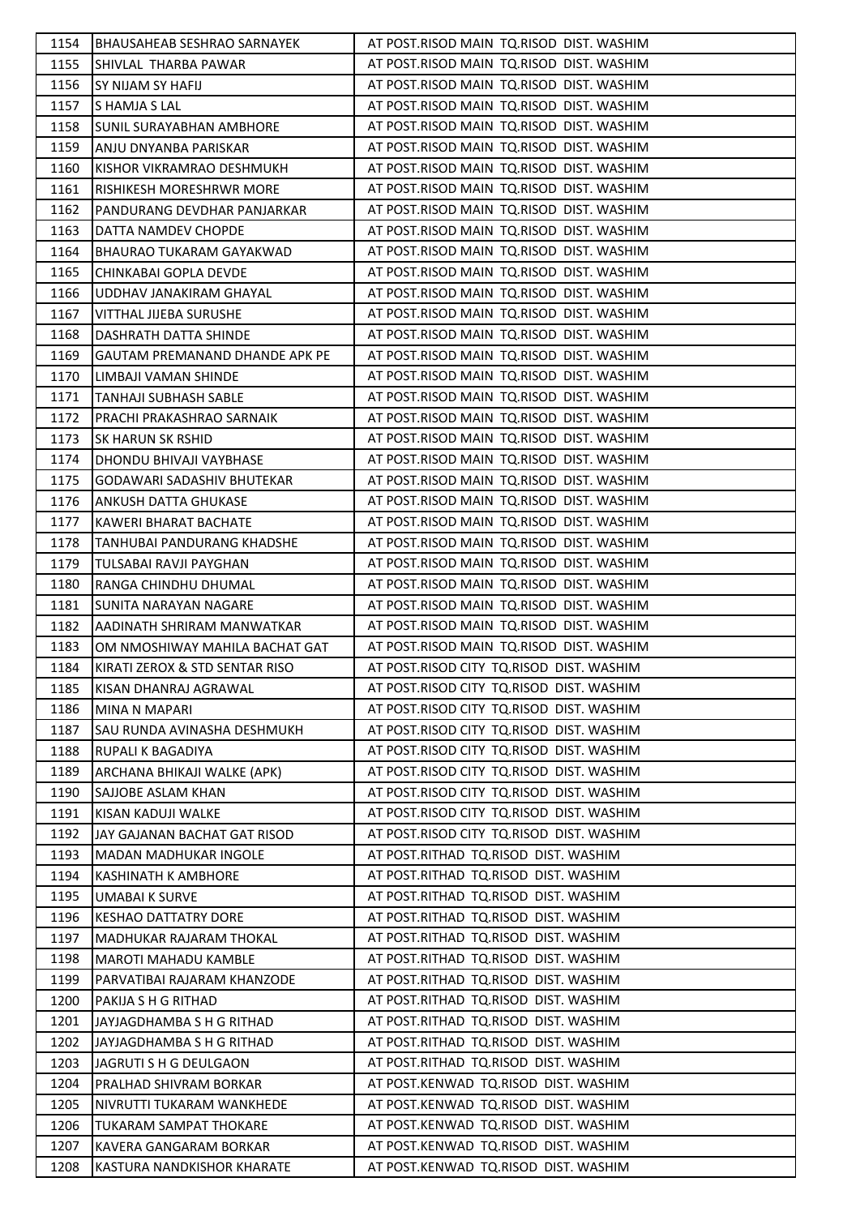| 1154 | <b>BHAUSAHEAB SESHRAO SARNAYEK</b> | AT POST.RISOD MAIN TQ.RISOD DIST. WASHIM |
|------|------------------------------------|------------------------------------------|
| 1155 | SHIVLAL THARBA PAWAR               | AT POST.RISOD MAIN TQ.RISOD DIST. WASHIM |
| 1156 | <b>SY NIJAM SY HAFIJ</b>           | AT POST.RISOD MAIN TQ.RISOD DIST. WASHIM |
| 1157 | S HAMJA S LAL                      | AT POST.RISOD MAIN TQ.RISOD DIST. WASHIM |
| 1158 | <b>SUNIL SURAYABHAN AMBHORE</b>    | AT POST.RISOD MAIN TQ.RISOD DIST. WASHIM |
| 1159 | ANJU DNYANBA PARISKAR              | AT POST.RISOD MAIN TQ.RISOD DIST. WASHIM |
| 1160 | KISHOR VIKRAMRAO DESHMUKH          | AT POST.RISOD MAIN TQ.RISOD DIST. WASHIM |
| 1161 | RISHIKESH MORESHRWR MORE           | AT POST.RISOD MAIN TQ.RISOD DIST. WASHIM |
| 1162 | <b>PANDURANG DEVDHAR PANJARKAR</b> | AT POST.RISOD MAIN TQ.RISOD DIST. WASHIM |
| 1163 | DATTA NAMDEV CHOPDE                | AT POST.RISOD MAIN TQ.RISOD DIST. WASHIM |
| 1164 | <b>BHAURAO TUKARAM GAYAKWAD</b>    | AT POST.RISOD MAIN TQ.RISOD DIST. WASHIM |
| 1165 | CHINKABAI GOPLA DEVDE              | AT POST.RISOD MAIN TQ.RISOD DIST. WASHIM |
| 1166 | UDDHAV JANAKIRAM GHAYAL            | AT POST.RISOD MAIN TQ.RISOD DIST. WASHIM |
| 1167 | VITTHAL JIJEBA SURUSHE             | AT POST.RISOD MAIN TQ.RISOD DIST. WASHIM |
| 1168 | DASHRATH DATTA SHINDE              | AT POST.RISOD MAIN TQ.RISOD DIST. WASHIM |
| 1169 | GAUTAM PREMANAND DHANDE APK PE     | AT POST.RISOD MAIN TQ.RISOD DIST. WASHIM |
| 1170 | LIMBAJI VAMAN SHINDE               | AT POST.RISOD MAIN TQ.RISOD DIST. WASHIM |
| 1171 | <b>TANHAJI SUBHASH SABLE</b>       | AT POST.RISOD MAIN TQ.RISOD DIST. WASHIM |
| 1172 | PRACHI PRAKASHRAO SARNAIK          | AT POST.RISOD MAIN TQ.RISOD DIST. WASHIM |
| 1173 | <b>SK HARUN SK RSHID</b>           | AT POST.RISOD MAIN TQ.RISOD DIST. WASHIM |
| 1174 | DHONDU BHIVAJI VAYBHASE            | AT POST.RISOD MAIN TQ.RISOD DIST. WASHIM |
| 1175 | GODAWARI SADASHIV BHUTEKAR         | AT POST.RISOD MAIN TQ.RISOD DIST. WASHIM |
| 1176 | ANKUSH DATTA GHUKASE               | AT POST.RISOD MAIN TQ.RISOD DIST. WASHIM |
| 1177 | KAWERI BHARAT BACHATE              | AT POST.RISOD MAIN TQ.RISOD DIST. WASHIM |
| 1178 | TANHUBAI PANDURANG KHADSHE         | AT POST.RISOD MAIN TQ.RISOD DIST. WASHIM |
| 1179 | TULSABAI RAVJI PAYGHAN             | AT POST.RISOD MAIN TQ.RISOD DIST. WASHIM |
| 1180 | RANGA CHINDHU DHUMAL               | AT POST.RISOD MAIN TQ.RISOD DIST. WASHIM |
| 1181 | <b>SUNITA NARAYAN NAGARE</b>       | AT POST.RISOD MAIN TQ.RISOD DIST. WASHIM |
| 1182 | AADINATH SHRIRAM MANWATKAR         | AT POST.RISOD MAIN TQ.RISOD DIST. WASHIM |
| 1183 | OM NMOSHIWAY MAHILA BACHAT GAT     | AT POST.RISOD MAIN TQ.RISOD DIST. WASHIM |
| 1184 | KIRATI ZEROX & STD SENTAR RISO     | AT POST.RISOD CITY TQ.RISOD DIST. WASHIM |
| 1185 | KISAN DHANRAJ AGRAWAL              | AT POST.RISOD CITY TQ.RISOD DIST. WASHIM |
| 1186 | MINA N MAPARI                      | AT POST.RISOD CITY TQ.RISOD DIST. WASHIM |
| 1187 | SAU RUNDA AVINASHA DESHMUKH        | AT POST.RISOD CITY TQ.RISOD DIST. WASHIM |
| 1188 | <b>RUPALI K BAGADIYA</b>           | AT POST.RISOD CITY TQ.RISOD DIST. WASHIM |
| 1189 | ARCHANA BHIKAJI WALKE (APK)        | AT POST.RISOD CITY TQ.RISOD DIST. WASHIM |
| 1190 | <b>SAJJOBE ASLAM KHAN</b>          | AT POST.RISOD CITY TQ.RISOD DIST. WASHIM |
| 1191 | KISAN KADUJI WALKE                 | AT POST.RISOD CITY TQ.RISOD DIST. WASHIM |
| 1192 | JAY GAJANAN BACHAT GAT RISOD       | AT POST.RISOD CITY TQ.RISOD DIST. WASHIM |
| 1193 | <b>MADAN MADHUKAR INGOLE</b>       | AT POST.RITHAD TQ.RISOD DIST. WASHIM     |
| 1194 | <b>KASHINATH K AMBHORE</b>         | AT POST.RITHAD TQ.RISOD DIST. WASHIM     |
| 1195 | <b>UMABAI K SURVE</b>              | AT POST.RITHAD TQ.RISOD DIST. WASHIM     |
| 1196 | KESHAO DATTATRY DORE               | AT POST.RITHAD TQ.RISOD DIST. WASHIM     |
| 1197 | MADHUKAR RAJARAM THOKAL            | AT POST.RITHAD TQ.RISOD DIST. WASHIM     |
| 1198 | <b>MAROTI MAHADU KAMBLE</b>        | AT POST.RITHAD TQ.RISOD DIST. WASHIM     |
| 1199 | PARVATIBAI RAJARAM KHANZODE        | AT POST.RITHAD TQ.RISOD DIST. WASHIM     |
| 1200 | PAKIJA S H G RITHAD                | AT POST.RITHAD TQ.RISOD DIST. WASHIM     |
| 1201 | JAYJAGDHAMBA S H G RITHAD          | AT POST.RITHAD TQ.RISOD DIST. WASHIM     |
| 1202 | JAYJAGDHAMBA S H G RITHAD          | AT POST.RITHAD TQ.RISOD DIST. WASHIM     |
| 1203 | JAGRUTI S H G DEULGAON             | AT POST.RITHAD TQ.RISOD DIST. WASHIM     |
| 1204 | PRALHAD SHIVRAM BORKAR             | AT POST.KENWAD TQ.RISOD DIST. WASHIM     |
| 1205 | NIVRUTTI TUKARAM WANKHEDE          | AT POST.KENWAD TQ.RISOD DIST. WASHIM     |
| 1206 | <b>TUKARAM SAMPAT THOKARE</b>      | AT POST.KENWAD TQ.RISOD DIST. WASHIM     |
| 1207 | KAVERA GANGARAM BORKAR             | AT POST.KENWAD TQ.RISOD DIST. WASHIM     |
| 1208 | KASTURA NANDKISHOR KHARATE         | AT POST.KENWAD TQ.RISOD DIST. WASHIM     |